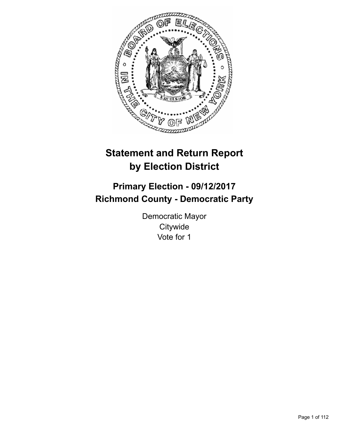

# **Statement and Return Report by Election District**

# **Primary Election - 09/12/2017 Richmond County - Democratic Party**

Democratic Mayor **Citywide** Vote for 1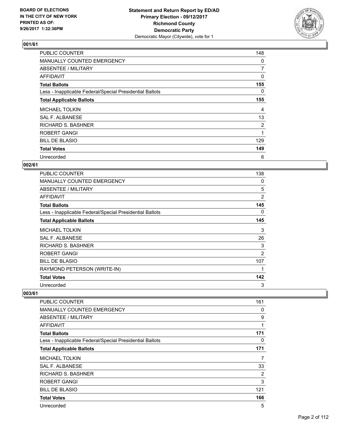

| <b>PUBLIC COUNTER</b>                                    | 148            |
|----------------------------------------------------------|----------------|
| MANUALLY COUNTED EMERGENCY                               | 0              |
| ABSENTEE / MILITARY                                      | $\overline{7}$ |
| AFFIDAVIT                                                | 0              |
| <b>Total Ballots</b>                                     | 155            |
| Less - Inapplicable Federal/Special Presidential Ballots | 0              |
| <b>Total Applicable Ballots</b>                          | 155            |
| <b>MICHAEL TOLKIN</b>                                    | 4              |
| SAL F. ALBANESE                                          | 13             |
| <b>RICHARD S. BASHNER</b>                                | $\overline{2}$ |
| ROBERT GANGI                                             | 1              |
| <b>BILL DE BLASIO</b>                                    | 129            |
| <b>Total Votes</b>                                       | 149            |
| Unrecorded                                               | 6              |

#### **002/61**

| <b>PUBLIC COUNTER</b>                                    | 138 |
|----------------------------------------------------------|-----|
| <b>MANUALLY COUNTED EMERGENCY</b>                        | 0   |
| ABSENTEE / MILITARY                                      | 5   |
| <b>AFFIDAVIT</b>                                         | 2   |
| <b>Total Ballots</b>                                     | 145 |
| Less - Inapplicable Federal/Special Presidential Ballots | 0   |
| <b>Total Applicable Ballots</b>                          | 145 |
| <b>MICHAEL TOLKIN</b>                                    | 3   |
| <b>SAL F. ALBANESE</b>                                   | 26  |
| RICHARD S. BASHNER                                       | 3   |
| ROBERT GANGI                                             | 2   |
| <b>BILL DE BLASIO</b>                                    | 107 |
| RAYMOND PETERSON (WRITE-IN)                              | 1   |
| <b>Total Votes</b>                                       | 142 |
| Unrecorded                                               | 3   |

| PUBLIC COUNTER                                           | 161 |
|----------------------------------------------------------|-----|
| <b>MANUALLY COUNTED EMERGENCY</b>                        | 0   |
| ABSENTEE / MILITARY                                      | 9   |
| AFFIDAVIT                                                | 1   |
| <b>Total Ballots</b>                                     | 171 |
| Less - Inapplicable Federal/Special Presidential Ballots | 0   |
| <b>Total Applicable Ballots</b>                          | 171 |
| <b>MICHAEL TOLKIN</b>                                    | 7   |
| <b>SAL F. ALBANESE</b>                                   | 33  |
| <b>RICHARD S. BASHNER</b>                                | 2   |
| ROBERT GANGI                                             | 3   |
| <b>BILL DE BLASIO</b>                                    | 121 |
| <b>Total Votes</b>                                       | 166 |
| Unrecorded                                               | 5   |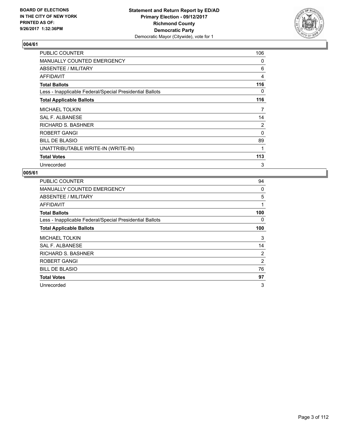

| PUBLIC COUNTER                                           | 106 |
|----------------------------------------------------------|-----|
| <b>MANUALLY COUNTED EMERGENCY</b>                        | 0   |
| ABSENTEE / MILITARY                                      | 6   |
| AFFIDAVIT                                                | 4   |
| <b>Total Ballots</b>                                     | 116 |
| Less - Inapplicable Federal/Special Presidential Ballots | 0   |
| <b>Total Applicable Ballots</b>                          | 116 |
| <b>MICHAEL TOLKIN</b>                                    | 7   |
| <b>SAL F. ALBANESE</b>                                   | 14  |
| <b>RICHARD S. BASHNER</b>                                | 2   |
| ROBERT GANGI                                             | 0   |
| <b>BILL DE BLASIO</b>                                    | 89  |
| UNATTRIBUTABLE WRITE-IN (WRITE-IN)                       | 1   |
| <b>Total Votes</b>                                       | 113 |
| Unrecorded                                               | 3   |

| PUBLIC COUNTER                                           | 94             |
|----------------------------------------------------------|----------------|
| <b>MANUALLY COUNTED EMERGENCY</b>                        | 0              |
| ABSENTEE / MILITARY                                      | 5              |
| AFFIDAVIT                                                | 1              |
| <b>Total Ballots</b>                                     | 100            |
| Less - Inapplicable Federal/Special Presidential Ballots | 0              |
| <b>Total Applicable Ballots</b>                          | 100            |
| <b>MICHAEL TOLKIN</b>                                    | 3              |
|                                                          | 14             |
| SAL F. ALBANESE                                          |                |
| <b>RICHARD S. BASHNER</b>                                | $\overline{2}$ |
| ROBERT GANGI                                             | 2              |
| <b>BILL DE BLASIO</b>                                    | 76             |
| <b>Total Votes</b>                                       | 97             |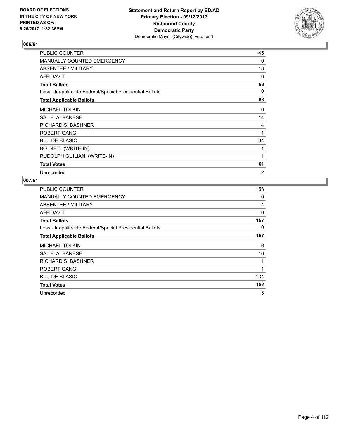

| PUBLIC COUNTER                                           | 45 |
|----------------------------------------------------------|----|
| <b>MANUALLY COUNTED EMERGENCY</b>                        | 0  |
| ABSENTEE / MILITARY                                      | 18 |
| AFFIDAVIT                                                | 0  |
| <b>Total Ballots</b>                                     | 63 |
| Less - Inapplicable Federal/Special Presidential Ballots | 0  |
| <b>Total Applicable Ballots</b>                          | 63 |
| <b>MICHAEL TOLKIN</b>                                    | 6  |
| SAL F. ALBANESE                                          | 14 |
| RICHARD S. BASHNER                                       | 4  |
| ROBERT GANGI                                             | 1  |
| <b>BILL DE BLASIO</b>                                    | 34 |
| <b>BO DIETL (WRITE-IN)</b>                               | 1  |
| RUDOLPH GUILIANI (WRITE-IN)                              | 1  |
| <b>Total Votes</b>                                       | 61 |
| Unrecorded                                               | 2  |

| <b>PUBLIC COUNTER</b>                                    | 153 |
|----------------------------------------------------------|-----|
| MANUALLY COUNTED EMERGENCY                               | 0   |
| ABSENTEE / MILITARY                                      | 4   |
| <b>AFFIDAVIT</b>                                         | 0   |
| <b>Total Ballots</b>                                     | 157 |
| Less - Inapplicable Federal/Special Presidential Ballots | 0   |
| <b>Total Applicable Ballots</b>                          | 157 |
| <b>MICHAEL TOLKIN</b>                                    | 6   |
| <b>SAL F. ALBANESE</b>                                   | 10  |
| <b>RICHARD S. BASHNER</b>                                | 1   |
| ROBERT GANGI                                             | 1   |
| <b>BILL DE BLASIO</b>                                    | 134 |
| <b>Total Votes</b>                                       | 152 |
| Unrecorded                                               | 5   |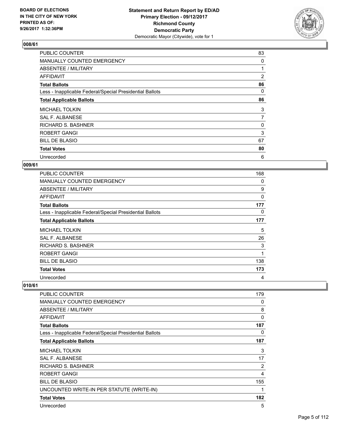

| <b>PUBLIC COUNTER</b>                                    | 83             |
|----------------------------------------------------------|----------------|
| MANUALLY COUNTED EMERGENCY                               | 0              |
| ABSENTEE / MILITARY                                      |                |
| AFFIDAVIT                                                | $\overline{2}$ |
| <b>Total Ballots</b>                                     | 86             |
| Less - Inapplicable Federal/Special Presidential Ballots | 0              |
| <b>Total Applicable Ballots</b>                          | 86             |
| <b>MICHAEL TOLKIN</b>                                    | 3              |
| <b>SAL F. ALBANESE</b>                                   | 7              |
| <b>RICHARD S. BASHNER</b>                                | 0              |
| <b>ROBERT GANGI</b>                                      | 3              |
| <b>BILL DE BLASIO</b>                                    | 67             |
| <b>Total Votes</b>                                       | 80             |
| Unrecorded                                               | 6              |

#### **009/61**

| <b>PUBLIC COUNTER</b>                                    | 168 |
|----------------------------------------------------------|-----|
| MANUALLY COUNTED EMERGENCY                               | 0   |
| ABSENTEE / MILITARY                                      | 9   |
| AFFIDAVIT                                                | 0   |
| <b>Total Ballots</b>                                     | 177 |
| Less - Inapplicable Federal/Special Presidential Ballots | 0   |
| <b>Total Applicable Ballots</b>                          | 177 |
| <b>MICHAEL TOLKIN</b>                                    | 5   |
| <b>SAL F. ALBANESE</b>                                   | 26  |
| <b>RICHARD S. BASHNER</b>                                | 3   |
| <b>ROBERT GANGI</b>                                      | 1   |
| <b>BILL DE BLASIO</b>                                    | 138 |
| <b>Total Votes</b>                                       | 173 |
| Unrecorded                                               | 4   |

| <b>PUBLIC COUNTER</b>                                    | 179 |
|----------------------------------------------------------|-----|
| <b>MANUALLY COUNTED EMERGENCY</b>                        | 0   |
| ABSENTEE / MILITARY                                      | 8   |
| <b>AFFIDAVIT</b>                                         | 0   |
| <b>Total Ballots</b>                                     | 187 |
| Less - Inapplicable Federal/Special Presidential Ballots | 0   |
| <b>Total Applicable Ballots</b>                          | 187 |
| <b>MICHAEL TOLKIN</b>                                    | 3   |
| SAL F. ALBANESE                                          | 17  |
| <b>RICHARD S. BASHNER</b>                                | 2   |
| ROBERT GANGI                                             | 4   |
| <b>BILL DE BLASIO</b>                                    | 155 |
| UNCOUNTED WRITE-IN PER STATUTE (WRITE-IN)                | 1   |
| <b>Total Votes</b>                                       | 182 |
| Unrecorded                                               | 5   |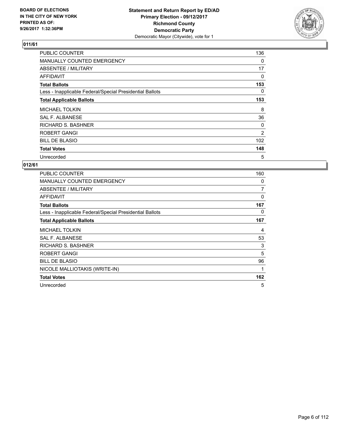

| <b>PUBLIC COUNTER</b>                                    | 136 |
|----------------------------------------------------------|-----|
| <b>MANUALLY COUNTED EMERGENCY</b>                        | 0   |
| ABSENTEE / MILITARY                                      | 17  |
| AFFIDAVIT                                                | 0   |
| <b>Total Ballots</b>                                     | 153 |
| Less - Inapplicable Federal/Special Presidential Ballots | 0   |
| <b>Total Applicable Ballots</b>                          | 153 |
| <b>MICHAEL TOLKIN</b>                                    | 8   |
| SAL F. ALBANESE                                          | 36  |
| <b>RICHARD S. BASHNER</b>                                | 0   |
| <b>ROBERT GANGI</b>                                      | 2   |
| <b>BILL DE BLASIO</b>                                    | 102 |
| <b>Total Votes</b>                                       | 148 |
| Unrecorded                                               | 5   |

| <b>PUBLIC COUNTER</b>                                    | 160 |
|----------------------------------------------------------|-----|
| <b>MANUALLY COUNTED EMERGENCY</b>                        | 0   |
| ABSENTEE / MILITARY                                      | 7   |
| AFFIDAVIT                                                | 0   |
| <b>Total Ballots</b>                                     | 167 |
| Less - Inapplicable Federal/Special Presidential Ballots | 0   |
| <b>Total Applicable Ballots</b>                          | 167 |
| <b>MICHAEL TOLKIN</b>                                    | 4   |
| <b>SAL F. ALBANESE</b>                                   | 53  |
| <b>RICHARD S. BASHNER</b>                                | 3   |
| ROBERT GANGI                                             | 5   |
| <b>BILL DE BLASIO</b>                                    | 96  |
| NICOLE MALLIOTAKIS (WRITE-IN)                            | 1   |
| <b>Total Votes</b>                                       | 162 |
| Unrecorded                                               | 5   |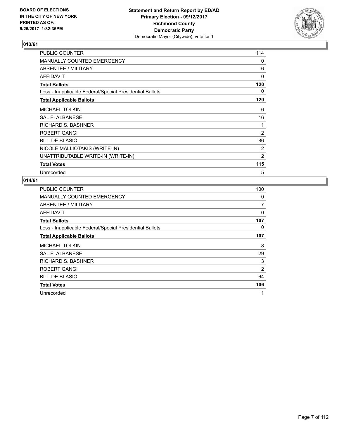

| <b>PUBLIC COUNTER</b>                                    | 114            |
|----------------------------------------------------------|----------------|
| <b>MANUALLY COUNTED EMERGENCY</b>                        | 0              |
| ABSENTEE / MILITARY                                      | 6              |
| <b>AFFIDAVIT</b>                                         | 0              |
| <b>Total Ballots</b>                                     | 120            |
| Less - Inapplicable Federal/Special Presidential Ballots | 0              |
| <b>Total Applicable Ballots</b>                          | 120            |
| <b>MICHAEL TOLKIN</b>                                    | 6              |
| SAL F. ALBANESE                                          | 16             |
| <b>RICHARD S. BASHNER</b>                                | 1              |
| ROBERT GANGI                                             | $\overline{2}$ |
| <b>BILL DE BLASIO</b>                                    | 86             |
| NICOLE MALLIOTAKIS (WRITE-IN)                            | 2              |
| UNATTRIBUTABLE WRITE-IN (WRITE-IN)                       | 2              |
| <b>Total Votes</b>                                       | 115            |
| Unrecorded                                               | 5              |

| <b>PUBLIC COUNTER</b>                                    | 100 |
|----------------------------------------------------------|-----|
| MANUALLY COUNTED EMERGENCY                               | 0   |
| ABSENTEE / MILITARY                                      | 7   |
| AFFIDAVIT                                                | 0   |
| <b>Total Ballots</b>                                     | 107 |
| Less - Inapplicable Federal/Special Presidential Ballots | 0   |
| <b>Total Applicable Ballots</b>                          | 107 |
| <b>MICHAEL TOLKIN</b>                                    | 8   |
| SAL F. ALBANESE                                          | 29  |
| RICHARD S. BASHNER                                       | 3   |
| ROBERT GANGI                                             | 2   |
| <b>BILL DE BLASIO</b>                                    | 64  |
| <b>Total Votes</b>                                       | 106 |
| Unrecorded                                               | 1   |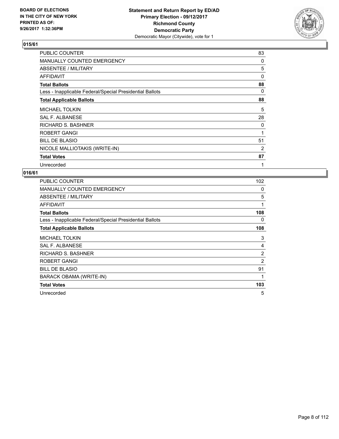

| PUBLIC COUNTER                                           | 83 |
|----------------------------------------------------------|----|
| <b>MANUALLY COUNTED EMERGENCY</b>                        | 0  |
| ABSENTEE / MILITARY                                      | 5  |
| <b>AFFIDAVIT</b>                                         | 0  |
| <b>Total Ballots</b>                                     | 88 |
| Less - Inapplicable Federal/Special Presidential Ballots | 0  |
| <b>Total Applicable Ballots</b>                          | 88 |
| <b>MICHAEL TOLKIN</b>                                    | 5  |
| <b>SAL F. ALBANESE</b>                                   | 28 |
| RICHARD S. BASHNER                                       | 0  |
| ROBERT GANGI                                             | 1  |
| <b>BILL DE BLASIO</b>                                    | 51 |
| NICOLE MALLIOTAKIS (WRITE-IN)                            | 2  |
| <b>Total Votes</b>                                       | 87 |
| Unrecorded                                               | 1  |

| <b>PUBLIC COUNTER</b>                                    | 102            |
|----------------------------------------------------------|----------------|
| <b>MANUALLY COUNTED EMERGENCY</b>                        | 0              |
| ABSENTEE / MILITARY                                      | 5              |
| <b>AFFIDAVIT</b>                                         | 1              |
| <b>Total Ballots</b>                                     | 108            |
| Less - Inapplicable Federal/Special Presidential Ballots | 0              |
| <b>Total Applicable Ballots</b>                          | 108            |
| <b>MICHAEL TOLKIN</b>                                    | 3              |
| <b>SAL F. ALBANESE</b>                                   | 4              |
| RICHARD S. BASHNER                                       | $\overline{2}$ |
| ROBERT GANGI                                             | 2              |
| <b>BILL DE BLASIO</b>                                    | 91             |
| BARACK OBAMA (WRITE-IN)                                  | 1              |
| <b>Total Votes</b>                                       | 103            |
| Unrecorded                                               | 5              |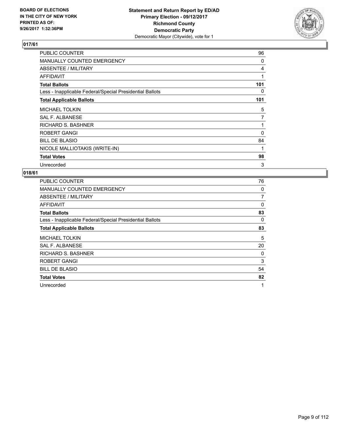

| PUBLIC COUNTER                                           | 96  |
|----------------------------------------------------------|-----|
| <b>MANUALLY COUNTED EMERGENCY</b>                        | 0   |
| ABSENTEE / MILITARY                                      | 4   |
| <b>AFFIDAVIT</b>                                         | 1   |
| <b>Total Ballots</b>                                     | 101 |
| Less - Inapplicable Federal/Special Presidential Ballots | 0   |
| <b>Total Applicable Ballots</b>                          | 101 |
| <b>MICHAEL TOLKIN</b>                                    | 5   |
| <b>SAL F. ALBANESE</b>                                   | 7   |
| RICHARD S. BASHNER                                       | 1   |
| ROBERT GANGI                                             | 0   |
| <b>BILL DE BLASIO</b>                                    | 84  |
| NICOLE MALLIOTAKIS (WRITE-IN)                            | 1   |
| <b>Total Votes</b>                                       | 98  |
| Unrecorded                                               | 3   |

| <b>PUBLIC COUNTER</b>                                    | 76 |
|----------------------------------------------------------|----|
| <b>MANUALLY COUNTED EMERGENCY</b>                        | 0  |
| ABSENTEE / MILITARY                                      | 7  |
| AFFIDAVIT                                                | 0  |
| <b>Total Ballots</b>                                     | 83 |
| Less - Inapplicable Federal/Special Presidential Ballots | 0  |
| <b>Total Applicable Ballots</b>                          | 83 |
| <b>MICHAEL TOLKIN</b>                                    | 5  |
| SAL F. ALBANESE                                          | 20 |
| <b>RICHARD S. BASHNER</b>                                | 0  |
| ROBERT GANGI                                             | 3  |
| <b>BILL DE BLASIO</b>                                    | 54 |
| <b>Total Votes</b>                                       | 82 |
|                                                          |    |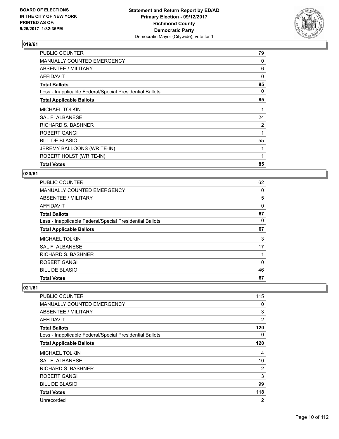

| <b>Total Votes</b>                                       | 85       |
|----------------------------------------------------------|----------|
| ROBERT HOLST (WRITE-IN)                                  | 1        |
| JEREMY BALLOONS (WRITE-IN)                               |          |
| <b>BILL DE BLASIO</b>                                    | 55       |
| ROBERT GANGI                                             |          |
| RICHARD S. BASHNER                                       | 2        |
| SAL F. ALBANESE                                          | 24       |
| <b>MICHAEL TOLKIN</b>                                    |          |
| <b>Total Applicable Ballots</b>                          | 85       |
| Less - Inapplicable Federal/Special Presidential Ballots | 0        |
| <b>Total Ballots</b>                                     | 85       |
| <b>AFFIDAVIT</b>                                         | $\Omega$ |
| ABSENTEE / MILITARY                                      | 6        |
| <b>MANUALLY COUNTED EMERGENCY</b>                        | 0        |
| <b>PUBLIC COUNTER</b>                                    | 79       |

#### **020/61**

| <b>Total Votes</b>                                       | 67       |
|----------------------------------------------------------|----------|
| <b>BILL DE BLASIO</b>                                    | 46       |
| ROBERT GANGI                                             | $\Omega$ |
| <b>RICHARD S. BASHNER</b>                                | 1        |
| <b>SAL F. ALBANESE</b>                                   | 17       |
| <b>MICHAEL TOLKIN</b>                                    | 3        |
| <b>Total Applicable Ballots</b>                          | 67       |
| Less - Inapplicable Federal/Special Presidential Ballots | 0        |
| <b>Total Ballots</b>                                     | 67       |
| <b>AFFIDAVIT</b>                                         | 0        |
| <b>ABSENTEE / MILITARY</b>                               | 5        |
| <b>MANUALLY COUNTED EMERGENCY</b>                        | 0        |
| PUBLIC COUNTER                                           | 62       |

| PUBLIC COUNTER                                           | 115            |
|----------------------------------------------------------|----------------|
| <b>MANUALLY COUNTED EMERGENCY</b>                        | 0              |
| <b>ABSENTEE / MILITARY</b>                               | 3              |
| AFFIDAVIT                                                | $\overline{2}$ |
| <b>Total Ballots</b>                                     | 120            |
| Less - Inapplicable Federal/Special Presidential Ballots | 0              |
| <b>Total Applicable Ballots</b>                          | 120            |
| <b>MICHAEL TOLKIN</b>                                    | 4              |
| <b>SAL F. ALBANESE</b>                                   | 10             |
| RICHARD S. BASHNER                                       | 2              |
| ROBERT GANGI                                             | 3              |
| <b>BILL DE BLASIO</b>                                    | 99             |
| <b>Total Votes</b>                                       | 118            |
| Unrecorded                                               | $\overline{2}$ |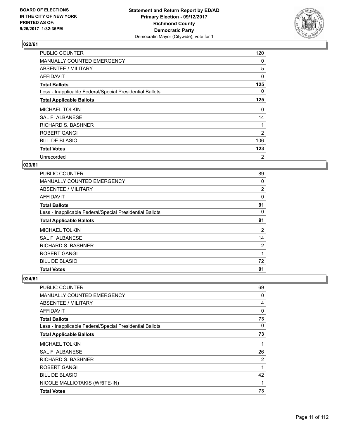

| <b>PUBLIC COUNTER</b>                                    | 120 |
|----------------------------------------------------------|-----|
| MANUALLY COUNTED EMERGENCY                               | 0   |
| ABSENTEE / MILITARY                                      | 5   |
| AFFIDAVIT                                                | 0   |
| <b>Total Ballots</b>                                     | 125 |
| Less - Inapplicable Federal/Special Presidential Ballots | 0   |
| <b>Total Applicable Ballots</b>                          | 125 |
| <b>MICHAEL TOLKIN</b>                                    | 0   |
| SAL F. ALBANESE                                          | 14  |
| <b>RICHARD S. BASHNER</b>                                |     |
| <b>ROBERT GANGI</b>                                      | 2   |
| <b>BILL DE BLASIO</b>                                    | 106 |
| <b>Total Votes</b>                                       | 123 |
| Unrecorded                                               | 2   |

#### **023/61**

| <b>Total Votes</b>                                       | 91 |
|----------------------------------------------------------|----|
| <b>BILL DE BLASIO</b>                                    | 72 |
| <b>ROBERT GANGI</b>                                      | 1  |
| <b>RICHARD S. BASHNER</b>                                | 2  |
| SAL F. ALBANESE                                          | 14 |
| <b>MICHAEL TOLKIN</b>                                    | 2  |
| <b>Total Applicable Ballots</b>                          | 91 |
| Less - Inapplicable Federal/Special Presidential Ballots | 0  |
| <b>Total Ballots</b>                                     | 91 |
| AFFIDAVIT                                                | 0  |
| ABSENTEE / MILITARY                                      | 2  |
| MANUALLY COUNTED EMERGENCY                               | 0  |
| <b>PUBLIC COUNTER</b>                                    | 89 |

| PUBLIC COUNTER                                           | 69 |
|----------------------------------------------------------|----|
| <b>MANUALLY COUNTED EMERGENCY</b>                        | 0  |
| ABSENTEE / MILITARY                                      | 4  |
| <b>AFFIDAVIT</b>                                         | 0  |
| <b>Total Ballots</b>                                     | 73 |
| Less - Inapplicable Federal/Special Presidential Ballots | 0  |
| <b>Total Applicable Ballots</b>                          | 73 |
| <b>MICHAEL TOLKIN</b>                                    | 1  |
| SAL F. ALBANESE                                          | 26 |
| <b>RICHARD S. BASHNER</b>                                | 2  |
| ROBERT GANGI                                             | 1  |
| <b>BILL DE BLASIO</b>                                    | 42 |
| NICOLE MALLIOTAKIS (WRITE-IN)                            | 1  |
| <b>Total Votes</b>                                       | 73 |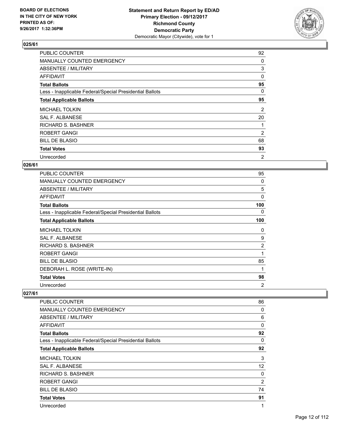

| <b>PUBLIC COUNTER</b>                                    | 92 |
|----------------------------------------------------------|----|
| MANUALLY COUNTED EMERGENCY                               | 0  |
| ABSENTEE / MILITARY                                      | 3  |
| AFFIDAVIT                                                | 0  |
| <b>Total Ballots</b>                                     | 95 |
| Less - Inapplicable Federal/Special Presidential Ballots | 0  |
| <b>Total Applicable Ballots</b>                          | 95 |
| <b>MICHAEL TOLKIN</b>                                    | 2  |
| <b>SAL F. ALBANESE</b>                                   | 20 |
| RICHARD S. BASHNER                                       |    |
| ROBERT GANGI                                             | 2  |
| <b>BILL DE BLASIO</b>                                    | 68 |
| <b>Total Votes</b>                                       | 93 |
| Unrecorded                                               | 2  |

#### **026/61**

| <b>PUBLIC COUNTER</b>                                    | 95             |
|----------------------------------------------------------|----------------|
| <b>MANUALLY COUNTED EMERGENCY</b>                        | 0              |
| ABSENTEE / MILITARY                                      | 5              |
| AFFIDAVIT                                                | 0              |
| <b>Total Ballots</b>                                     | 100            |
| Less - Inapplicable Federal/Special Presidential Ballots | 0              |
| <b>Total Applicable Ballots</b>                          | 100            |
| <b>MICHAEL TOLKIN</b>                                    | 0              |
| <b>SAL F. ALBANESE</b>                                   | 9              |
| <b>RICHARD S. BASHNER</b>                                | $\overline{2}$ |
| <b>ROBERT GANGI</b>                                      | 1              |
| <b>BILL DE BLASIO</b>                                    | 85             |
| DEBORAH L. ROSE (WRITE-IN)                               | 1              |
| <b>Total Votes</b>                                       | 98             |
| Unrecorded                                               | $\overline{2}$ |

| PUBLIC COUNTER                                           | 86             |
|----------------------------------------------------------|----------------|
| <b>MANUALLY COUNTED EMERGENCY</b>                        | 0              |
| ABSENTEE / MILITARY                                      | 6              |
| AFFIDAVIT                                                | 0              |
| <b>Total Ballots</b>                                     | 92             |
| Less - Inapplicable Federal/Special Presidential Ballots | 0              |
| <b>Total Applicable Ballots</b>                          | 92             |
| <b>MICHAEL TOLKIN</b>                                    | 3              |
| SAL F. ALBANESE                                          | 12             |
| <b>RICHARD S. BASHNER</b>                                | 0              |
| <b>ROBERT GANGI</b>                                      | $\overline{2}$ |
| <b>BILL DE BLASIO</b>                                    | 74             |
| <b>Total Votes</b>                                       | 91             |
| Unrecorded                                               | 1              |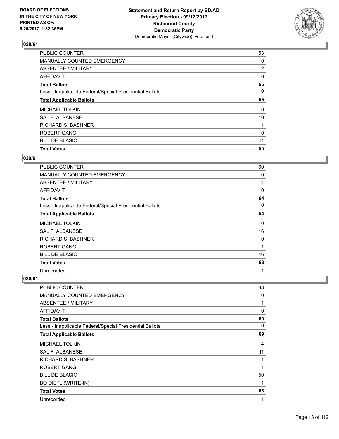

| <b>PUBLIC COUNTER</b>                                    | 53             |
|----------------------------------------------------------|----------------|
| MANUALLY COUNTED EMERGENCY                               | 0              |
| ABSENTEE / MILITARY                                      | $\overline{2}$ |
| <b>AFFIDAVIT</b>                                         | 0              |
| <b>Total Ballots</b>                                     | 55             |
| Less - Inapplicable Federal/Special Presidential Ballots | 0              |
| <b>Total Applicable Ballots</b>                          | 55             |
| <b>MICHAEL TOLKIN</b>                                    | 0              |
| SAL F. ALBANESE                                          | 10             |
| <b>RICHARD S. BASHNER</b>                                |                |
| <b>ROBERT GANGI</b>                                      | 0              |
| <b>BILL DE BLASIO</b>                                    | 44             |
| <b>Total Votes</b>                                       | 55             |

#### **029/61**

| <b>PUBLIC COUNTER</b>                                    | 60       |
|----------------------------------------------------------|----------|
| <b>MANUALLY COUNTED EMERGENCY</b>                        | 0        |
| <b>ABSENTEE / MILITARY</b>                               | 4        |
| AFFIDAVIT                                                | $\Omega$ |
| <b>Total Ballots</b>                                     | 64       |
| Less - Inapplicable Federal/Special Presidential Ballots | 0        |
| <b>Total Applicable Ballots</b>                          | 64       |
| <b>MICHAEL TOLKIN</b>                                    | 0        |
| SAL F. ALBANESE                                          | 16       |
| <b>RICHARD S. BASHNER</b>                                | 0        |
| ROBERT GANGI                                             | 1        |
| <b>BILL DE BLASIO</b>                                    | 46       |
| <b>Total Votes</b>                                       | 63       |
| Unrecorded                                               | 1        |

| PUBLIC COUNTER                                           | 68 |
|----------------------------------------------------------|----|
| <b>MANUALLY COUNTED EMERGENCY</b>                        | 0  |
| ABSENTEE / MILITARY                                      | 1  |
| AFFIDAVIT                                                | 0  |
| <b>Total Ballots</b>                                     | 69 |
| Less - Inapplicable Federal/Special Presidential Ballots | 0  |
| <b>Total Applicable Ballots</b>                          | 69 |
| <b>MICHAEL TOLKIN</b>                                    | 4  |
| <b>SAL F. ALBANESE</b>                                   | 11 |
| RICHARD S. BASHNER                                       | 1  |
| ROBERT GANGI                                             | 1  |
| <b>BILL DE BLASIO</b>                                    | 50 |
| <b>BO DIETL (WRITE-IN)</b>                               | 1  |
| <b>Total Votes</b>                                       | 68 |
| Unrecorded                                               | 1  |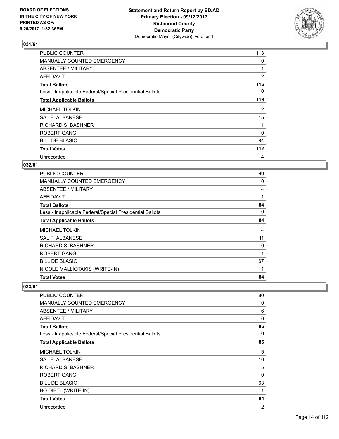

| <b>PUBLIC COUNTER</b>                                    | 113            |
|----------------------------------------------------------|----------------|
| MANUALLY COUNTED EMERGENCY                               | 0              |
| ABSENTEE / MILITARY                                      |                |
| AFFIDAVIT                                                | $\overline{2}$ |
| <b>Total Ballots</b>                                     | 116            |
| Less - Inapplicable Federal/Special Presidential Ballots | 0              |
| <b>Total Applicable Ballots</b>                          | 116            |
| <b>MICHAEL TOLKIN</b>                                    | 2              |
| SAL F. ALBANESE                                          | 15             |
| <b>RICHARD S. BASHNER</b>                                |                |
| <b>ROBERT GANGI</b>                                      | $\Omega$       |
| <b>BILL DE BLASIO</b>                                    | 94             |
| <b>Total Votes</b>                                       | 112            |
| Unrecorded                                               | 4              |

#### **032/61**

| <b>PUBLIC COUNTER</b>                                    | 69 |
|----------------------------------------------------------|----|
| MANUALLY COUNTED EMERGENCY                               | 0  |
| ABSENTEE / MILITARY                                      | 14 |
| <b>AFFIDAVIT</b>                                         |    |
| <b>Total Ballots</b>                                     | 84 |
| Less - Inapplicable Federal/Special Presidential Ballots | 0  |
| <b>Total Applicable Ballots</b>                          | 84 |
| <b>MICHAEL TOLKIN</b>                                    | 4  |
| SAL F. ALBANESE                                          | 11 |
| <b>RICHARD S. BASHNER</b>                                | 0  |
| ROBERT GANGI                                             | 1  |
|                                                          |    |
| <b>BILL DE BLASIO</b>                                    | 67 |
| NICOLE MALLIOTAKIS (WRITE-IN)                            | 1  |

| <b>PUBLIC COUNTER</b>                                    | 80 |
|----------------------------------------------------------|----|
| <b>MANUALLY COUNTED EMERGENCY</b>                        | 0  |
| <b>ABSENTEE / MILITARY</b>                               | 6  |
| AFFIDAVIT                                                | 0  |
| <b>Total Ballots</b>                                     | 86 |
| Less - Inapplicable Federal/Special Presidential Ballots | 0  |
| <b>Total Applicable Ballots</b>                          | 86 |
| <b>MICHAEL TOLKIN</b>                                    | 5  |
| SAL F. ALBANESE                                          | 10 |
| <b>RICHARD S. BASHNER</b>                                | 5  |
| ROBERT GANGI                                             | 0  |
| <b>BILL DE BLASIO</b>                                    | 63 |
| <b>BO DIETL (WRITE-IN)</b>                               | 1  |
| <b>Total Votes</b>                                       | 84 |
| Unrecorded                                               | 2  |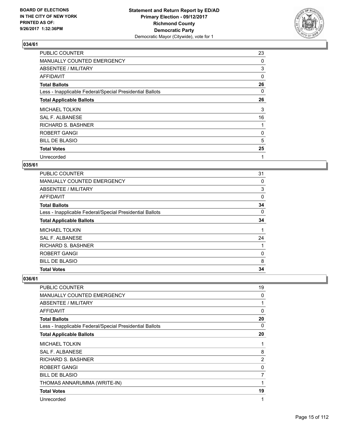

| PUBLIC COUNTER                                           | 23 |
|----------------------------------------------------------|----|
| MANUALLY COUNTED EMERGENCY                               | 0  |
| ABSENTEE / MILITARY                                      | 3  |
| AFFIDAVIT                                                | 0  |
| <b>Total Ballots</b>                                     | 26 |
| Less - Inapplicable Federal/Special Presidential Ballots | 0  |
| <b>Total Applicable Ballots</b>                          | 26 |
| <b>MICHAEL TOLKIN</b>                                    | 3  |
| <b>SAL F. ALBANESE</b>                                   | 16 |
| RICHARD S. BASHNER                                       |    |
| <b>ROBERT GANGI</b>                                      | 0  |
| <b>BILL DE BLASIO</b>                                    | 5  |
| <b>Total Votes</b>                                       | 25 |
| Unrecorded                                               | 1  |

#### **035/61**

| <b>Total Votes</b>                                       | 34 |
|----------------------------------------------------------|----|
| <b>BILL DE BLASIO</b>                                    | 8  |
| <b>ROBERT GANGI</b>                                      | 0  |
| <b>RICHARD S. BASHNER</b>                                |    |
| SAL F. ALBANESE                                          | 24 |
| <b>MICHAEL TOLKIN</b>                                    |    |
| <b>Total Applicable Ballots</b>                          | 34 |
| Less - Inapplicable Federal/Special Presidential Ballots | 0  |
| <b>Total Ballots</b>                                     | 34 |
| AFFIDAVIT                                                | 0  |
| ABSENTEE / MILITARY                                      | 3  |
| MANUALLY COUNTED EMERGENCY                               | 0  |
| <b>PUBLIC COUNTER</b>                                    | 31 |

| <b>PUBLIC COUNTER</b>                                    | 19             |
|----------------------------------------------------------|----------------|
| <b>MANUALLY COUNTED EMERGENCY</b>                        | 0              |
| ABSENTEE / MILITARY                                      | 1              |
| AFFIDAVIT                                                | 0              |
| <b>Total Ballots</b>                                     | 20             |
| Less - Inapplicable Federal/Special Presidential Ballots | 0              |
| <b>Total Applicable Ballots</b>                          | 20             |
| <b>MICHAEL TOLKIN</b>                                    | 1              |
| <b>SAL F. ALBANESE</b>                                   | 8              |
| <b>RICHARD S. BASHNER</b>                                | $\overline{2}$ |
| <b>ROBERT GANGI</b>                                      | 0              |
| <b>BILL DE BLASIO</b>                                    | 7              |
| THOMAS ANNARUMMA (WRITE-IN)                              |                |
| <b>Total Votes</b>                                       | 19             |
| Unrecorded                                               | 1              |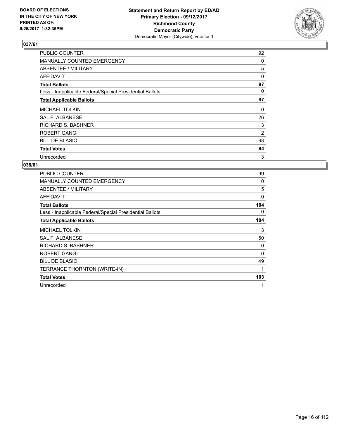

| <b>PUBLIC COUNTER</b>                                    | 92             |
|----------------------------------------------------------|----------------|
| MANUALLY COUNTED EMERGENCY                               | 0              |
| ABSENTEE / MILITARY                                      | 5              |
| AFFIDAVIT                                                | 0              |
| <b>Total Ballots</b>                                     | 97             |
| Less - Inapplicable Federal/Special Presidential Ballots | 0              |
| <b>Total Applicable Ballots</b>                          | 97             |
| <b>MICHAEL TOLKIN</b>                                    | 0              |
| SAL F. ALBANESE                                          | 26             |
| <b>RICHARD S. BASHNER</b>                                | 3              |
| <b>ROBERT GANGI</b>                                      | $\overline{2}$ |
| <b>BILL DE BLASIO</b>                                    | 63             |
| <b>Total Votes</b>                                       | 94             |
| Unrecorded                                               | 3              |

| <b>PUBLIC COUNTER</b>                                    | 99       |
|----------------------------------------------------------|----------|
| MANUALLY COUNTED EMERGENCY                               | 0        |
| <b>ABSENTEE / MILITARY</b>                               | 5        |
| <b>AFFIDAVIT</b>                                         | $\Omega$ |
| <b>Total Ballots</b>                                     | 104      |
| Less - Inapplicable Federal/Special Presidential Ballots | 0        |
| <b>Total Applicable Ballots</b>                          | 104      |
| <b>MICHAEL TOLKIN</b>                                    | 3        |
| <b>SAL F. ALBANESE</b>                                   | 50       |
| RICHARD S. BASHNER                                       | 0        |
| ROBERT GANGI                                             | $\Omega$ |
| <b>BILL DE BLASIO</b>                                    | 49       |
| TERRANCE THORNTON (WRITE-IN)                             | 1        |
| <b>Total Votes</b>                                       | 103      |
| Unrecorded                                               | 1        |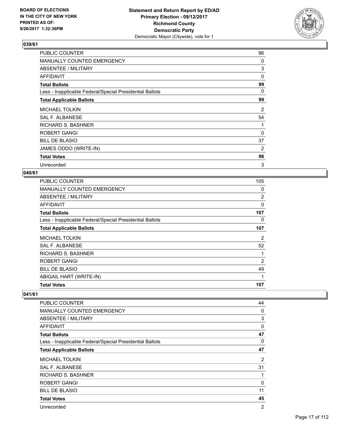

| PUBLIC COUNTER                                           | 96       |
|----------------------------------------------------------|----------|
| <b>MANUALLY COUNTED EMERGENCY</b>                        | 0        |
| ABSENTEE / MILITARY                                      | 3        |
| AFFIDAVIT                                                | $\Omega$ |
| <b>Total Ballots</b>                                     | 99       |
| Less - Inapplicable Federal/Special Presidential Ballots | 0        |
| <b>Total Applicable Ballots</b>                          | 99       |
| <b>MICHAEL TOLKIN</b>                                    | 2        |
| SAL F. ALBANESE                                          | 54       |
| <b>RICHARD S. BASHNER</b>                                |          |
| <b>ROBERT GANGI</b>                                      | 0        |
| <b>BILL DE BLASIO</b>                                    | 37       |
| JAMES ODDO (WRITE-IN)                                    | 2        |
| <b>Total Votes</b>                                       | 96       |
| Unrecorded                                               | 3        |

#### **040/61**

| 105            |
|----------------|
| 0              |
| 2              |
| 0              |
| 107            |
| 0              |
| 107            |
| 2              |
| 52             |
| 1              |
| $\overline{2}$ |
| 49             |
| 1              |
| 107            |
|                |

| <b>PUBLIC COUNTER</b>                                    | 44             |
|----------------------------------------------------------|----------------|
| <b>MANUALLY COUNTED EMERGENCY</b>                        | 0              |
| ABSENTEE / MILITARY                                      | 3              |
| AFFIDAVIT                                                | 0              |
| <b>Total Ballots</b>                                     | 47             |
| Less - Inapplicable Federal/Special Presidential Ballots | 0              |
| <b>Total Applicable Ballots</b>                          | 47             |
| <b>MICHAEL TOLKIN</b>                                    | 2              |
| <b>SAL F. ALBANESE</b>                                   | 31             |
| RICHARD S. BASHNER                                       | 1              |
| <b>ROBERT GANGI</b>                                      | 0              |
| <b>BILL DE BLASIO</b>                                    | 11             |
| <b>Total Votes</b>                                       | 45             |
| Unrecorded                                               | $\overline{2}$ |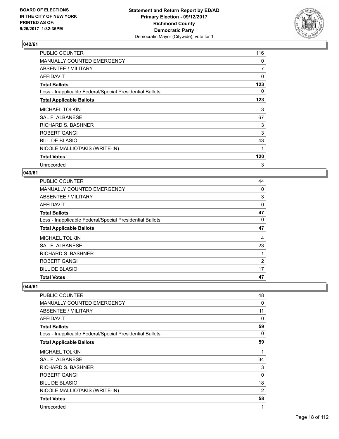

| PUBLIC COUNTER                                           | 116            |
|----------------------------------------------------------|----------------|
| <b>MANUALLY COUNTED EMERGENCY</b>                        | 0              |
| ABSENTEE / MILITARY                                      | $\overline{7}$ |
| AFFIDAVIT                                                | 0              |
| <b>Total Ballots</b>                                     | 123            |
| Less - Inapplicable Federal/Special Presidential Ballots | 0              |
| <b>Total Applicable Ballots</b>                          | 123            |
| <b>MICHAEL TOLKIN</b>                                    | 3              |
| SAL F. ALBANESE                                          | 67             |
| <b>RICHARD S. BASHNER</b>                                | 3              |
| <b>ROBERT GANGI</b>                                      | 3              |
| <b>BILL DE BLASIO</b>                                    | 43             |
| NICOLE MALLIOTAKIS (WRITE-IN)                            | 1              |
| <b>Total Votes</b>                                       | 120            |
| Unrecorded                                               | 3              |

#### **043/61**

| <b>PUBLIC COUNTER</b>                                    | 44 |
|----------------------------------------------------------|----|
| MANUALLY COUNTED EMERGENCY                               | 0  |
| ABSENTEE / MILITARY                                      | 3  |
| <b>AFFIDAVIT</b>                                         | 0  |
| <b>Total Ballots</b>                                     | 47 |
| Less - Inapplicable Federal/Special Presidential Ballots | 0  |
| <b>Total Applicable Ballots</b>                          | 47 |
| <b>MICHAEL TOLKIN</b>                                    | 4  |
| SAL F. ALBANESE                                          | 23 |
| <b>RICHARD S. BASHNER</b>                                | 1  |
| <b>ROBERT GANGI</b>                                      | 2  |
| <b>BILL DE BLASIO</b>                                    | 17 |
| <b>Total Votes</b>                                       | 47 |

| <b>PUBLIC COUNTER</b>                                    | 48 |
|----------------------------------------------------------|----|
| <b>MANUALLY COUNTED EMERGENCY</b>                        | 0  |
| <b>ABSENTEE / MILITARY</b>                               | 11 |
| AFFIDAVIT                                                | 0  |
| <b>Total Ballots</b>                                     | 59 |
| Less - Inapplicable Federal/Special Presidential Ballots | 0  |
| <b>Total Applicable Ballots</b>                          | 59 |
| <b>MICHAEL TOLKIN</b>                                    | 1  |
| SAL F. ALBANESE                                          | 34 |
| <b>RICHARD S. BASHNER</b>                                | 3  |
| ROBERT GANGI                                             | 0  |
| <b>BILL DE BLASIO</b>                                    | 18 |
| NICOLE MALLIOTAKIS (WRITE-IN)                            | 2  |
| <b>Total Votes</b>                                       | 58 |
| Unrecorded                                               | 1  |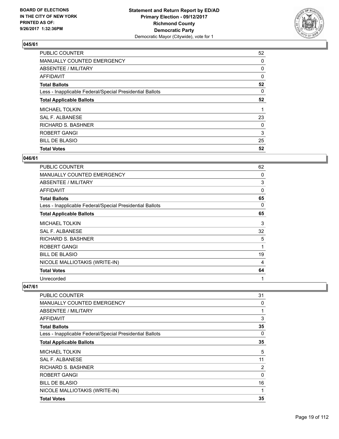

| <b>PUBLIC COUNTER</b>                                    | 52 |
|----------------------------------------------------------|----|
| MANUALLY COUNTED EMERGENCY                               | 0  |
| ABSENTEE / MILITARY                                      | 0  |
| AFFIDAVIT                                                | 0  |
| <b>Total Ballots</b>                                     | 52 |
| Less - Inapplicable Federal/Special Presidential Ballots | 0  |
| <b>Total Applicable Ballots</b>                          | 52 |
| <b>MICHAEL TOLKIN</b>                                    |    |
| SAL F. ALBANESE                                          | 23 |
| RICHARD S. BASHNER                                       | 0  |
| <b>ROBERT GANGI</b>                                      | 3  |
| <b>BILL DE BLASIO</b>                                    | 25 |
| <b>Total Votes</b>                                       | 52 |

#### **046/61**

| PUBLIC COUNTER                                           | 62 |
|----------------------------------------------------------|----|
| <b>MANUALLY COUNTED EMERGENCY</b>                        | 0  |
| ABSENTEE / MILITARY                                      | 3  |
| <b>AFFIDAVIT</b>                                         | 0  |
| <b>Total Ballots</b>                                     | 65 |
| Less - Inapplicable Federal/Special Presidential Ballots | 0  |
| <b>Total Applicable Ballots</b>                          | 65 |
| <b>MICHAEL TOLKIN</b>                                    | 3  |
| <b>SAL F. ALBANESE</b>                                   | 32 |
| RICHARD S. BASHNER                                       | 5  |
| ROBERT GANGI                                             | 1  |
| <b>BILL DE BLASIO</b>                                    | 19 |
| NICOLE MALLIOTAKIS (WRITE-IN)                            | 4  |
| <b>Total Votes</b>                                       | 64 |
| Unrecorded                                               | 1  |

| <b>PUBLIC COUNTER</b>                                    | 31 |
|----------------------------------------------------------|----|
| MANUALLY COUNTED EMERGENCY                               | 0  |
| ABSENTEE / MILITARY                                      | 1  |
| AFFIDAVIT                                                | 3  |
| <b>Total Ballots</b>                                     | 35 |
| Less - Inapplicable Federal/Special Presidential Ballots | 0  |
| <b>Total Applicable Ballots</b>                          | 35 |
| <b>MICHAEL TOLKIN</b>                                    | 5  |
| <b>SAL F. ALBANESE</b>                                   | 11 |
| RICHARD S. BASHNER                                       | 2  |
| <b>ROBERT GANGI</b>                                      | 0  |
| <b>BILL DE BLASIO</b>                                    | 16 |
| NICOLE MALLIOTAKIS (WRITE-IN)                            | 1  |
| <b>Total Votes</b>                                       | 35 |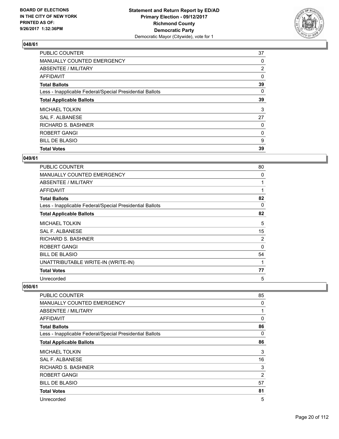

| <b>PUBLIC COUNTER</b>                                    | 37             |
|----------------------------------------------------------|----------------|
| MANUALLY COUNTED EMERGENCY                               | 0              |
| ABSENTEE / MILITARY                                      | $\overline{2}$ |
| AFFIDAVIT                                                | 0              |
| <b>Total Ballots</b>                                     | 39             |
| Less - Inapplicable Federal/Special Presidential Ballots | 0              |
| <b>Total Applicable Ballots</b>                          | 39             |
| <b>MICHAEL TOLKIN</b>                                    | 3              |
| SAL F. ALBANESE                                          | 27             |
| <b>RICHARD S. BASHNER</b>                                | 0              |
| <b>ROBERT GANGI</b>                                      | 0              |
| <b>BILL DE BLASIO</b>                                    | 9              |
| <b>Total Votes</b>                                       | 39             |

#### **049/61**

| PUBLIC COUNTER                                           | 80       |
|----------------------------------------------------------|----------|
| <b>MANUALLY COUNTED EMERGENCY</b>                        | 0        |
| ABSENTEE / MILITARY                                      | 1        |
| <b>AFFIDAVIT</b>                                         | 1        |
| <b>Total Ballots</b>                                     | 82       |
| Less - Inapplicable Federal/Special Presidential Ballots | 0        |
| <b>Total Applicable Ballots</b>                          | 82       |
| <b>MICHAEL TOLKIN</b>                                    | 5        |
| SAL F. ALBANESE                                          | 15       |
| <b>RICHARD S. BASHNER</b>                                | 2        |
| ROBERT GANGI                                             | $\Omega$ |
| <b>BILL DE BLASIO</b>                                    | 54       |
| UNATTRIBUTABLE WRITE-IN (WRITE-IN)                       | 1        |
| <b>Total Votes</b>                                       | 77       |
| Unrecorded                                               | 5        |

| <b>PUBLIC COUNTER</b>                                    | 85             |
|----------------------------------------------------------|----------------|
| <b>MANUALLY COUNTED EMERGENCY</b>                        | 0              |
| ABSENTEE / MILITARY                                      | 1              |
| <b>AFFIDAVIT</b>                                         | 0              |
| <b>Total Ballots</b>                                     | 86             |
| Less - Inapplicable Federal/Special Presidential Ballots | 0              |
| <b>Total Applicable Ballots</b>                          | 86             |
| MICHAEL TOLKIN                                           | 3              |
| <b>SAL F. ALBANESE</b>                                   | 16             |
| <b>RICHARD S. BASHNER</b>                                | 3              |
| <b>ROBERT GANGI</b>                                      | $\overline{2}$ |
| <b>BILL DE BLASIO</b>                                    | 57             |
| <b>Total Votes</b>                                       | 81             |
| Unrecorded                                               | 5              |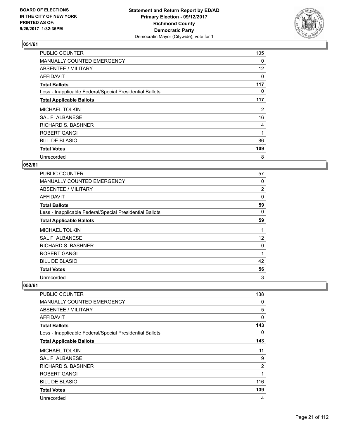

| <b>PUBLIC COUNTER</b>                                    | 105 |
|----------------------------------------------------------|-----|
| MANUALLY COUNTED EMERGENCY                               | 0   |
| ABSENTEE / MILITARY                                      | 12  |
| AFFIDAVIT                                                | 0   |
| <b>Total Ballots</b>                                     | 117 |
| Less - Inapplicable Federal/Special Presidential Ballots | 0   |
| <b>Total Applicable Ballots</b>                          | 117 |
| <b>MICHAEL TOLKIN</b>                                    | 2   |
| SAL F. ALBANESE                                          | 16  |
| <b>RICHARD S. BASHNER</b>                                | 4   |
| <b>ROBERT GANGI</b>                                      | 1   |
| <b>BILL DE BLASIO</b>                                    | 86  |
| <b>Total Votes</b>                                       | 109 |
| Unrecorded                                               | 8   |

#### **052/61**

| <b>PUBLIC COUNTER</b>                                    | 57 |
|----------------------------------------------------------|----|
| MANUALLY COUNTED EMERGENCY                               | 0  |
| ABSENTEE / MILITARY                                      | 2  |
| AFFIDAVIT                                                | 0  |
| <b>Total Ballots</b>                                     | 59 |
| Less - Inapplicable Federal/Special Presidential Ballots | 0  |
| <b>Total Applicable Ballots</b>                          | 59 |
| <b>MICHAEL TOLKIN</b>                                    | 1  |
| SAL F. ALBANESE                                          | 12 |
| RICHARD S. BASHNER                                       | 0  |
| <b>ROBERT GANGI</b>                                      | 1  |
| <b>BILL DE BLASIO</b>                                    | 42 |
| <b>Total Votes</b>                                       | 56 |
| Unrecorded                                               | 3  |

| <b>PUBLIC COUNTER</b>                                    | 138 |
|----------------------------------------------------------|-----|
| MANUALLY COUNTED EMERGENCY                               | 0   |
| ABSENTEE / MILITARY                                      | 5   |
| <b>AFFIDAVIT</b>                                         | 0   |
| <b>Total Ballots</b>                                     | 143 |
| Less - Inapplicable Federal/Special Presidential Ballots | 0   |
| <b>Total Applicable Ballots</b>                          | 143 |
| <b>MICHAEL TOLKIN</b>                                    | 11  |
| SAL F. ALBANESE                                          | 9   |
| RICHARD S. BASHNER                                       | 2   |
| ROBERT GANGI                                             | 1   |
| <b>BILL DE BLASIO</b>                                    | 116 |
| <b>Total Votes</b>                                       | 139 |
| Unrecorded                                               | 4   |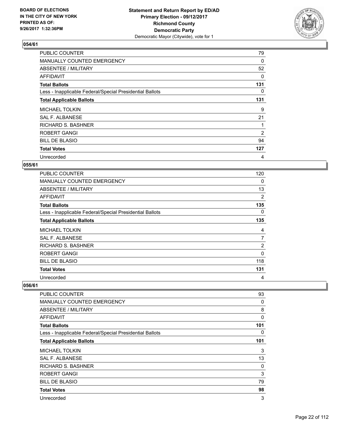

| <b>PUBLIC COUNTER</b>                                    | 79  |
|----------------------------------------------------------|-----|
| MANUALLY COUNTED EMERGENCY                               | 0   |
| ABSENTEE / MILITARY                                      | 52  |
| AFFIDAVIT                                                | 0   |
| <b>Total Ballots</b>                                     | 131 |
| Less - Inapplicable Federal/Special Presidential Ballots | 0   |
| <b>Total Applicable Ballots</b>                          | 131 |
| <b>MICHAEL TOLKIN</b>                                    | 9   |
| SAL F. ALBANESE                                          | 21  |
| RICHARD S. BASHNER                                       |     |
| <b>ROBERT GANGI</b>                                      | 2   |
| <b>BILL DE BLASIO</b>                                    | 94  |
| <b>Total Votes</b>                                       | 127 |
| Unrecorded                                               | 4   |

#### **055/61**

| <b>PUBLIC COUNTER</b>                                    | 120 |
|----------------------------------------------------------|-----|
| MANUALLY COUNTED EMERGENCY                               | 0   |
| ABSENTEE / MILITARY                                      | 13  |
| AFFIDAVIT                                                | 2   |
| <b>Total Ballots</b>                                     | 135 |
| Less - Inapplicable Federal/Special Presidential Ballots | 0   |
| <b>Total Applicable Ballots</b>                          | 135 |
| <b>MICHAEL TOLKIN</b>                                    | 4   |
| SAL F. ALBANESE                                          | 7   |
| <b>RICHARD S. BASHNER</b>                                | 2   |
| <b>ROBERT GANGI</b>                                      | 0   |
| <b>BILL DE BLASIO</b>                                    | 118 |
| <b>Total Votes</b>                                       | 131 |
|                                                          |     |

| <b>PUBLIC COUNTER</b>                                    | 93       |
|----------------------------------------------------------|----------|
| MANUALLY COUNTED EMERGENCY                               | 0        |
| ABSENTEE / MILITARY                                      | 8        |
| <b>AFFIDAVIT</b>                                         | $\Omega$ |
| <b>Total Ballots</b>                                     | 101      |
| Less - Inapplicable Federal/Special Presidential Ballots | 0        |
| <b>Total Applicable Ballots</b>                          | 101      |
| <b>MICHAEL TOLKIN</b>                                    | 3        |
| SAL F. ALBANESE                                          | 13       |
| <b>RICHARD S. BASHNER</b>                                | 0        |
| <b>ROBERT GANGI</b>                                      | 3        |
| <b>BILL DE BLASIO</b>                                    | 79       |
| <b>Total Votes</b>                                       | 98       |
| Unrecorded                                               | 3        |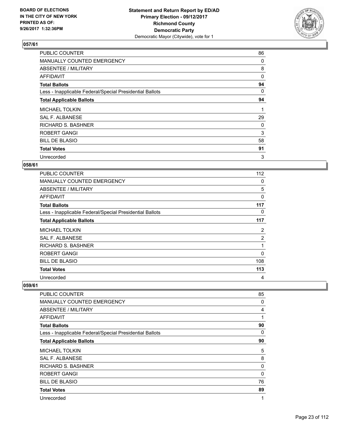

| <b>PUBLIC COUNTER</b>                                    | 86 |
|----------------------------------------------------------|----|
| MANUALLY COUNTED EMERGENCY                               | 0  |
| ABSENTEE / MILITARY                                      | 8  |
| AFFIDAVIT                                                | 0  |
| <b>Total Ballots</b>                                     | 94 |
| Less - Inapplicable Federal/Special Presidential Ballots | 0  |
| <b>Total Applicable Ballots</b>                          | 94 |
| <b>MICHAEL TOLKIN</b>                                    | 1  |
| SAL F. ALBANESE                                          | 29 |
| <b>RICHARD S. BASHNER</b>                                | 0  |
| <b>ROBERT GANGI</b>                                      | 3  |
| <b>BILL DE BLASIO</b>                                    | 58 |
| <b>Total Votes</b>                                       | 91 |
| Unrecorded                                               | 3  |

#### **058/61**

| <b>PUBLIC COUNTER</b>                                    | 112            |
|----------------------------------------------------------|----------------|
| MANUALLY COUNTED EMERGENCY                               | 0              |
| ABSENTEE / MILITARY                                      | 5              |
| AFFIDAVIT                                                | 0              |
| <b>Total Ballots</b>                                     | 117            |
| Less - Inapplicable Federal/Special Presidential Ballots | 0              |
| <b>Total Applicable Ballots</b>                          | 117            |
| <b>MICHAEL TOLKIN</b>                                    | 2              |
| SAL F. ALBANESE                                          | $\overline{2}$ |
| <b>RICHARD S. BASHNER</b>                                |                |
| <b>ROBERT GANGI</b>                                      | 0              |
| <b>BILL DE BLASIO</b>                                    | 108            |
|                                                          |                |
| <b>Total Votes</b>                                       | 113            |

| <b>PUBLIC COUNTER</b>                                    | 85       |
|----------------------------------------------------------|----------|
| MANUALLY COUNTED EMERGENCY                               | 0        |
| ABSENTEE / MILITARY                                      | 4        |
| <b>AFFIDAVIT</b>                                         | 1        |
| <b>Total Ballots</b>                                     | 90       |
| Less - Inapplicable Federal/Special Presidential Ballots | 0        |
| <b>Total Applicable Ballots</b>                          | 90       |
| MICHAEL TOLKIN                                           | 5        |
| SAL F. ALBANESE                                          | 8        |
| <b>RICHARD S. BASHNER</b>                                | 0        |
| <b>ROBERT GANGI</b>                                      | $\Omega$ |
| <b>BILL DE BLASIO</b>                                    | 76       |
| <b>Total Votes</b>                                       | 89       |
| Unrecorded                                               | 1        |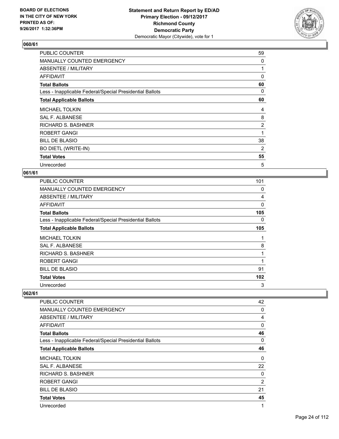

| PUBLIC COUNTER                                           | 59             |
|----------------------------------------------------------|----------------|
| <b>MANUALLY COUNTED EMERGENCY</b>                        | 0              |
| ABSENTEE / MILITARY                                      |                |
| AFFIDAVIT                                                | 0              |
| <b>Total Ballots</b>                                     | 60             |
| Less - Inapplicable Federal/Special Presidential Ballots | 0              |
| <b>Total Applicable Ballots</b>                          | 60             |
| <b>MICHAEL TOLKIN</b>                                    | 4              |
| SAL F. ALBANESE                                          | 8              |
| <b>RICHARD S. BASHNER</b>                                | $\overline{c}$ |
| <b>ROBERT GANGI</b>                                      | 1              |
| <b>BILL DE BLASIO</b>                                    | 38             |
| <b>BO DIETL (WRITE-IN)</b>                               | 2              |
| <b>Total Votes</b>                                       | 55             |
| Unrecorded                                               | 5              |

#### **061/61**

| PUBLIC COUNTER                                           | 101 |
|----------------------------------------------------------|-----|
| MANUALLY COUNTED EMERGENCY                               | 0   |
| ABSENTEE / MILITARY                                      | 4   |
| AFFIDAVIT                                                | 0   |
| <b>Total Ballots</b>                                     | 105 |
| Less - Inapplicable Federal/Special Presidential Ballots | 0   |
| <b>Total Applicable Ballots</b>                          | 105 |
| <b>MICHAEL TOLKIN</b>                                    | 1   |
| SAL F. ALBANESE                                          | 8   |
| <b>RICHARD S. BASHNER</b>                                | 1   |
| ROBERT GANGI                                             | 1   |
| <b>BILL DE BLASIO</b>                                    | 91  |
| <b>Total Votes</b>                                       | 102 |
| Unrecorded                                               | 3   |

| PUBLIC COUNTER                                           | 42 |
|----------------------------------------------------------|----|
| MANUALLY COUNTED EMERGENCY                               | 0  |
| ABSENTEE / MILITARY                                      | 4  |
| AFFIDAVIT                                                | 0  |
| <b>Total Ballots</b>                                     | 46 |
| Less - Inapplicable Federal/Special Presidential Ballots | 0  |
| <b>Total Applicable Ballots</b>                          | 46 |
| <b>MICHAEL TOLKIN</b>                                    | 0  |
| SAL F. ALBANESE                                          | 22 |
| <b>RICHARD S. BASHNER</b>                                | 0  |
| <b>ROBERT GANGI</b>                                      | 2  |
| <b>BILL DE BLASIO</b>                                    | 21 |
| <b>Total Votes</b>                                       | 45 |
| Unrecorded                                               | 1  |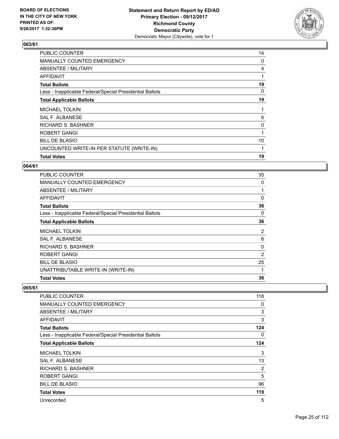

| PUBLIC COUNTER                                           | 14 |
|----------------------------------------------------------|----|
| MANUALLY COUNTED EMERGENCY                               | 0  |
| ABSENTEE / MILITARY                                      | 4  |
| AFFIDAVIT                                                |    |
| <b>Total Ballots</b>                                     | 19 |
| Less - Inapplicable Federal/Special Presidential Ballots | 0  |
| <b>Total Applicable Ballots</b>                          | 19 |
| <b>MICHAEL TOLKIN</b>                                    |    |
| SAL F. ALBANESE                                          | 6  |
| <b>RICHARD S. BASHNER</b>                                | 0  |
| <b>ROBERT GANGI</b>                                      | 1  |
| <b>BILL DE BLASIO</b>                                    | 10 |
| UNCOUNTED WRITE-IN PER STATUTE (WRITE-IN)                |    |
| <b>Total Votes</b>                                       | 19 |

#### **064/61**

| <b>PUBLIC COUNTER</b>                                    | 35       |
|----------------------------------------------------------|----------|
| MANUALLY COUNTED EMERGENCY                               | 0        |
| ABSENTEE / MILITARY                                      |          |
| AFFIDAVIT                                                | $\Omega$ |
| <b>Total Ballots</b>                                     | 36       |
| Less - Inapplicable Federal/Special Presidential Ballots | 0        |
| <b>Total Applicable Ballots</b>                          | 36       |
| <b>MICHAEL TOLKIN</b>                                    | 2        |
| <b>SAL F. ALBANESE</b>                                   | 6        |
| <b>RICHARD S. BASHNER</b>                                | 0        |
| <b>ROBERT GANGI</b>                                      | 2        |
| <b>BILL DE BLASIO</b>                                    | 25       |
| UNATTRIBUTABLE WRITE-IN (WRITE-IN)                       | 1        |
| <b>Total Votes</b>                                       | 36       |

| PUBLIC COUNTER                                           | 118 |
|----------------------------------------------------------|-----|
| <b>MANUALLY COUNTED EMERGENCY</b>                        | 0   |
| <b>ABSENTEE / MILITARY</b>                               | 3   |
| AFFIDAVIT                                                | 3   |
| <b>Total Ballots</b>                                     | 124 |
| Less - Inapplicable Federal/Special Presidential Ballots | 0   |
| <b>Total Applicable Ballots</b>                          | 124 |
| <b>MICHAEL TOLKIN</b>                                    | 3   |
| SAL F. ALBANESE                                          | 13  |
| <b>RICHARD S. BASHNER</b>                                | 2   |
| <b>ROBERT GANGI</b>                                      | 5   |
| <b>BILL DE BLASIO</b>                                    | 96  |
| <b>Total Votes</b>                                       | 119 |
| Unrecorded                                               | 5   |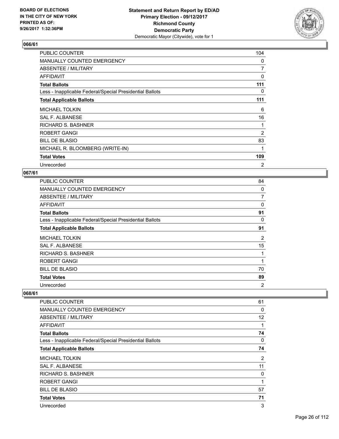

| PUBLIC COUNTER                                           | 104 |
|----------------------------------------------------------|-----|
| <b>MANUALLY COUNTED EMERGENCY</b>                        | 0   |
| ABSENTEE / MILITARY                                      | 7   |
| AFFIDAVIT                                                | 0   |
| <b>Total Ballots</b>                                     | 111 |
| Less - Inapplicable Federal/Special Presidential Ballots | 0   |
| <b>Total Applicable Ballots</b>                          | 111 |
| <b>MICHAEL TOLKIN</b>                                    | 6   |
| SAL F. ALBANESE                                          | 16  |
| <b>RICHARD S. BASHNER</b>                                |     |
| <b>ROBERT GANGI</b>                                      | 2   |
| <b>BILL DE BLASIO</b>                                    | 83  |
| MICHAEL R. BLOOMBERG (WRITE-IN)                          | 1   |
| <b>Total Votes</b>                                       | 109 |
| Unrecorded                                               | 2   |

#### **067/61**

| PUBLIC COUNTER                                           | 84             |
|----------------------------------------------------------|----------------|
| <b>MANUALLY COUNTED EMERGENCY</b>                        | 0              |
| ABSENTEE / MILITARY                                      | 7              |
| AFFIDAVIT                                                | 0              |
| <b>Total Ballots</b>                                     | 91             |
| Less - Inapplicable Federal/Special Presidential Ballots | 0              |
| <b>Total Applicable Ballots</b>                          | 91             |
| <b>MICHAEL TOLKIN</b>                                    | 2              |
| SAL F. ALBANESE                                          | 15             |
| <b>RICHARD S. BASHNER</b>                                | 1              |
| ROBERT GANGI                                             | 1              |
| <b>BILL DE BLASIO</b>                                    | 70             |
| <b>Total Votes</b>                                       | 89             |
| Unrecorded                                               | $\overline{2}$ |

| PUBLIC COUNTER                                           | 61                |
|----------------------------------------------------------|-------------------|
| <b>MANUALLY COUNTED EMERGENCY</b>                        | 0                 |
| ABSENTEE / MILITARY                                      | $12 \overline{ }$ |
| AFFIDAVIT                                                | 1                 |
| <b>Total Ballots</b>                                     | 74                |
| Less - Inapplicable Federal/Special Presidential Ballots | 0                 |
| <b>Total Applicable Ballots</b>                          | 74                |
| <b>MICHAEL TOLKIN</b>                                    | $\overline{2}$    |
| SAL F. ALBANESE                                          | 11                |
| <b>RICHARD S. BASHNER</b>                                | 0                 |
| <b>ROBERT GANGI</b>                                      | 1                 |
| <b>BILL DE BLASIO</b>                                    | 57                |
| <b>Total Votes</b>                                       | 71                |
| Unrecorded                                               | 3                 |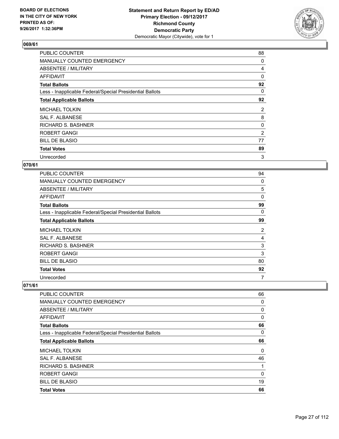

| <b>PUBLIC COUNTER</b>                                    | 88 |
|----------------------------------------------------------|----|
| MANUALLY COUNTED EMERGENCY                               | 0  |
| ABSENTEE / MILITARY                                      | 4  |
| AFFIDAVIT                                                | 0  |
| <b>Total Ballots</b>                                     | 92 |
| Less - Inapplicable Federal/Special Presidential Ballots | 0  |
| <b>Total Applicable Ballots</b>                          | 92 |
| <b>MICHAEL TOLKIN</b>                                    | 2  |
| <b>SAL F. ALBANESE</b>                                   | 8  |
| <b>RICHARD S. BASHNER</b>                                | 0  |
| ROBERT GANGI                                             | 2  |
| <b>BILL DE BLASIO</b>                                    | 77 |
| <b>Total Votes</b>                                       | 89 |
| Unrecorded                                               | 3  |

#### **070/61**

| <b>PUBLIC COUNTER</b>                                    | 94 |
|----------------------------------------------------------|----|
| MANUALLY COUNTED EMERGENCY                               | 0  |
| ABSENTEE / MILITARY                                      | 5  |
| AFFIDAVIT                                                | 0  |
| <b>Total Ballots</b>                                     | 99 |
| Less - Inapplicable Federal/Special Presidential Ballots | 0  |
| <b>Total Applicable Ballots</b>                          | 99 |
| <b>MICHAEL TOLKIN</b>                                    | 2  |
| SAL F. ALBANESE                                          | 4  |
| <b>RICHARD S. BASHNER</b>                                | 3  |
| <b>ROBERT GANGI</b>                                      | 3  |
| <b>BILL DE BLASIO</b>                                    | 80 |
| <b>Total Votes</b>                                       | 92 |
| Unrecorded                                               | 7  |

| <b>Total Votes</b>                                       | 66       |
|----------------------------------------------------------|----------|
| <b>BILL DE BLASIO</b>                                    | 19       |
| ROBERT GANGI                                             | 0        |
| <b>RICHARD S. BASHNER</b>                                | 1        |
| SAL F. ALBANESE                                          | 46       |
| <b>MICHAEL TOLKIN</b>                                    | 0        |
| <b>Total Applicable Ballots</b>                          | 66       |
| Less - Inapplicable Federal/Special Presidential Ballots | 0        |
| <b>Total Ballots</b>                                     | 66       |
| AFFIDAVIT                                                | $\Omega$ |
| ABSENTEE / MILITARY                                      | 0        |
| <b>MANUALLY COUNTED EMERGENCY</b>                        | 0        |
| <b>PUBLIC COUNTER</b>                                    | 66       |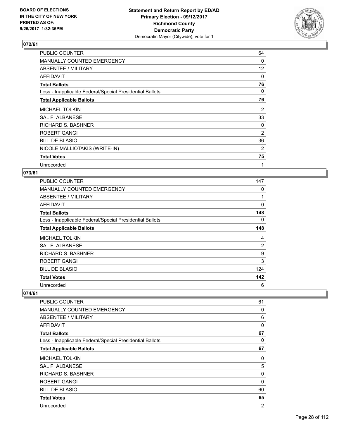

| <b>PUBLIC COUNTER</b>                                    | 64 |
|----------------------------------------------------------|----|
| <b>MANUALLY COUNTED EMERGENCY</b>                        | 0  |
| ABSENTEE / MILITARY                                      | 12 |
| <b>AFFIDAVIT</b>                                         | 0  |
| <b>Total Ballots</b>                                     | 76 |
| Less - Inapplicable Federal/Special Presidential Ballots | 0  |
| <b>Total Applicable Ballots</b>                          | 76 |
| <b>MICHAEL TOLKIN</b>                                    | 2  |
| SAL F. ALBANESE                                          | 33 |
| <b>RICHARD S. BASHNER</b>                                | 0  |
| ROBERT GANGI                                             | 2  |
| <b>BILL DE BLASIO</b>                                    | 36 |
| NICOLE MALLIOTAKIS (WRITE-IN)                            | 2  |
| <b>Total Votes</b>                                       | 75 |
| Unrecorded                                               | 1  |

#### **073/61**

| <b>PUBLIC COUNTER</b>                                    | 147 |
|----------------------------------------------------------|-----|
| MANUALLY COUNTED EMERGENCY                               | 0   |
| ABSENTEE / MILITARY                                      | 1   |
| AFFIDAVIT                                                | 0   |
| <b>Total Ballots</b>                                     | 148 |
| Less - Inapplicable Federal/Special Presidential Ballots | 0   |
| <b>Total Applicable Ballots</b>                          | 148 |
| <b>MICHAEL TOLKIN</b>                                    | 4   |
| <b>SAL F. ALBANESE</b>                                   | 2   |
| <b>RICHARD S. BASHNER</b>                                | 9   |
| <b>ROBERT GANGI</b>                                      | 3   |
| <b>BILL DE BLASIO</b>                                    | 124 |
| <b>Total Votes</b>                                       | 142 |
| Unrecorded                                               | 6   |

| PUBLIC COUNTER                                           | 61             |
|----------------------------------------------------------|----------------|
| MANUALLY COUNTED EMERGENCY                               | 0              |
| ABSENTEE / MILITARY                                      | 6              |
| AFFIDAVIT                                                | 0              |
| <b>Total Ballots</b>                                     | 67             |
| Less - Inapplicable Federal/Special Presidential Ballots | 0              |
| <b>Total Applicable Ballots</b>                          | 67             |
| <b>MICHAEL TOLKIN</b>                                    | 0              |
| <b>SAL F. ALBANESE</b>                                   | 5              |
| <b>RICHARD S. BASHNER</b>                                | 0              |
| <b>ROBERT GANGI</b>                                      | 0              |
| <b>BILL DE BLASIO</b>                                    | 60             |
| <b>Total Votes</b>                                       | 65             |
| Unrecorded                                               | $\overline{2}$ |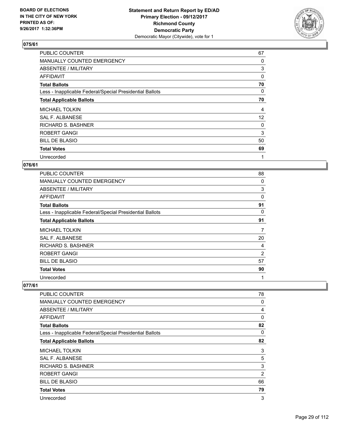

| <b>PUBLIC COUNTER</b>                                    | 67 |
|----------------------------------------------------------|----|
| MANUALLY COUNTED EMERGENCY                               | 0  |
| ABSENTEE / MILITARY                                      | 3  |
| AFFIDAVIT                                                | 0  |
| <b>Total Ballots</b>                                     | 70 |
| Less - Inapplicable Federal/Special Presidential Ballots | 0  |
| <b>Total Applicable Ballots</b>                          | 70 |
| <b>MICHAEL TOLKIN</b>                                    | 4  |
| SAL F. ALBANESE                                          | 12 |
| <b>RICHARD S. BASHNER</b>                                | 0  |
| <b>ROBERT GANGI</b>                                      | 3  |
| <b>BILL DE BLASIO</b>                                    | 50 |
| <b>Total Votes</b>                                       | 69 |
| Unrecorded                                               | 1  |

#### **076/61**

| <b>PUBLIC COUNTER</b>                                    | 88 |
|----------------------------------------------------------|----|
| MANUALLY COUNTED EMERGENCY                               | 0  |
| ABSENTEE / MILITARY                                      | 3  |
| AFFIDAVIT                                                | 0  |
| <b>Total Ballots</b>                                     | 91 |
| Less - Inapplicable Federal/Special Presidential Ballots | 0  |
| <b>Total Applicable Ballots</b>                          | 91 |
| <b>MICHAEL TOLKIN</b>                                    | 7  |
| SAL F. ALBANESE                                          | 20 |
| <b>RICHARD S. BASHNER</b>                                | 4  |
| <b>ROBERT GANGI</b>                                      | 2  |
| <b>BILL DE BLASIO</b>                                    | 57 |
| <b>Total Votes</b>                                       | 90 |
|                                                          |    |

| PUBLIC COUNTER                                           | 78       |
|----------------------------------------------------------|----------|
| MANUALLY COUNTED EMERGENCY                               | 0        |
| ABSENTEE / MILITARY                                      | 4        |
| AFFIDAVIT                                                | $\Omega$ |
| <b>Total Ballots</b>                                     | 82       |
| Less - Inapplicable Federal/Special Presidential Ballots | 0        |
| <b>Total Applicable Ballots</b>                          | 82       |
| <b>MICHAEL TOLKIN</b>                                    | 3        |
| SAL F. ALBANESE                                          | 5        |
| RICHARD S. BASHNER                                       | 3        |
| ROBERT GANGI                                             | 2        |
| <b>BILL DE BLASIO</b>                                    | 66       |
| <b>Total Votes</b>                                       | 79       |
| Unrecorded                                               | 3        |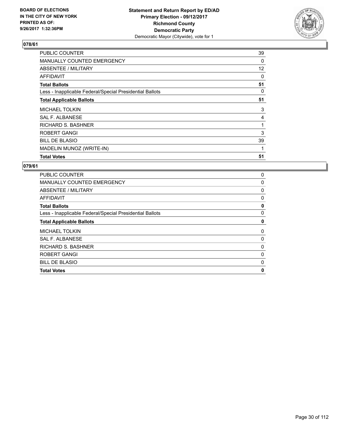

| <b>PUBLIC COUNTER</b>                                    | 39 |
|----------------------------------------------------------|----|
| <b>MANUALLY COUNTED EMERGENCY</b>                        | 0  |
| ABSENTEE / MILITARY                                      | 12 |
| AFFIDAVIT                                                | 0  |
| <b>Total Ballots</b>                                     | 51 |
| Less - Inapplicable Federal/Special Presidential Ballots | 0  |
| <b>Total Applicable Ballots</b>                          | 51 |
| <b>MICHAEL TOLKIN</b>                                    | 3  |
| SAL F. ALBANESE                                          | 4  |
| <b>RICHARD S. BASHNER</b>                                |    |
| <b>ROBERT GANGI</b>                                      | 3  |
| <b>BILL DE BLASIO</b>                                    | 39 |
| MADELIN MUNOZ (WRITE-IN)                                 | 1  |
| <b>Total Votes</b>                                       | 51 |

| <b>PUBLIC COUNTER</b>                                    | 0 |
|----------------------------------------------------------|---|
| <b>MANUALLY COUNTED EMERGENCY</b>                        | 0 |
| ABSENTEE / MILITARY                                      | 0 |
| AFFIDAVIT                                                | 0 |
| <b>Total Ballots</b>                                     | 0 |
| Less - Inapplicable Federal/Special Presidential Ballots | 0 |
| <b>Total Applicable Ballots</b>                          | 0 |
| <b>MICHAEL TOLKIN</b>                                    | 0 |
| <b>SAL F. ALBANESE</b>                                   | 0 |
| RICHARD S. BASHNER                                       | 0 |
| <b>ROBERT GANGI</b>                                      | 0 |
| <b>BILL DE BLASIO</b>                                    | 0 |
| <b>Total Votes</b>                                       | 0 |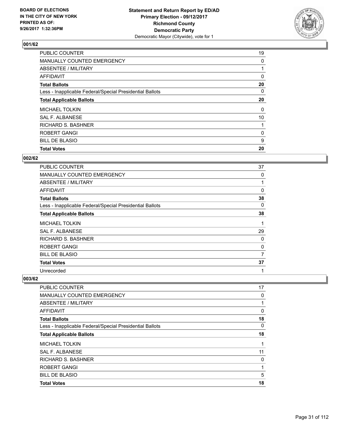

| <b>PUBLIC COUNTER</b>                                    | 19 |
|----------------------------------------------------------|----|
| MANUALLY COUNTED EMERGENCY                               | 0  |
| ABSENTEE / MILITARY                                      |    |
| AFFIDAVIT                                                | 0  |
| <b>Total Ballots</b>                                     | 20 |
| Less - Inapplicable Federal/Special Presidential Ballots | 0  |
| <b>Total Applicable Ballots</b>                          | 20 |
| <b>MICHAEL TOLKIN</b>                                    | 0  |
| SAL F. ALBANESE                                          | 10 |
| <b>RICHARD S. BASHNER</b>                                |    |
| <b>ROBERT GANGI</b>                                      | 0  |
| <b>BILL DE BLASIO</b>                                    | 9  |
| <b>Total Votes</b>                                       | 20 |

#### **002/62**

| PUBLIC COUNTER                                           | 37 |
|----------------------------------------------------------|----|
| <b>MANUALLY COUNTED EMERGENCY</b>                        | 0  |
| ABSENTEE / MILITARY                                      | 1  |
| <b>AFFIDAVIT</b>                                         | 0  |
| <b>Total Ballots</b>                                     | 38 |
| Less - Inapplicable Federal/Special Presidential Ballots | 0  |
| <b>Total Applicable Ballots</b>                          | 38 |
| <b>MICHAEL TOLKIN</b>                                    | 1  |
| SAL F. ALBANESE                                          | 29 |
| RICHARD S. BASHNER                                       | 0  |
| ROBERT GANGI                                             | 0  |
| <b>BILL DE BLASIO</b>                                    | 7  |
| <b>Total Votes</b>                                       | 37 |
| Unrecorded                                               | 1  |

| <b>Total Votes</b>                                       | 18 |
|----------------------------------------------------------|----|
| <b>BILL DE BLASIO</b>                                    | 5  |
| ROBERT GANGI                                             |    |
| <b>RICHARD S. BASHNER</b>                                | 0  |
| SAL F. ALBANESE                                          | 11 |
| <b>MICHAEL TOLKIN</b>                                    |    |
| <b>Total Applicable Ballots</b>                          | 18 |
| Less - Inapplicable Federal/Special Presidential Ballots | 0  |
| <b>Total Ballots</b>                                     | 18 |
| <b>AFFIDAVIT</b>                                         | 0  |
| ABSENTEE / MILITARY                                      |    |
| MANUALLY COUNTED EMERGENCY                               | 0  |
| PUBLIC COUNTER                                           | 17 |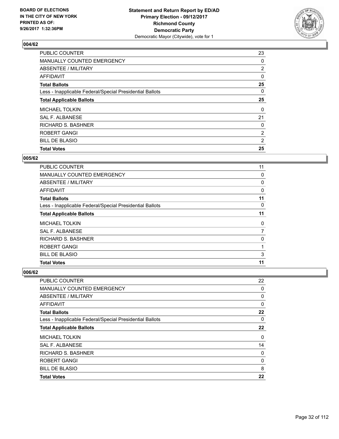

| <b>PUBLIC COUNTER</b>                                    | 23             |
|----------------------------------------------------------|----------------|
| MANUALLY COUNTED EMERGENCY                               | 0              |
| ABSENTEE / MILITARY                                      | $\overline{2}$ |
| AFFIDAVIT                                                | 0              |
| <b>Total Ballots</b>                                     | 25             |
| Less - Inapplicable Federal/Special Presidential Ballots | 0              |
| <b>Total Applicable Ballots</b>                          | 25             |
| <b>MICHAEL TOLKIN</b>                                    | 0              |
| SAL F. ALBANESE                                          | 21             |
| <b>RICHARD S. BASHNER</b>                                | 0              |
| <b>ROBERT GANGI</b>                                      | $\overline{2}$ |
| <b>BILL DE BLASIO</b>                                    | 2              |
| <b>Total Votes</b>                                       | 25             |

#### **005/62**

| PUBLIC COUNTER                                           | 11       |
|----------------------------------------------------------|----------|
| <b>MANUALLY COUNTED EMERGENCY</b>                        | 0        |
| ABSENTEE / MILITARY                                      | 0        |
| <b>AFFIDAVIT</b>                                         | 0        |
| <b>Total Ballots</b>                                     | 11       |
| Less - Inapplicable Federal/Special Presidential Ballots | $\Omega$ |
| <b>Total Applicable Ballots</b>                          | 11       |
| <b>MICHAEL TOLKIN</b>                                    | 0        |
| SAL F. ALBANESE                                          | 7        |
| <b>RICHARD S. BASHNER</b>                                | 0        |
| ROBERT GANGI                                             |          |
| <b>BILL DE BLASIO</b>                                    | 3        |
| <b>Total Votes</b>                                       | 11       |

| PUBLIC COUNTER                                           | 22       |
|----------------------------------------------------------|----------|
| MANUALLY COUNTED EMERGENCY                               | 0        |
| ABSENTEE / MILITARY                                      | 0        |
| AFFIDAVIT                                                | $\Omega$ |
| <b>Total Ballots</b>                                     | 22       |
| Less - Inapplicable Federal/Special Presidential Ballots | 0        |
| <b>Total Applicable Ballots</b>                          | 22       |
| <b>MICHAEL TOLKIN</b>                                    | $\Omega$ |
| SAL F. ALBANESE                                          | 14       |
| RICHARD S. BASHNER                                       | 0        |
| ROBERT GANGI                                             | 0        |
| <b>BILL DE BLASIO</b>                                    | 8        |
| <b>Total Votes</b>                                       | 22       |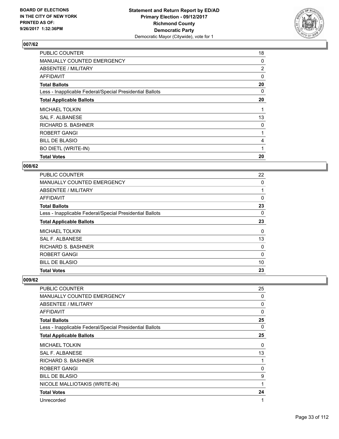

| <b>PUBLIC COUNTER</b>                                    | 18             |
|----------------------------------------------------------|----------------|
| MANUALLY COUNTED EMERGENCY                               | 0              |
| ABSENTEE / MILITARY                                      | $\overline{2}$ |
| AFFIDAVIT                                                | 0              |
| <b>Total Ballots</b>                                     | 20             |
| Less - Inapplicable Federal/Special Presidential Ballots | 0              |
| <b>Total Applicable Ballots</b>                          | 20             |
| <b>MICHAEL TOLKIN</b>                                    | 1              |
| SAL F. ALBANESE                                          | 13             |
| <b>RICHARD S. BASHNER</b>                                | 0              |
| <b>ROBERT GANGI</b>                                      |                |
| <b>BILL DE BLASIO</b>                                    | 4              |
| <b>BO DIETL (WRITE-IN)</b>                               |                |
| <b>Total Votes</b>                                       | 20             |

#### **008/62**

| <b>PUBLIC COUNTER</b>                                    | 22       |
|----------------------------------------------------------|----------|
| MANUALLY COUNTED EMERGENCY                               | 0        |
| ABSENTEE / MILITARY                                      |          |
| AFFIDAVIT                                                | 0        |
| <b>Total Ballots</b>                                     | 23       |
| Less - Inapplicable Federal/Special Presidential Ballots | 0        |
| <b>Total Applicable Ballots</b>                          | 23       |
| <b>MICHAEL TOLKIN</b>                                    | 0        |
| SAL F. ALBANESE                                          | 13       |
| <b>RICHARD S. BASHNER</b>                                | 0        |
| <b>ROBERT GANGI</b>                                      | $\Omega$ |
| <b>BILL DE BLASIO</b>                                    | 10       |
| <b>Total Votes</b>                                       | 23       |

| <b>PUBLIC COUNTER</b>                                    | 25 |
|----------------------------------------------------------|----|
| MANUALLY COUNTED EMERGENCY                               | 0  |
| ABSENTEE / MILITARY                                      | 0  |
| AFFIDAVIT                                                | 0  |
| <b>Total Ballots</b>                                     | 25 |
| Less - Inapplicable Federal/Special Presidential Ballots | 0  |
| <b>Total Applicable Ballots</b>                          | 25 |
| <b>MICHAEL TOLKIN</b>                                    | 0  |
| <b>SAL F. ALBANESE</b>                                   | 13 |
| RICHARD S. BASHNER                                       |    |
| ROBERT GANGI                                             | 0  |
| <b>BILL DE BLASIO</b>                                    | 9  |
| NICOLE MALLIOTAKIS (WRITE-IN)                            | 1  |
| <b>Total Votes</b>                                       | 24 |
| Unrecorded                                               | 1  |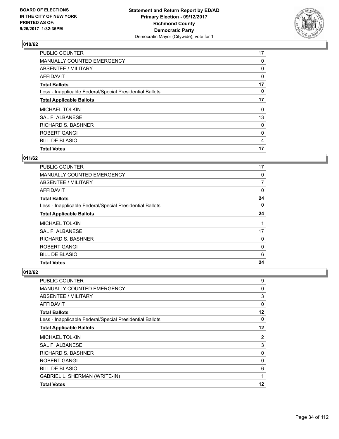

| <b>PUBLIC COUNTER</b>                                    | 17 |
|----------------------------------------------------------|----|
| MANUALLY COUNTED EMERGENCY                               | 0  |
| ABSENTEE / MILITARY                                      | 0  |
| AFFIDAVIT                                                | 0  |
| <b>Total Ballots</b>                                     | 17 |
| Less - Inapplicable Federal/Special Presidential Ballots | 0  |
| <b>Total Applicable Ballots</b>                          | 17 |
| <b>MICHAEL TOLKIN</b>                                    | 0  |
| SAL F. ALBANESE                                          | 13 |
| <b>RICHARD S. BASHNER</b>                                | 0  |
| <b>ROBERT GANGI</b>                                      | 0  |
| <b>BILL DE BLASIO</b>                                    | 4  |
| <b>Total Votes</b>                                       | 17 |

# **011/62**

| <b>PUBLIC COUNTER</b>                                    | 17 |
|----------------------------------------------------------|----|
| <b>MANUALLY COUNTED EMERGENCY</b>                        | 0  |
| ABSENTEE / MILITARY                                      | 7  |
| <b>AFFIDAVIT</b>                                         | 0  |
| <b>Total Ballots</b>                                     | 24 |
| Less - Inapplicable Federal/Special Presidential Ballots | 0  |
| <b>Total Applicable Ballots</b>                          | 24 |
| <b>MICHAEL TOLKIN</b>                                    |    |
| SAL F. ALBANESE                                          | 17 |
| <b>RICHARD S. BASHNER</b>                                | 0  |
| ROBERT GANGI                                             | 0  |
| <b>BILL DE BLASIO</b>                                    | 6  |
| <b>Total Votes</b>                                       | 24 |

| PUBLIC COUNTER                                           | 9  |
|----------------------------------------------------------|----|
| MANUALLY COUNTED EMERGENCY                               | 0  |
| ABSENTEE / MILITARY                                      | 3  |
| <b>AFFIDAVIT</b>                                         | 0  |
| <b>Total Ballots</b>                                     | 12 |
| Less - Inapplicable Federal/Special Presidential Ballots | 0  |
| <b>Total Applicable Ballots</b>                          | 12 |
| MICHAEL TOLKIN                                           | 2  |
| <b>SAL F. ALBANESE</b>                                   | 3  |
| RICHARD S. BASHNER                                       | 0  |
| ROBERT GANGI                                             | 0  |
| <b>BILL DE BLASIO</b>                                    | 6  |
| GABRIEL L. SHERMAN (WRITE-IN)                            | 1  |
| <b>Total Votes</b>                                       | 12 |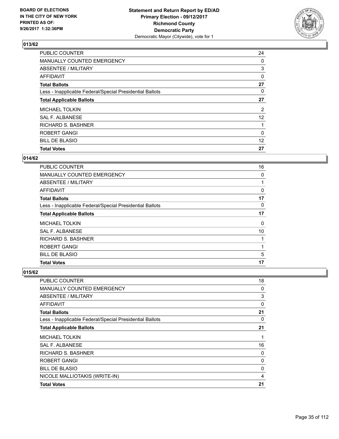

| <b>PUBLIC COUNTER</b>                                    | 24             |
|----------------------------------------------------------|----------------|
| MANUALLY COUNTED EMERGENCY                               | 0              |
| ABSENTEE / MILITARY                                      | 3              |
| AFFIDAVIT                                                | 0              |
| <b>Total Ballots</b>                                     | 27             |
| Less - Inapplicable Federal/Special Presidential Ballots | 0              |
| <b>Total Applicable Ballots</b>                          | 27             |
| <b>MICHAEL TOLKIN</b>                                    | $\overline{2}$ |
| SAL F. ALBANESE                                          | 12             |
| RICHARD S. BASHNER                                       |                |
| <b>ROBERT GANGI</b>                                      | $\Omega$       |
| <b>BILL DE BLASIO</b>                                    | 12             |
| <b>Total Votes</b>                                       | 27             |

## **014/62**

| PUBLIC COUNTER                                           | 16 |
|----------------------------------------------------------|----|
| <b>MANUALLY COUNTED EMERGENCY</b>                        | 0  |
| ABSENTEE / MILITARY                                      |    |
| AFFIDAVIT                                                | 0  |
| <b>Total Ballots</b>                                     | 17 |
| Less - Inapplicable Federal/Special Presidential Ballots | 0  |
| <b>Total Applicable Ballots</b>                          | 17 |
| <b>MICHAEL TOLKIN</b>                                    | 0  |
| SAL F. ALBANESE                                          | 10 |
| <b>RICHARD S. BASHNER</b>                                |    |
| <b>ROBERT GANGI</b>                                      |    |
| <b>BILL DE BLASIO</b>                                    | 5  |
| <b>Total Votes</b>                                       | 17 |

| <b>PUBLIC COUNTER</b>                                    | 18 |
|----------------------------------------------------------|----|
| MANUALLY COUNTED EMERGENCY                               | 0  |
| ABSENTEE / MILITARY                                      | 3  |
| <b>AFFIDAVIT</b>                                         | 0  |
| <b>Total Ballots</b>                                     | 21 |
| Less - Inapplicable Federal/Special Presidential Ballots | 0  |
| <b>Total Applicable Ballots</b>                          | 21 |
| <b>MICHAEL TOLKIN</b>                                    | 1  |
| SAL F. ALBANESE                                          | 16 |
| <b>RICHARD S. BASHNER</b>                                | 0  |
| ROBERT GANGI                                             | 0  |
| <b>BILL DE BLASIO</b>                                    | 0  |
| NICOLE MALLIOTAKIS (WRITE-IN)                            | 4  |
| <b>Total Votes</b>                                       | 21 |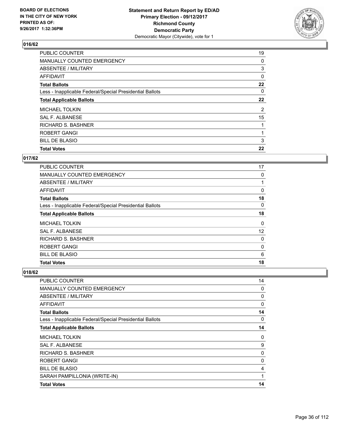

| 19 |
|----|
| 0  |
| 3  |
| 0  |
| 22 |
| 0  |
| 22 |
| 2  |
| 15 |
|    |
|    |
| 3  |
| 22 |
|    |

# **017/62**

| <b>PUBLIC COUNTER</b>                                    | 17       |
|----------------------------------------------------------|----------|
| <b>MANUALLY COUNTED EMERGENCY</b>                        | 0        |
| ABSENTEE / MILITARY                                      |          |
| AFFIDAVIT                                                | 0        |
| <b>Total Ballots</b>                                     | 18       |
| Less - Inapplicable Federal/Special Presidential Ballots | $\Omega$ |
| <b>Total Applicable Ballots</b>                          | 18       |
| <b>MICHAEL TOLKIN</b>                                    | 0        |
| <b>SAL F. ALBANESE</b>                                   | 12       |
| <b>RICHARD S. BASHNER</b>                                | 0        |
| ROBERT GANGI                                             | 0        |
| <b>BILL DE BLASIO</b>                                    | 6        |
| <b>Total Votes</b>                                       | 18       |

| PUBLIC COUNTER                                           | 14       |
|----------------------------------------------------------|----------|
| MANUALLY COUNTED EMERGENCY                               | 0        |
| ABSENTEE / MILITARY                                      | 0        |
| <b>AFFIDAVIT</b>                                         | $\Omega$ |
| <b>Total Ballots</b>                                     | 14       |
| Less - Inapplicable Federal/Special Presidential Ballots | 0        |
| <b>Total Applicable Ballots</b>                          | 14       |
| <b>MICHAEL TOLKIN</b>                                    | 0        |
| <b>SAL F. ALBANESE</b>                                   | 9        |
| RICHARD S. BASHNER                                       | 0        |
| ROBERT GANGI                                             | 0        |
| <b>BILL DE BLASIO</b>                                    | 4        |
| SARAH PAMPILLONIA (WRITE-IN)                             | 1        |
| <b>Total Votes</b>                                       | 14       |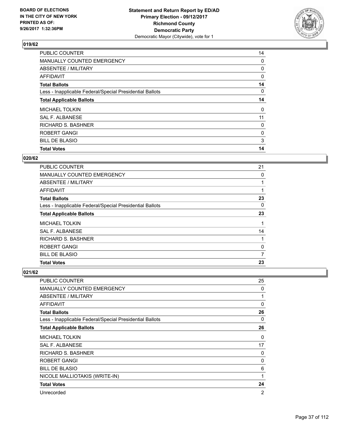

| PUBLIC COUNTER                                           | 14 |
|----------------------------------------------------------|----|
| MANUALLY COUNTED EMERGENCY                               | 0  |
| ABSENTEE / MILITARY                                      | 0  |
| AFFIDAVIT                                                | 0  |
| <b>Total Ballots</b>                                     | 14 |
| Less - Inapplicable Federal/Special Presidential Ballots | 0  |
| <b>Total Applicable Ballots</b>                          | 14 |
| <b>MICHAEL TOLKIN</b>                                    | 0  |
| SAL F. ALBANESE                                          | 11 |
| <b>RICHARD S. BASHNER</b>                                | 0  |
| <b>ROBERT GANGI</b>                                      | 0  |
| <b>BILL DE BLASIO</b>                                    | 3  |
| <b>Total Votes</b>                                       | 14 |

## **020/62**

| <b>PUBLIC COUNTER</b>                                    | 21 |
|----------------------------------------------------------|----|
| <b>MANUALLY COUNTED EMERGENCY</b>                        | 0  |
| ABSENTEE / MILITARY                                      |    |
| <b>AFFIDAVIT</b>                                         |    |
| <b>Total Ballots</b>                                     | 23 |
| Less - Inapplicable Federal/Special Presidential Ballots | 0  |
| <b>Total Applicable Ballots</b>                          | 23 |
| <b>MICHAEL TOLKIN</b>                                    |    |
| SAL F. ALBANESE                                          | 14 |
| <b>RICHARD S. BASHNER</b>                                |    |
| <b>ROBERT GANGI</b>                                      | 0  |
| <b>BILL DE BLASIO</b>                                    | 7  |
| <b>Total Votes</b>                                       | 23 |

| PUBLIC COUNTER                                           | 25 |
|----------------------------------------------------------|----|
| <b>MANUALLY COUNTED EMERGENCY</b>                        | 0  |
| ABSENTEE / MILITARY                                      | 1  |
| AFFIDAVIT                                                | 0  |
| <b>Total Ballots</b>                                     | 26 |
| Less - Inapplicable Federal/Special Presidential Ballots | 0  |
| <b>Total Applicable Ballots</b>                          | 26 |
| <b>MICHAEL TOLKIN</b>                                    | 0  |
| <b>SAL F. ALBANESE</b>                                   | 17 |
| RICHARD S. BASHNER                                       | 0  |
| ROBERT GANGI                                             | 0  |
| <b>BILL DE BLASIO</b>                                    | 6  |
| NICOLE MALLIOTAKIS (WRITE-IN)                            | 1  |
| <b>Total Votes</b>                                       | 24 |
| Unrecorded                                               | 2  |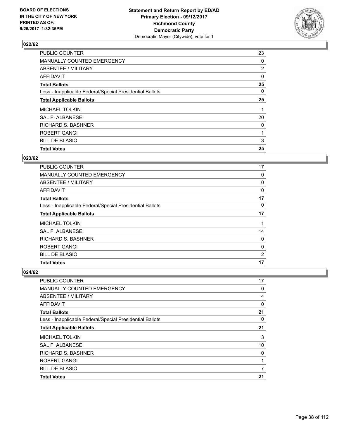

| <b>PUBLIC COUNTER</b>                                    | 23             |
|----------------------------------------------------------|----------------|
| MANUALLY COUNTED EMERGENCY                               | 0              |
| ABSENTEE / MILITARY                                      | $\overline{2}$ |
| AFFIDAVIT                                                | 0              |
| <b>Total Ballots</b>                                     | 25             |
| Less - Inapplicable Federal/Special Presidential Ballots | 0              |
| <b>Total Applicable Ballots</b>                          | 25             |
| <b>MICHAEL TOLKIN</b>                                    |                |
| SAL F. ALBANESE                                          | 20             |
| <b>RICHARD S. BASHNER</b>                                | 0              |
| <b>ROBERT GANGI</b>                                      | 1              |
| <b>BILL DE BLASIO</b>                                    | 3              |
| <b>Total Votes</b>                                       | 25             |

#### **023/62**

| <b>PUBLIC COUNTER</b>                                    | 17             |
|----------------------------------------------------------|----------------|
| <b>MANUALLY COUNTED EMERGENCY</b>                        | 0              |
| ABSENTEE / MILITARY                                      | 0              |
| <b>AFFIDAVIT</b>                                         | 0              |
| <b>Total Ballots</b>                                     | 17             |
| Less - Inapplicable Federal/Special Presidential Ballots | 0              |
| <b>Total Applicable Ballots</b>                          | 17             |
| <b>MICHAEL TOLKIN</b>                                    |                |
| <b>SAL F. ALBANESE</b>                                   | 14             |
| <b>RICHARD S. BASHNER</b>                                | 0              |
| <b>ROBERT GANGI</b>                                      | 0              |
| <b>BILL DE BLASIO</b>                                    | $\overline{2}$ |
| <b>Total Votes</b>                                       | 17             |

| <b>PUBLIC COUNTER</b>                                    | 17 |
|----------------------------------------------------------|----|
| MANUALLY COUNTED EMERGENCY                               | 0  |
| ABSENTEE / MILITARY                                      | 4  |
| AFFIDAVIT                                                | 0  |
| <b>Total Ballots</b>                                     | 21 |
| Less - Inapplicable Federal/Special Presidential Ballots | 0  |
| <b>Total Applicable Ballots</b>                          | 21 |
| <b>MICHAEL TOLKIN</b>                                    | 3  |
| SAL F. ALBANESE                                          | 10 |
| <b>RICHARD S. BASHNER</b>                                | 0  |
| <b>ROBERT GANGI</b>                                      |    |
| <b>BILL DE BLASIO</b>                                    | 7  |
| <b>Total Votes</b>                                       | 21 |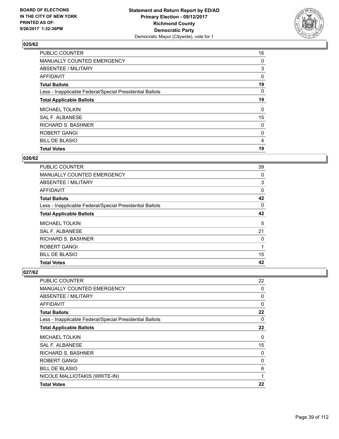

| PUBLIC COUNTER                                           | 16 |
|----------------------------------------------------------|----|
| MANUALLY COUNTED EMERGENCY                               | 0  |
| ABSENTEE / MILITARY                                      | 3  |
| AFFIDAVIT                                                | 0  |
| <b>Total Ballots</b>                                     | 19 |
| Less - Inapplicable Federal/Special Presidential Ballots | 0  |
| <b>Total Applicable Ballots</b>                          | 19 |
| <b>MICHAEL TOLKIN</b>                                    | 0  |
| SAL F. ALBANESE                                          | 15 |
| <b>RICHARD S. BASHNER</b>                                | 0  |
| <b>ROBERT GANGI</b>                                      | 0  |
| <b>BILL DE BLASIO</b>                                    | 4  |
| <b>Total Votes</b>                                       | 19 |

#### **026/62**

| <b>PUBLIC COUNTER</b>                                    | 39 |
|----------------------------------------------------------|----|
| <b>MANUALLY COUNTED EMERGENCY</b>                        | 0  |
| ABSENTEE / MILITARY                                      | 3  |
| AFFIDAVIT                                                | 0  |
| <b>Total Ballots</b>                                     | 42 |
| Less - Inapplicable Federal/Special Presidential Ballots | 0  |
| <b>Total Applicable Ballots</b>                          | 42 |
| <b>MICHAEL TOLKIN</b>                                    | 5  |
| SAL F. ALBANESE                                          | 21 |
| <b>RICHARD S. BASHNER</b>                                | 0  |
| <b>ROBERT GANGI</b>                                      | 1  |
| <b>BILL DE BLASIO</b>                                    | 15 |
| <b>Total Votes</b>                                       | 42 |

| <b>PUBLIC COUNTER</b>                                    | 22       |
|----------------------------------------------------------|----------|
| MANUALLY COUNTED EMERGENCY                               | 0        |
| ABSENTEE / MILITARY                                      | 0        |
| <b>AFFIDAVIT</b>                                         | $\Omega$ |
| <b>Total Ballots</b>                                     | 22       |
| Less - Inapplicable Federal/Special Presidential Ballots | 0        |
| <b>Total Applicable Ballots</b>                          | 22       |
| <b>MICHAEL TOLKIN</b>                                    | 0        |
| <b>SAL F. ALBANESE</b>                                   | 15       |
| <b>RICHARD S. BASHNER</b>                                | 0        |
| ROBERT GANGI                                             | 0        |
| <b>BILL DE BLASIO</b>                                    | 6        |
| NICOLE MALLIOTAKIS (WRITE-IN)                            | 1        |
| <b>Total Votes</b>                                       | 22       |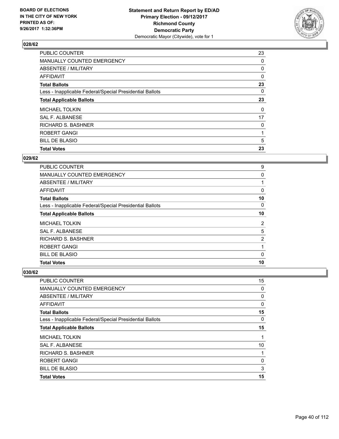

| <b>PUBLIC COUNTER</b>                                    | 23 |
|----------------------------------------------------------|----|
| MANUALLY COUNTED EMERGENCY                               | 0  |
| ABSENTEE / MILITARY                                      | 0  |
| AFFIDAVIT                                                | 0  |
| <b>Total Ballots</b>                                     | 23 |
| Less - Inapplicable Federal/Special Presidential Ballots | 0  |
| <b>Total Applicable Ballots</b>                          | 23 |
| <b>MICHAEL TOLKIN</b>                                    | 0  |
| SAL F. ALBANESE                                          | 17 |
| <b>RICHARD S. BASHNER</b>                                | 0  |
| <b>ROBERT GANGI</b>                                      |    |
| <b>BILL DE BLASIO</b>                                    | 5  |
| <b>Total Votes</b>                                       | 23 |

#### **029/62**

| <b>PUBLIC COUNTER</b>                                    | 9              |
|----------------------------------------------------------|----------------|
| <b>MANUALLY COUNTED EMERGENCY</b>                        | 0              |
| ABSENTEE / MILITARY                                      |                |
| AFFIDAVIT                                                | 0              |
| <b>Total Ballots</b>                                     | 10             |
| Less - Inapplicable Federal/Special Presidential Ballots | 0              |
| <b>Total Applicable Ballots</b>                          | 10             |
| <b>MICHAEL TOLKIN</b>                                    | $\overline{2}$ |
| SAL F. ALBANESE                                          | 5              |
| <b>RICHARD S. BASHNER</b>                                | 2              |
| <b>ROBERT GANGI</b>                                      |                |
| <b>BILL DE BLASIO</b>                                    | 0              |
| <b>Total Votes</b>                                       | 10             |

| <b>PUBLIC COUNTER</b>                                    | 15 |
|----------------------------------------------------------|----|
| MANUALLY COUNTED EMERGENCY                               | 0  |
| ABSENTEE / MILITARY                                      | 0  |
| AFFIDAVIT                                                | 0  |
| <b>Total Ballots</b>                                     | 15 |
| Less - Inapplicable Federal/Special Presidential Ballots | 0  |
| <b>Total Applicable Ballots</b>                          | 15 |
| <b>MICHAEL TOLKIN</b>                                    |    |
| <b>SAL F. ALBANESE</b>                                   | 10 |
| <b>RICHARD S. BASHNER</b>                                |    |
| <b>ROBERT GANGI</b>                                      | 0  |
| <b>BILL DE BLASIO</b>                                    | 3  |
| <b>Total Votes</b>                                       | 15 |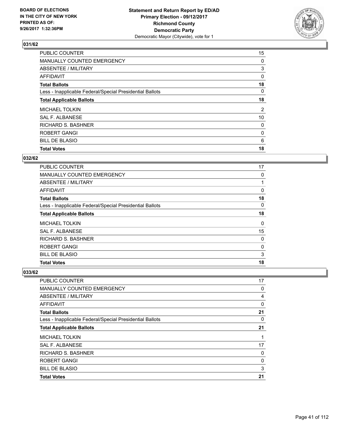

| <b>PUBLIC COUNTER</b>                                    | 15             |
|----------------------------------------------------------|----------------|
| MANUALLY COUNTED EMERGENCY                               | 0              |
| ABSENTEE / MILITARY                                      | 3              |
| AFFIDAVIT                                                | 0              |
| <b>Total Ballots</b>                                     | 18             |
| Less - Inapplicable Federal/Special Presidential Ballots | 0              |
| <b>Total Applicable Ballots</b>                          | 18             |
| <b>MICHAEL TOLKIN</b>                                    | $\overline{2}$ |
| SAL F. ALBANESE                                          | 10             |
| <b>RICHARD S. BASHNER</b>                                | 0              |
| <b>ROBERT GANGI</b>                                      | 0              |
| <b>BILL DE BLASIO</b>                                    | 6              |
| <b>Total Votes</b>                                       | 18             |

## **032/62**

| <b>PUBLIC COUNTER</b>                                    | 17 |
|----------------------------------------------------------|----|
| <b>MANUALLY COUNTED EMERGENCY</b>                        | 0  |
| ABSENTEE / MILITARY                                      |    |
| AFFIDAVIT                                                | 0  |
| <b>Total Ballots</b>                                     | 18 |
| Less - Inapplicable Federal/Special Presidential Ballots | 0  |
| <b>Total Applicable Ballots</b>                          | 18 |
| <b>MICHAEL TOLKIN</b>                                    | 0  |
| SAL F. ALBANESE                                          | 15 |
| <b>RICHARD S. BASHNER</b>                                | 0  |
| <b>ROBERT GANGI</b>                                      | 0  |
| <b>BILL DE BLASIO</b>                                    | 3  |
| <b>Total Votes</b>                                       | 18 |

| <b>PUBLIC COUNTER</b>                                    | 17 |
|----------------------------------------------------------|----|
| MANUALLY COUNTED EMERGENCY                               | 0  |
| ABSENTEE / MILITARY                                      | 4  |
| AFFIDAVIT                                                | 0  |
| <b>Total Ballots</b>                                     | 21 |
| Less - Inapplicable Federal/Special Presidential Ballots | 0  |
| <b>Total Applicable Ballots</b>                          | 21 |
| <b>MICHAEL TOLKIN</b>                                    |    |
| <b>SAL F. ALBANESE</b>                                   | 17 |
| <b>RICHARD S. BASHNER</b>                                | 0  |
| <b>ROBERT GANGI</b>                                      | 0  |
| <b>BILL DE BLASIO</b>                                    | 3  |
| <b>Total Votes</b>                                       | 21 |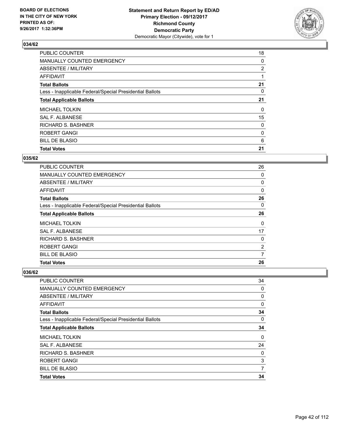

| <b>PUBLIC COUNTER</b>                                    | 18             |
|----------------------------------------------------------|----------------|
| MANUALLY COUNTED EMERGENCY                               | 0              |
| ABSENTEE / MILITARY                                      | $\overline{2}$ |
| AFFIDAVIT                                                |                |
| <b>Total Ballots</b>                                     | 21             |
| Less - Inapplicable Federal/Special Presidential Ballots | 0              |
| <b>Total Applicable Ballots</b>                          | 21             |
| <b>MICHAEL TOLKIN</b>                                    | 0              |
| SAL F. ALBANESE                                          | 15             |
| <b>RICHARD S. BASHNER</b>                                | 0              |
| <b>ROBERT GANGI</b>                                      | 0              |
| <b>BILL DE BLASIO</b>                                    | 6              |
| <b>Total Votes</b>                                       | 21             |

#### **035/62**

| PUBLIC COUNTER                                           | 26 |
|----------------------------------------------------------|----|
| <b>MANUALLY COUNTED EMERGENCY</b>                        | 0  |
| ABSENTEE / MILITARY                                      | 0  |
| <b>AFFIDAVIT</b>                                         | 0  |
| <b>Total Ballots</b>                                     | 26 |
| Less - Inapplicable Federal/Special Presidential Ballots | 0  |
| <b>Total Applicable Ballots</b>                          | 26 |
| <b>MICHAEL TOLKIN</b>                                    | 0  |
| SAL F. ALBANESE                                          | 17 |
| <b>RICHARD S. BASHNER</b>                                | 0  |
| ROBERT GANGI                                             | 2  |
| <b>BILL DE BLASIO</b>                                    | 7  |
| <b>Total Votes</b>                                       | 26 |

| PUBLIC COUNTER                                           | 34          |
|----------------------------------------------------------|-------------|
| MANUALLY COUNTED EMERGENCY                               | 0           |
| ABSENTEE / MILITARY                                      | 0           |
| AFFIDAVIT                                                | $\mathbf 0$ |
| <b>Total Ballots</b>                                     | 34          |
| Less - Inapplicable Federal/Special Presidential Ballots | 0           |
| <b>Total Applicable Ballots</b>                          | 34          |
| <b>MICHAEL TOLKIN</b>                                    | $\Omega$    |
| <b>SAL F. ALBANESE</b>                                   | 24          |
| RICHARD S. BASHNER                                       | 0           |
| ROBERT GANGI                                             | 3           |
| <b>BILL DE BLASIO</b>                                    | 7           |
| <b>Total Votes</b>                                       | 34          |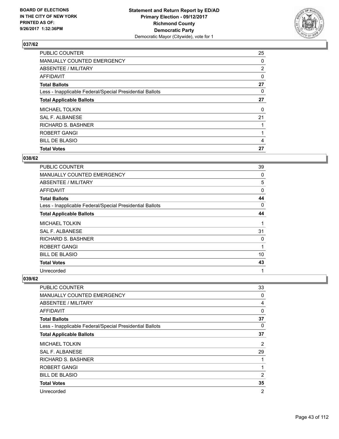

| <b>PUBLIC COUNTER</b>                                    | 25             |
|----------------------------------------------------------|----------------|
| MANUALLY COUNTED EMERGENCY                               | 0              |
| ABSENTEE / MILITARY                                      | $\overline{2}$ |
| AFFIDAVIT                                                | 0              |
| <b>Total Ballots</b>                                     | 27             |
| Less - Inapplicable Federal/Special Presidential Ballots | 0              |
| <b>Total Applicable Ballots</b>                          | 27             |
| <b>MICHAEL TOLKIN</b>                                    | 0              |
| SAL F. ALBANESE                                          | 21             |
| <b>RICHARD S. BASHNER</b>                                |                |
| <b>ROBERT GANGI</b>                                      |                |
| <b>BILL DE BLASIO</b>                                    | 4              |
| <b>Total Votes</b>                                       | 27             |

#### **038/62**

| PUBLIC COUNTER                                           | 39 |
|----------------------------------------------------------|----|
| <b>MANUALLY COUNTED EMERGENCY</b>                        | 0  |
| ABSENTEE / MILITARY                                      | 5  |
| AFFIDAVIT                                                | 0  |
| <b>Total Ballots</b>                                     | 44 |
| Less - Inapplicable Federal/Special Presidential Ballots | 0  |
| <b>Total Applicable Ballots</b>                          | 44 |
| <b>MICHAEL TOLKIN</b>                                    | 1  |
| <b>SAL F. ALBANESE</b>                                   | 31 |
| RICHARD S. BASHNER                                       | 0  |
| ROBERT GANGI                                             | 1  |
| <b>BILL DE BLASIO</b>                                    | 10 |
| <b>Total Votes</b>                                       | 43 |
| Unrecorded                                               | 1  |

| <b>PUBLIC COUNTER</b>                                    | 33             |
|----------------------------------------------------------|----------------|
| MANUALLY COUNTED EMERGENCY                               | 0              |
| ABSENTEE / MILITARY                                      | 4              |
| <b>AFFIDAVIT</b>                                         | $\Omega$       |
| <b>Total Ballots</b>                                     | 37             |
| Less - Inapplicable Federal/Special Presidential Ballots | 0              |
| <b>Total Applicable Ballots</b>                          | 37             |
| <b>MICHAEL TOLKIN</b>                                    | 2              |
| <b>SAL F. ALBANESE</b>                                   | 29             |
| <b>RICHARD S. BASHNER</b>                                |                |
| <b>ROBERT GANGI</b>                                      | 1              |
| <b>BILL DE BLASIO</b>                                    | 2              |
| <b>Total Votes</b>                                       | 35             |
| Unrecorded                                               | $\overline{2}$ |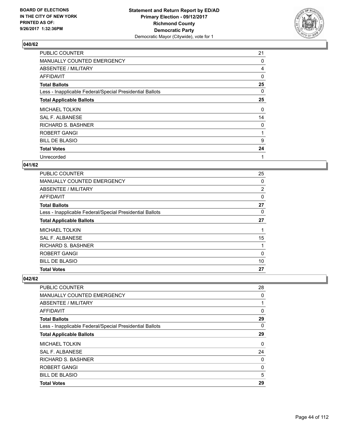

| <b>PUBLIC COUNTER</b>                                    | 21 |
|----------------------------------------------------------|----|
| MANUALLY COUNTED EMERGENCY                               | 0  |
| ABSENTEE / MILITARY                                      | 4  |
| AFFIDAVIT                                                | 0  |
| <b>Total Ballots</b>                                     | 25 |
| Less - Inapplicable Federal/Special Presidential Ballots | 0  |
| <b>Total Applicable Ballots</b>                          | 25 |
| <b>MICHAEL TOLKIN</b>                                    | 0  |
| <b>SAL F. ALBANESE</b>                                   | 14 |
| <b>RICHARD S. BASHNER</b>                                | 0  |
| ROBERT GANGI                                             | 1  |
| <b>BILL DE BLASIO</b>                                    | 9  |
| <b>Total Votes</b>                                       | 24 |
| Unrecorded                                               | 1  |

## **041/62**

| <b>PUBLIC COUNTER</b>                                    | 25             |
|----------------------------------------------------------|----------------|
| <b>MANUALLY COUNTED EMERGENCY</b>                        | 0              |
| ABSENTEE / MILITARY                                      | $\overline{2}$ |
| AFFIDAVIT                                                | 0              |
| <b>Total Ballots</b>                                     | 27             |
| Less - Inapplicable Federal/Special Presidential Ballots | 0              |
| <b>Total Applicable Ballots</b>                          | 27             |
| <b>MICHAEL TOLKIN</b>                                    |                |
| <b>SAL F. ALBANESE</b>                                   | 15             |
| <b>RICHARD S. BASHNER</b>                                |                |
| <b>ROBERT GANGI</b>                                      | 0              |
| <b>BILL DE BLASIO</b>                                    | 10             |
| <b>Total Votes</b>                                       | 27             |

| <b>Total Votes</b>                                       | 29 |
|----------------------------------------------------------|----|
| <b>BILL DE BLASIO</b>                                    | 5  |
| <b>ROBERT GANGI</b>                                      | 0  |
| <b>RICHARD S. BASHNER</b>                                | 0  |
| SAL F. ALBANESE                                          | 24 |
| <b>MICHAEL TOLKIN</b>                                    | 0  |
| <b>Total Applicable Ballots</b>                          | 29 |
| Less - Inapplicable Federal/Special Presidential Ballots | 0  |
| <b>Total Ballots</b>                                     | 29 |
| AFFIDAVIT                                                | 0  |
| ABSENTEE / MILITARY                                      |    |
| <b>MANUALLY COUNTED EMERGENCY</b>                        | 0  |
| PUBLIC COUNTER                                           | 28 |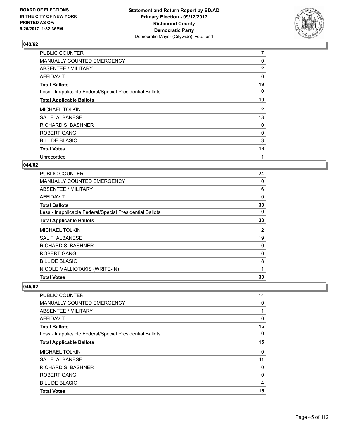

| <b>PUBLIC COUNTER</b>                                    | 17             |
|----------------------------------------------------------|----------------|
| MANUALLY COUNTED EMERGENCY                               | 0              |
| ABSENTEE / MILITARY                                      | $\overline{2}$ |
| AFFIDAVIT                                                | 0              |
| <b>Total Ballots</b>                                     | 19             |
| Less - Inapplicable Federal/Special Presidential Ballots | 0              |
| <b>Total Applicable Ballots</b>                          | 19             |
| <b>MICHAEL TOLKIN</b>                                    | 2              |
| <b>SAL F. ALBANESE</b>                                   | 13             |
| <b>RICHARD S. BASHNER</b>                                | 0              |
| ROBERT GANGI                                             | 0              |
| <b>BILL DE BLASIO</b>                                    | 3              |
| <b>Total Votes</b>                                       | 18             |
| Unrecorded                                               | 1              |

## **044/62**

| <b>PUBLIC COUNTER</b>                                    | 24          |
|----------------------------------------------------------|-------------|
| MANUALLY COUNTED EMERGENCY                               | 0           |
| ABSENTEE / MILITARY                                      | 6           |
| <b>AFFIDAVIT</b>                                         | 0           |
| <b>Total Ballots</b>                                     | 30          |
| Less - Inapplicable Federal/Special Presidential Ballots | 0           |
| <b>Total Applicable Ballots</b>                          | 30          |
| <b>MICHAEL TOLKIN</b>                                    | 2           |
| SAL F. ALBANESE                                          | 19          |
| <b>RICHARD S. BASHNER</b>                                | 0           |
| ROBERT GANGI                                             | 0           |
| <b>BILL DE BLASIO</b>                                    | 8           |
| NICOLE MALLIOTAKIS (WRITE-IN)                            | $\mathbf 1$ |
| <b>Total Votes</b>                                       | 30          |

| <b>PUBLIC COUNTER</b>                                    | 14       |
|----------------------------------------------------------|----------|
| <b>MANUALLY COUNTED EMERGENCY</b>                        | 0        |
| ABSENTEE / MILITARY                                      | 1        |
| AFFIDAVIT                                                | 0        |
| <b>Total Ballots</b>                                     | 15       |
| Less - Inapplicable Federal/Special Presidential Ballots | $\Omega$ |
| <b>Total Applicable Ballots</b>                          | 15       |
| <b>MICHAEL TOLKIN</b>                                    | $\Omega$ |
| SAL F. ALBANESE                                          | 11       |
| <b>RICHARD S. BASHNER</b>                                | 0        |
| ROBERT GANGI                                             | 0        |
| <b>BILL DE BLASIO</b>                                    | 4        |
| <b>Total Votes</b>                                       | 15       |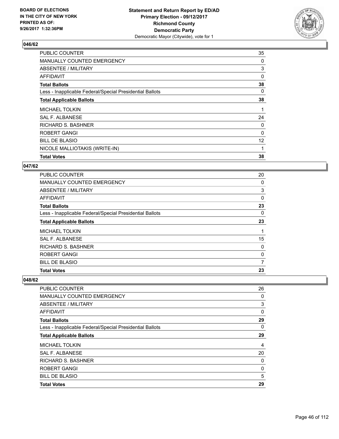

| PUBLIC COUNTER                                           | 35 |
|----------------------------------------------------------|----|
| MANUALLY COUNTED EMERGENCY                               | 0  |
| ABSENTEE / MILITARY                                      | 3  |
| AFFIDAVIT                                                | 0  |
| <b>Total Ballots</b>                                     | 38 |
| Less - Inapplicable Federal/Special Presidential Ballots | 0  |
| <b>Total Applicable Ballots</b>                          | 38 |
| <b>MICHAEL TOLKIN</b>                                    | 1  |
| SAL F. ALBANESE                                          | 24 |
| <b>RICHARD S. BASHNER</b>                                | 0  |
| <b>ROBERT GANGI</b>                                      | 0  |
| <b>BILL DE BLASIO</b>                                    | 12 |
| NICOLE MALLIOTAKIS (WRITE-IN)                            | 1  |
| <b>Total Votes</b>                                       | 38 |

#### **047/62**

| <b>PUBLIC COUNTER</b>                                    | 20 |
|----------------------------------------------------------|----|
| MANUALLY COUNTED EMERGENCY                               | 0  |
| ABSENTEE / MILITARY                                      | 3  |
| AFFIDAVIT                                                | 0  |
| <b>Total Ballots</b>                                     | 23 |
| Less - Inapplicable Federal/Special Presidential Ballots | 0  |
| <b>Total Applicable Ballots</b>                          | 23 |
| <b>MICHAEL TOLKIN</b>                                    |    |
| SAL F. ALBANESE                                          | 15 |
| <b>RICHARD S. BASHNER</b>                                | 0  |
| <b>ROBERT GANGI</b>                                      | 0  |
| <b>BILL DE BLASIO</b>                                    | 7  |
| <b>Total Votes</b>                                       | 23 |

| PUBLIC COUNTER                                           | 26 |
|----------------------------------------------------------|----|
| MANUALLY COUNTED EMERGENCY                               | 0  |
| ABSENTEE / MILITARY                                      | 3  |
| AFFIDAVIT                                                | 0  |
| <b>Total Ballots</b>                                     | 29 |
| Less - Inapplicable Federal/Special Presidential Ballots | 0  |
| <b>Total Applicable Ballots</b>                          | 29 |
| <b>MICHAEL TOLKIN</b>                                    | 4  |
| <b>SAL F. ALBANESE</b>                                   | 20 |
| <b>RICHARD S. BASHNER</b>                                | 0  |
| <b>ROBERT GANGI</b>                                      | 0  |
| <b>BILL DE BLASIO</b>                                    | 5  |
| <b>Total Votes</b>                                       | 29 |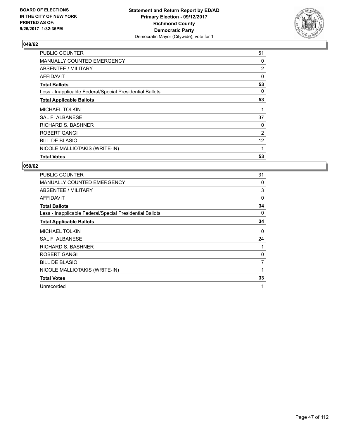

| <b>PUBLIC COUNTER</b>                                    | 51             |
|----------------------------------------------------------|----------------|
| MANUALLY COUNTED EMERGENCY                               | 0              |
| ABSENTEE / MILITARY                                      | $\overline{2}$ |
| AFFIDAVIT                                                | 0              |
| <b>Total Ballots</b>                                     | 53             |
| Less - Inapplicable Federal/Special Presidential Ballots | 0              |
| <b>Total Applicable Ballots</b>                          | 53             |
| <b>MICHAEL TOLKIN</b>                                    | 1              |
| SAL F. ALBANESE                                          | 37             |
| <b>RICHARD S. BASHNER</b>                                | 0              |
| <b>ROBERT GANGI</b>                                      | 2              |
| <b>BILL DE BLASIO</b>                                    | 12             |
| NICOLE MALLIOTAKIS (WRITE-IN)                            | 1              |
| <b>Total Votes</b>                                       | 53             |

| <b>PUBLIC COUNTER</b>                                    | 31 |
|----------------------------------------------------------|----|
| <b>MANUALLY COUNTED EMERGENCY</b>                        | 0  |
| ABSENTEE / MILITARY                                      | 3  |
| AFFIDAVIT                                                | 0  |
| <b>Total Ballots</b>                                     | 34 |
| Less - Inapplicable Federal/Special Presidential Ballots | 0  |
| <b>Total Applicable Ballots</b>                          | 34 |
| <b>MICHAEL TOLKIN</b>                                    | 0  |
| <b>SAL F. ALBANESE</b>                                   | 24 |
| <b>RICHARD S. BASHNER</b>                                | 1  |
| ROBERT GANGI                                             | 0  |
| <b>BILL DE BLASIO</b>                                    | 7  |
| NICOLE MALLIOTAKIS (WRITE-IN)                            | 1  |
| <b>Total Votes</b>                                       | 33 |
| Unrecorded                                               | 1  |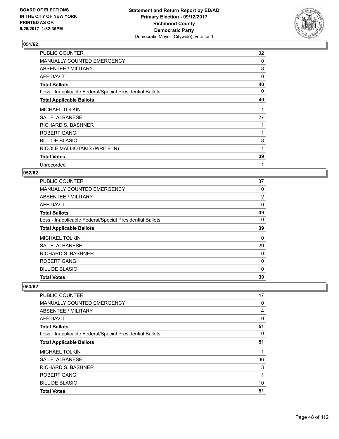

| PUBLIC COUNTER                                           | 32       |
|----------------------------------------------------------|----------|
| <b>MANUALLY COUNTED EMERGENCY</b>                        | 0        |
| ABSENTEE / MILITARY                                      | 8        |
| AFFIDAVIT                                                | $\Omega$ |
| <b>Total Ballots</b>                                     | 40       |
| Less - Inapplicable Federal/Special Presidential Ballots | 0        |
| <b>Total Applicable Ballots</b>                          | 40       |
| <b>MICHAEL TOLKIN</b>                                    |          |
| SAL F. ALBANESE                                          | 27       |
| <b>RICHARD S. BASHNER</b>                                |          |
| <b>ROBERT GANGI</b>                                      |          |
| <b>BILL DE BLASIO</b>                                    | 8        |
| NICOLE MALLIOTAKIS (WRITE-IN)                            | 1        |
| <b>Total Votes</b>                                       | 39       |
| Unrecorded                                               | 1        |

#### **052/62**

| PUBLIC COUNTER                                           | 37 |
|----------------------------------------------------------|----|
| <b>MANUALLY COUNTED EMERGENCY</b>                        | 0  |
| ABSENTEE / MILITARY                                      | 2  |
| <b>AFFIDAVIT</b>                                         | 0  |
| <b>Total Ballots</b>                                     | 39 |
| Less - Inapplicable Federal/Special Presidential Ballots | 0  |
| <b>Total Applicable Ballots</b>                          | 39 |
| <b>MICHAEL TOLKIN</b>                                    | 0  |
| SAL F. ALBANESE                                          | 29 |
| <b>RICHARD S. BASHNER</b>                                | 0  |
| <b>ROBERT GANGI</b>                                      | 0  |
| <b>BILL DE BLASIO</b>                                    | 10 |
| <b>Total Votes</b>                                       | 39 |

| <b>PUBLIC COUNTER</b>                                    | 47 |
|----------------------------------------------------------|----|
| MANUALLY COUNTED EMERGENCY                               | 0  |
| ABSENTEE / MILITARY                                      | 4  |
| AFFIDAVIT                                                | 0  |
| <b>Total Ballots</b>                                     | 51 |
| Less - Inapplicable Federal/Special Presidential Ballots | 0  |
| <b>Total Applicable Ballots</b>                          | 51 |
| <b>MICHAEL TOLKIN</b>                                    | 1  |
| <b>SAL F. ALBANESE</b>                                   | 36 |
| <b>RICHARD S. BASHNER</b>                                | 3  |
| ROBERT GANGI                                             | 1  |
| <b>BILL DE BLASIO</b>                                    | 10 |
| <b>Total Votes</b>                                       | 51 |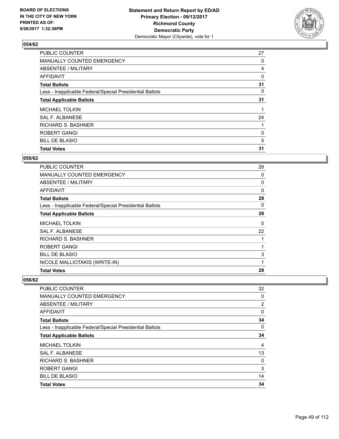

| <b>PUBLIC COUNTER</b>                                    | 27 |
|----------------------------------------------------------|----|
| MANUALLY COUNTED EMERGENCY                               | 0  |
| ABSENTEE / MILITARY                                      | 4  |
| AFFIDAVIT                                                | 0  |
| <b>Total Ballots</b>                                     | 31 |
| Less - Inapplicable Federal/Special Presidential Ballots | 0  |
| <b>Total Applicable Ballots</b>                          | 31 |
| <b>MICHAEL TOLKIN</b>                                    |    |
| SAL F. ALBANESE                                          | 24 |
| <b>RICHARD S. BASHNER</b>                                |    |
| <b>ROBERT GANGI</b>                                      | 0  |
| <b>BILL DE BLASIO</b>                                    | 5  |
| <b>Total Votes</b>                                       | 31 |

#### **055/62**

| <b>PUBLIC COUNTER</b>                                    | 28       |
|----------------------------------------------------------|----------|
| <b>MANUALLY COUNTED EMERGENCY</b>                        | 0        |
| ABSENTEE / MILITARY                                      | 0        |
| AFFIDAVIT                                                | $\Omega$ |
| <b>Total Ballots</b>                                     | 28       |
| Less - Inapplicable Federal/Special Presidential Ballots | 0        |
| <b>Total Applicable Ballots</b>                          | 28       |
| <b>MICHAEL TOLKIN</b>                                    | 0        |
| SAL F. ALBANESE                                          | 22       |
| RICHARD S. BASHNER                                       | 1        |
| <b>ROBERT GANGI</b>                                      | 1        |
| <b>BILL DE BLASIO</b>                                    | 3        |
| NICOLE MALLIOTAKIS (WRITE-IN)                            | 1        |
| <b>Total Votes</b>                                       | 28       |

| PUBLIC COUNTER                                           | 32 |
|----------------------------------------------------------|----|
| <b>MANUALLY COUNTED EMERGENCY</b>                        | 0  |
| ABSENTEE / MILITARY                                      | 2  |
| AFFIDAVIT                                                | 0  |
| <b>Total Ballots</b>                                     | 34 |
| Less - Inapplicable Federal/Special Presidential Ballots | 0  |
| <b>Total Applicable Ballots</b>                          | 34 |
| <b>MICHAEL TOLKIN</b>                                    | 4  |
| <b>SAL F. ALBANESE</b>                                   | 13 |
| <b>RICHARD S. BASHNER</b>                                | 0  |
| <b>ROBERT GANGI</b>                                      | 3  |
| <b>BILL DE BLASIO</b>                                    | 14 |
| <b>Total Votes</b>                                       | 34 |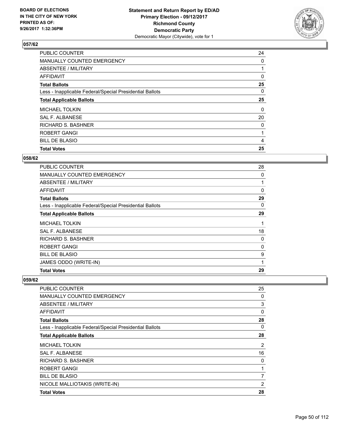

| <b>PUBLIC COUNTER</b>                                    | 24 |
|----------------------------------------------------------|----|
| MANUALLY COUNTED EMERGENCY                               | 0  |
| ABSENTEE / MILITARY                                      |    |
| AFFIDAVIT                                                | 0  |
| <b>Total Ballots</b>                                     | 25 |
| Less - Inapplicable Federal/Special Presidential Ballots | 0  |
| <b>Total Applicable Ballots</b>                          | 25 |
| <b>MICHAEL TOLKIN</b>                                    | 0  |
| SAL F. ALBANESE                                          | 20 |
| <b>RICHARD S. BASHNER</b>                                | 0  |
| ROBERT GANGI                                             | 1  |
| <b>BILL DE BLASIO</b>                                    | 4  |
| <b>Total Votes</b>                                       | 25 |

#### **058/62**

| PUBLIC COUNTER                                           | 28       |
|----------------------------------------------------------|----------|
| <b>MANUALLY COUNTED EMERGENCY</b>                        | 0        |
| <b>ABSENTEE / MILITARY</b>                               | 1        |
| AFFIDAVIT                                                | $\Omega$ |
| <b>Total Ballots</b>                                     | 29       |
| Less - Inapplicable Federal/Special Presidential Ballots | 0        |
| <b>Total Applicable Ballots</b>                          | 29       |
| MICHAEL TOLKIN                                           | 1        |
| <b>SAL F. ALBANESE</b>                                   | 18       |
| RICHARD S. BASHNER                                       | 0        |
| <b>ROBERT GANGI</b>                                      | 0        |
| <b>BILL DE BLASIO</b>                                    | 9        |
| JAMES ODDO (WRITE-IN)                                    | 1        |
| <b>Total Votes</b>                                       | 29       |

| PUBLIC COUNTER                                           | 25 |
|----------------------------------------------------------|----|
| <b>MANUALLY COUNTED EMERGENCY</b>                        | 0  |
| ABSENTEE / MILITARY                                      | 3  |
| AFFIDAVIT                                                | 0  |
| <b>Total Ballots</b>                                     | 28 |
| Less - Inapplicable Federal/Special Presidential Ballots | 0  |
| <b>Total Applicable Ballots</b>                          | 28 |
| <b>MICHAEL TOLKIN</b>                                    | 2  |
| SAL F. ALBANESE                                          | 16 |
| <b>RICHARD S. BASHNER</b>                                | 0  |
| ROBERT GANGI                                             |    |
| <b>BILL DE BLASIO</b>                                    | 7  |
| NICOLE MALLIOTAKIS (WRITE-IN)                            | 2  |
| <b>Total Votes</b>                                       | 28 |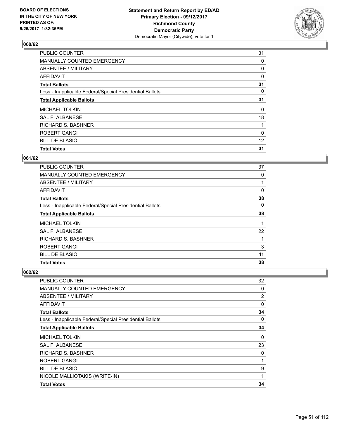

| <b>PUBLIC COUNTER</b>                                    | 31 |
|----------------------------------------------------------|----|
| MANUALLY COUNTED EMERGENCY                               | 0  |
| ABSENTEE / MILITARY                                      | 0  |
| AFFIDAVIT                                                | 0  |
| <b>Total Ballots</b>                                     | 31 |
| Less - Inapplicable Federal/Special Presidential Ballots | 0  |
| <b>Total Applicable Ballots</b>                          | 31 |
| <b>MICHAEL TOLKIN</b>                                    | 0  |
| SAL F. ALBANESE                                          | 18 |
| <b>RICHARD S. BASHNER</b>                                |    |
| ROBERT GANGI                                             | 0  |
| <b>BILL DE BLASIO</b>                                    | 12 |
| <b>Total Votes</b>                                       | 31 |

## **061/62**

| PUBLIC COUNTER                                           | 37 |
|----------------------------------------------------------|----|
| <b>MANUALLY COUNTED EMERGENCY</b>                        | 0  |
| ABSENTEE / MILITARY                                      |    |
| <b>AFFIDAVIT</b>                                         | 0  |
| <b>Total Ballots</b>                                     | 38 |
| Less - Inapplicable Federal/Special Presidential Ballots | 0  |
| <b>Total Applicable Ballots</b>                          | 38 |
| <b>MICHAEL TOLKIN</b>                                    |    |
| SAL F. ALBANESE                                          | 22 |
| <b>RICHARD S. BASHNER</b>                                |    |
| <b>ROBERT GANGI</b>                                      | 3  |
| <b>BILL DE BLASIO</b>                                    | 11 |
| <b>Total Votes</b>                                       | 38 |

| PUBLIC COUNTER                                           | 32             |
|----------------------------------------------------------|----------------|
| <b>MANUALLY COUNTED EMERGENCY</b>                        | 0              |
| ABSENTEE / MILITARY                                      | $\overline{2}$ |
| <b>AFFIDAVIT</b>                                         | 0              |
| <b>Total Ballots</b>                                     | 34             |
| Less - Inapplicable Federal/Special Presidential Ballots | 0              |
| <b>Total Applicable Ballots</b>                          | 34             |
| <b>MICHAEL TOLKIN</b>                                    | 0              |
| <b>SAL F. ALBANESE</b>                                   | 23             |
| RICHARD S. BASHNER                                       | 0              |
| ROBERT GANGI                                             | 1              |
| <b>BILL DE BLASIO</b>                                    | 9              |
| NICOLE MALLIOTAKIS (WRITE-IN)                            | 1              |
| <b>Total Votes</b>                                       | 34             |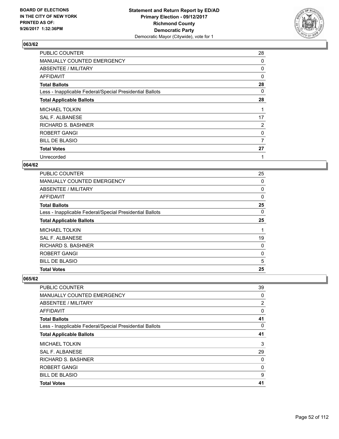

| <b>PUBLIC COUNTER</b>                                    | 28 |
|----------------------------------------------------------|----|
| MANUALLY COUNTED EMERGENCY                               | 0  |
| ABSENTEE / MILITARY                                      | 0  |
| AFFIDAVIT                                                | 0  |
| <b>Total Ballots</b>                                     | 28 |
| Less - Inapplicable Federal/Special Presidential Ballots | 0  |
| <b>Total Applicable Ballots</b>                          | 28 |
| <b>MICHAEL TOLKIN</b>                                    | 1  |
| SAL F. ALBANESE                                          | 17 |
| <b>RICHARD S. BASHNER</b>                                | 2  |
| <b>ROBERT GANGI</b>                                      | 0  |
| <b>BILL DE BLASIO</b>                                    | 7  |
| <b>Total Votes</b>                                       | 27 |
| Unrecorded                                               | 1  |

## **064/62**

| <b>PUBLIC COUNTER</b>                                    | 25 |
|----------------------------------------------------------|----|
| <b>MANUALLY COUNTED EMERGENCY</b>                        | 0  |
| ABSENTEE / MILITARY                                      | 0  |
| <b>AFFIDAVIT</b>                                         | 0  |
| <b>Total Ballots</b>                                     | 25 |
| Less - Inapplicable Federal/Special Presidential Ballots | 0  |
| <b>Total Applicable Ballots</b>                          | 25 |
| <b>MICHAEL TOLKIN</b>                                    | 1  |
| <b>SAL F. ALBANESE</b>                                   | 19 |
| <b>RICHARD S. BASHNER</b>                                | 0  |
| <b>ROBERT GANGI</b>                                      | 0  |
| <b>BILL DE BLASIO</b>                                    | 5  |
| <b>Total Votes</b>                                       | 25 |

| <b>Total Votes</b>                                       | 41             |
|----------------------------------------------------------|----------------|
| <b>BILL DE BLASIO</b>                                    | 9              |
| ROBERT GANGI                                             | 0              |
| <b>RICHARD S. BASHNER</b>                                | 0              |
| SAL F. ALBANESE                                          | 29             |
| <b>MICHAEL TOLKIN</b>                                    | 3              |
| <b>Total Applicable Ballots</b>                          | 41             |
| Less - Inapplicable Federal/Special Presidential Ballots | 0              |
| <b>Total Ballots</b>                                     | 41             |
| AFFIDAVIT                                                | 0              |
| ABSENTEE / MILITARY                                      | $\overline{2}$ |
| <b>MANUALLY COUNTED EMERGENCY</b>                        | 0              |
| PUBLIC COUNTER                                           | 39             |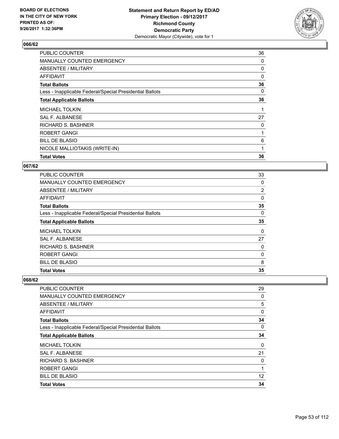

| <b>PUBLIC COUNTER</b>                                    | 36       |
|----------------------------------------------------------|----------|
| MANUALLY COUNTED EMERGENCY                               | 0        |
| ABSENTEE / MILITARY                                      | 0        |
| AFFIDAVIT                                                | $\Omega$ |
| <b>Total Ballots</b>                                     | 36       |
| Less - Inapplicable Federal/Special Presidential Ballots | 0        |
| <b>Total Applicable Ballots</b>                          | 36       |
| <b>MICHAEL TOLKIN</b>                                    | 1        |
| <b>SAL F. ALBANESE</b>                                   | 27       |
| <b>RICHARD S. BASHNER</b>                                | 0        |
| <b>ROBERT GANGI</b>                                      |          |
| <b>BILL DE BLASIO</b>                                    | 6        |
| NICOLE MALLIOTAKIS (WRITE-IN)                            | 1        |
| <b>Total Votes</b>                                       | 36       |

#### **067/62**

| <b>PUBLIC COUNTER</b>                                    | 33       |
|----------------------------------------------------------|----------|
| MANUALLY COUNTED EMERGENCY                               | 0        |
| ABSENTEE / MILITARY                                      | 2        |
| <b>AFFIDAVIT</b>                                         | 0        |
| <b>Total Ballots</b>                                     | 35       |
| Less - Inapplicable Federal/Special Presidential Ballots | 0        |
| <b>Total Applicable Ballots</b>                          | 35       |
| <b>MICHAEL TOLKIN</b>                                    | $\Omega$ |
| <b>SAL F. ALBANESE</b>                                   | 27       |
| <b>RICHARD S. BASHNER</b>                                | 0        |
| <b>ROBERT GANGI</b>                                      | 0        |
| <b>BILL DE BLASIO</b>                                    | 8        |
| <b>Total Votes</b>                                       | 35       |

| <b>PUBLIC COUNTER</b>                                    | 29 |
|----------------------------------------------------------|----|
| <b>MANUALLY COUNTED EMERGENCY</b>                        | 0  |
| ABSENTEE / MILITARY                                      | 5  |
| AFFIDAVIT                                                | 0  |
| <b>Total Ballots</b>                                     | 34 |
| Less - Inapplicable Federal/Special Presidential Ballots | 0  |
| <b>Total Applicable Ballots</b>                          | 34 |
| <b>MICHAEL TOLKIN</b>                                    | 0  |
| SAL F. ALBANESE                                          | 21 |
| <b>RICHARD S. BASHNER</b>                                | 0  |
| <b>ROBERT GANGI</b>                                      |    |
| <b>BILL DE BLASIO</b>                                    | 12 |
| <b>Total Votes</b>                                       | 34 |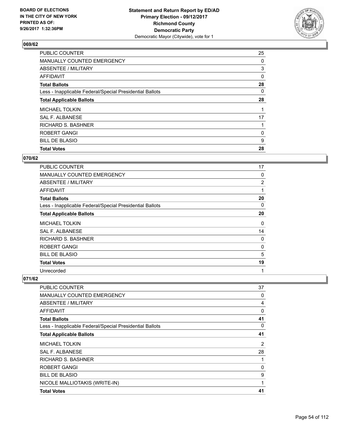

| <b>PUBLIC COUNTER</b>                                    | 25 |
|----------------------------------------------------------|----|
| MANUALLY COUNTED EMERGENCY                               | 0  |
| ABSENTEE / MILITARY                                      | 3  |
| AFFIDAVIT                                                | 0  |
| <b>Total Ballots</b>                                     | 28 |
| Less - Inapplicable Federal/Special Presidential Ballots | 0  |
| <b>Total Applicable Ballots</b>                          | 28 |
| <b>MICHAEL TOLKIN</b>                                    |    |
| SAL F. ALBANESE                                          | 17 |
| <b>RICHARD S. BASHNER</b>                                |    |
| ROBERT GANGI                                             | 0  |
| <b>BILL DE BLASIO</b>                                    | 9  |
| <b>Total Votes</b>                                       | 28 |

## **070/62**

| <b>PUBLIC COUNTER</b>                                    | 17             |
|----------------------------------------------------------|----------------|
| <b>MANUALLY COUNTED EMERGENCY</b>                        | 0              |
| <b>ABSENTEE / MILITARY</b>                               | $\overline{2}$ |
| AFFIDAVIT                                                | 1              |
| <b>Total Ballots</b>                                     | 20             |
| Less - Inapplicable Federal/Special Presidential Ballots | 0              |
| <b>Total Applicable Ballots</b>                          | 20             |
| <b>MICHAEL TOLKIN</b>                                    | 0              |
| SAL F. ALBANESE                                          | 14             |
| RICHARD S. BASHNER                                       | 0              |
| ROBERT GANGI                                             | 0              |
| <b>BILL DE BLASIO</b>                                    | 5              |
| <b>Total Votes</b>                                       | 19             |
| Unrecorded                                               | 1              |

| PUBLIC COUNTER                                           | 37 |
|----------------------------------------------------------|----|
| <b>MANUALLY COUNTED EMERGENCY</b>                        | 0  |
| ABSENTEE / MILITARY                                      | 4  |
| AFFIDAVIT                                                | 0  |
| <b>Total Ballots</b>                                     | 41 |
| Less - Inapplicable Federal/Special Presidential Ballots | 0  |
| <b>Total Applicable Ballots</b>                          | 41 |
| <b>MICHAEL TOLKIN</b>                                    | 2  |
| SAL F. ALBANESE                                          | 28 |
| <b>RICHARD S. BASHNER</b>                                |    |
| ROBERT GANGI                                             | 0  |
| <b>BILL DE BLASIO</b>                                    | 9  |
| NICOLE MALLIOTAKIS (WRITE-IN)                            | 1  |
| <b>Total Votes</b>                                       | 41 |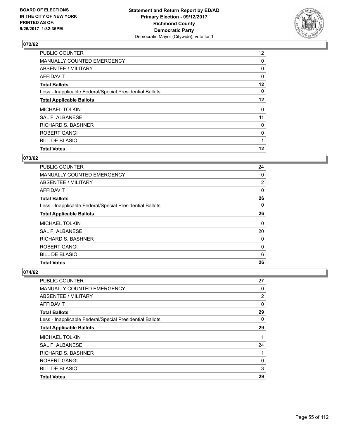

| 12 <sup>°</sup> |
|-----------------|
| 0               |
| 0               |
| 0               |
| $12 \,$         |
| 0               |
| 12              |
| 0               |
| 11              |
| 0               |
| 0               |
| 1               |
| 12              |
|                 |

## **073/62**

| <b>PUBLIC COUNTER</b>                                    | 24       |
|----------------------------------------------------------|----------|
| <b>MANUALLY COUNTED EMERGENCY</b>                        | 0        |
| ABSENTEE / MILITARY                                      | 2        |
| AFFIDAVIT                                                | $\Omega$ |
| <b>Total Ballots</b>                                     | 26       |
| Less - Inapplicable Federal/Special Presidential Ballots | 0        |
| <b>Total Applicable Ballots</b>                          | 26       |
| <b>MICHAEL TOLKIN</b>                                    | 0        |
| <b>SAL F. ALBANESE</b>                                   | 20       |
| <b>RICHARD S. BASHNER</b>                                | 0        |
| <b>ROBERT GANGI</b>                                      | 0        |
| <b>BILL DE BLASIO</b>                                    | 6        |
| <b>Total Votes</b>                                       | 26       |

| PUBLIC COUNTER                                           | 27             |
|----------------------------------------------------------|----------------|
| <b>MANUALLY COUNTED EMERGENCY</b>                        | 0              |
| ABSENTEE / MILITARY                                      | $\overline{2}$ |
| AFFIDAVIT                                                | 0              |
| <b>Total Ballots</b>                                     | 29             |
| Less - Inapplicable Federal/Special Presidential Ballots | 0              |
| <b>Total Applicable Ballots</b>                          | 29             |
| <b>MICHAEL TOLKIN</b>                                    |                |
| SAL F. ALBANESE                                          | 24             |
| <b>RICHARD S. BASHNER</b>                                |                |
| <b>ROBERT GANGI</b>                                      | 0              |
| <b>BILL DE BLASIO</b>                                    | 3              |
| <b>Total Votes</b>                                       | 29             |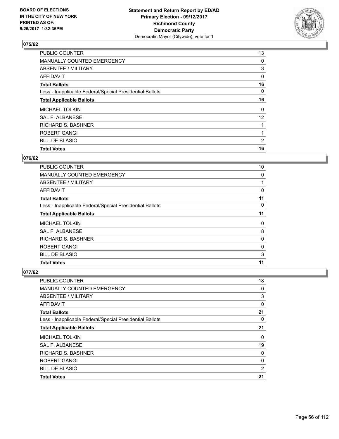

| <b>PUBLIC COUNTER</b>                                    | 13 |
|----------------------------------------------------------|----|
| MANUALLY COUNTED EMERGENCY                               | 0  |
| ABSENTEE / MILITARY                                      | 3  |
| AFFIDAVIT                                                | 0  |
| <b>Total Ballots</b>                                     | 16 |
| Less - Inapplicable Federal/Special Presidential Ballots | 0  |
| <b>Total Applicable Ballots</b>                          | 16 |
| <b>MICHAEL TOLKIN</b>                                    | 0  |
| SAL F. ALBANESE                                          | 12 |
| <b>RICHARD S. BASHNER</b>                                |    |
| <b>ROBERT GANGI</b>                                      |    |
| <b>BILL DE BLASIO</b>                                    | 2  |
| <b>Total Votes</b>                                       | 16 |

# **076/62**

| <b>PUBLIC COUNTER</b>                                    | 10       |
|----------------------------------------------------------|----------|
| <b>MANUALLY COUNTED EMERGENCY</b>                        | 0        |
| ABSENTEE / MILITARY                                      |          |
| AFFIDAVIT                                                | 0        |
| <b>Total Ballots</b>                                     | 11       |
| Less - Inapplicable Federal/Special Presidential Ballots | $\Omega$ |
| <b>Total Applicable Ballots</b>                          | 11       |
| <b>MICHAEL TOLKIN</b>                                    | 0        |
| SAL F. ALBANESE                                          | 8        |
| RICHARD S. BASHNER                                       | 0        |
| <b>ROBERT GANGI</b>                                      | 0        |
| <b>BILL DE BLASIO</b>                                    | 3        |
| <b>Total Votes</b>                                       | 11       |

| <b>Total Votes</b>                                       | 21 |
|----------------------------------------------------------|----|
| <b>BILL DE BLASIO</b>                                    | 2  |
| <b>ROBERT GANGI</b>                                      | 0  |
| <b>RICHARD S. BASHNER</b>                                | 0  |
| <b>SAL F. ALBANESE</b>                                   | 19 |
| <b>MICHAEL TOLKIN</b>                                    | 0  |
| <b>Total Applicable Ballots</b>                          | 21 |
| Less - Inapplicable Federal/Special Presidential Ballots | 0  |
| <b>Total Ballots</b>                                     | 21 |
| AFFIDAVIT                                                | 0  |
| ABSENTEE / MILITARY                                      | 3  |
| <b>MANUALLY COUNTED EMERGENCY</b>                        | 0  |
| PUBLIC COUNTER                                           | 18 |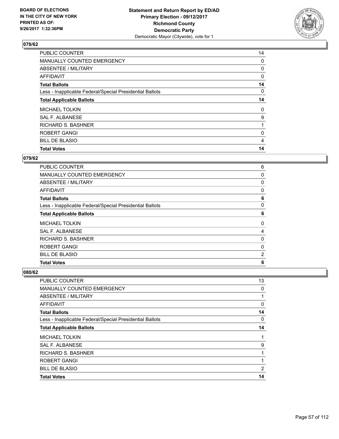

| 14 |
|----|
| 0  |
| 0  |
| 0  |
| 14 |
| 0  |
| 14 |
| 0  |
| 9  |
|    |
| 0  |
| 4  |
| 14 |
|    |

## **079/62**

| 6        |
|----------|
| 0        |
| 0        |
| 0        |
| 6        |
| $\Omega$ |
| 6        |
| 0        |
| 4        |
| 0        |
| 0        |
| 2        |
| 6        |
|          |

| PUBLIC COUNTER                                           | 13           |
|----------------------------------------------------------|--------------|
| MANUALLY COUNTED EMERGENCY                               | 0            |
| ABSENTEE / MILITARY                                      | 1            |
| <b>AFFIDAVIT</b>                                         | 0            |
| <b>Total Ballots</b>                                     | 14           |
| Less - Inapplicable Federal/Special Presidential Ballots | 0            |
| <b>Total Applicable Ballots</b>                          | 14           |
| <b>MICHAEL TOLKIN</b>                                    | $\mathbf{1}$ |
| SAL F. ALBANESE                                          | 9            |
| <b>RICHARD S. BASHNER</b>                                | 1            |
| ROBERT GANGI                                             | 1            |
| <b>BILL DE BLASIO</b>                                    | 2            |
| <b>Total Votes</b>                                       | 14           |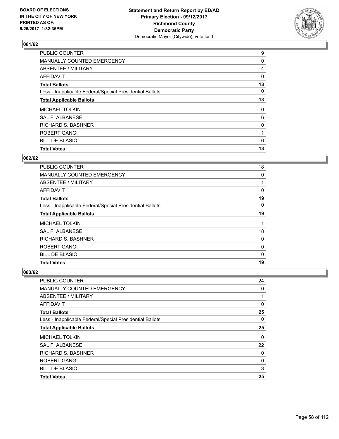

| <b>PUBLIC COUNTER</b>                                    | 9  |
|----------------------------------------------------------|----|
| MANUALLY COUNTED EMERGENCY                               | 0  |
| ABSENTEE / MILITARY                                      | 4  |
| AFFIDAVIT                                                | 0  |
| <b>Total Ballots</b>                                     | 13 |
| Less - Inapplicable Federal/Special Presidential Ballots | 0  |
| <b>Total Applicable Ballots</b>                          | 13 |
| <b>MICHAEL TOLKIN</b>                                    | 0  |
| SAL F. ALBANESE                                          | 6  |
| <b>RICHARD S. BASHNER</b>                                | 0  |
| <b>ROBERT GANGI</b>                                      |    |
| <b>BILL DE BLASIO</b>                                    | 6  |
| <b>Total Votes</b>                                       | 13 |
|                                                          |    |

## **082/62**

| <b>PUBLIC COUNTER</b>                                    | 18 |
|----------------------------------------------------------|----|
| <b>MANUALLY COUNTED EMERGENCY</b>                        | 0  |
| ABSENTEE / MILITARY                                      |    |
| AFFIDAVIT                                                | 0  |
| <b>Total Ballots</b>                                     | 19 |
| Less - Inapplicable Federal/Special Presidential Ballots | 0  |
| <b>Total Applicable Ballots</b>                          | 19 |
| <b>MICHAEL TOLKIN</b>                                    |    |
| SAL F. ALBANESE                                          | 18 |
| <b>RICHARD S. BASHNER</b>                                | 0  |
| <b>ROBERT GANGI</b>                                      | 0  |
| <b>BILL DE BLASIO</b>                                    | 0  |
| <b>Total Votes</b>                                       | 19 |

| PUBLIC COUNTER                                           | 24       |
|----------------------------------------------------------|----------|
| <b>MANUALLY COUNTED EMERGENCY</b>                        | 0        |
| ABSENTEE / MILITARY                                      |          |
| AFFIDAVIT                                                | 0        |
| <b>Total Ballots</b>                                     | 25       |
| Less - Inapplicable Federal/Special Presidential Ballots | 0        |
| <b>Total Applicable Ballots</b>                          | 25       |
| <b>MICHAEL TOLKIN</b>                                    | $\Omega$ |
| <b>SAL F. ALBANESE</b>                                   | 22       |
| RICHARD S. BASHNER                                       | 0        |
| ROBERT GANGI                                             | 0        |
| <b>BILL DE BLASIO</b>                                    | 3        |
| <b>Total Votes</b>                                       | 25       |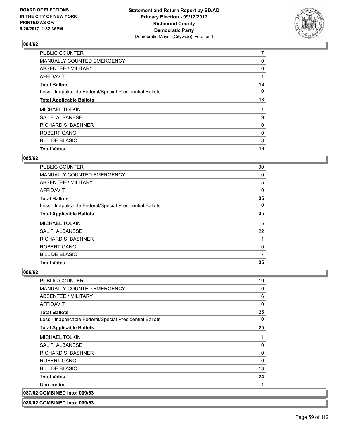

| <b>PUBLIC COUNTER</b>                                    | 17 |
|----------------------------------------------------------|----|
| MANUALLY COUNTED EMERGENCY                               | 0  |
| ABSENTEE / MILITARY                                      | 0  |
| AFFIDAVIT                                                |    |
| <b>Total Ballots</b>                                     | 18 |
| Less - Inapplicable Federal/Special Presidential Ballots | 0  |
| <b>Total Applicable Ballots</b>                          | 18 |
| <b>MICHAEL TOLKIN</b>                                    |    |
| SAL F. ALBANESE                                          | 9  |
| <b>RICHARD S. BASHNER</b>                                | 0  |
| ROBERT GANGI                                             | 0  |
| <b>BILL DE BLASIO</b>                                    | 8  |
| <b>Total Votes</b>                                       | 18 |

#### **085/62**

| <b>PUBLIC COUNTER</b>                                    | 30 |
|----------------------------------------------------------|----|
| <b>MANUALLY COUNTED EMERGENCY</b>                        | 0  |
| ABSENTEE / MILITARY                                      | 5  |
| <b>AFFIDAVIT</b>                                         | 0  |
| <b>Total Ballots</b>                                     | 35 |
| Less - Inapplicable Federal/Special Presidential Ballots | 0  |
| <b>Total Applicable Ballots</b>                          | 35 |
| <b>MICHAEL TOLKIN</b>                                    | 5  |
| <b>SAL F. ALBANESE</b>                                   | 22 |
| <b>RICHARD S. BASHNER</b>                                |    |
| <b>ROBERT GANGI</b>                                      | 0  |
| <b>BILL DE BLASIO</b>                                    | 7  |
| <b>Total Votes</b>                                       | 35 |

## **086/62**

| <b>PUBLIC COUNTER</b>                                    | 19 |
|----------------------------------------------------------|----|
| <b>MANUALLY COUNTED EMERGENCY</b>                        | 0  |
| ABSENTEE / MILITARY                                      | 6  |
| <b>AFFIDAVIT</b>                                         | 0  |
| <b>Total Ballots</b>                                     | 25 |
| Less - Inapplicable Federal/Special Presidential Ballots | 0  |
| <b>Total Applicable Ballots</b>                          | 25 |
| <b>MICHAEL TOLKIN</b>                                    | 1  |
| SAL F. ALBANESE                                          | 10 |
| <b>RICHARD S. BASHNER</b>                                | 0  |
| ROBERT GANGI                                             | 0  |
| <b>BILL DE BLASIO</b>                                    | 13 |
| <b>Total Votes</b>                                       | 24 |
| Unrecorded                                               |    |
| 087/62 COMBINED into: 009/63                             |    |

**088/62 COMBINED into: 009/63**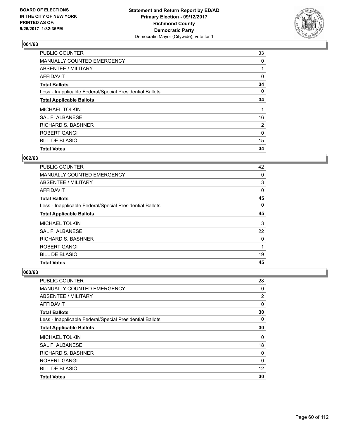

| <b>PUBLIC COUNTER</b>                                    | 33       |
|----------------------------------------------------------|----------|
| MANUALLY COUNTED EMERGENCY                               | 0        |
| ABSENTEE / MILITARY                                      |          |
| AFFIDAVIT                                                | 0        |
| <b>Total Ballots</b>                                     | 34       |
| Less - Inapplicable Federal/Special Presidential Ballots | 0        |
| <b>Total Applicable Ballots</b>                          | 34       |
| <b>MICHAEL TOLKIN</b>                                    |          |
| SAL F. ALBANESE                                          | 16       |
| <b>RICHARD S. BASHNER</b>                                | 2        |
| ROBERT GANGI                                             | $\Omega$ |
| <b>BILL DE BLASIO</b>                                    | 15       |
| <b>Total Votes</b>                                       | 34       |

#### **002/63**

| <b>PUBLIC COUNTER</b>                                    | 42 |
|----------------------------------------------------------|----|
| <b>MANUALLY COUNTED EMERGENCY</b>                        | 0  |
| ABSENTEE / MILITARY                                      | 3  |
| AFFIDAVIT                                                | 0  |
| <b>Total Ballots</b>                                     | 45 |
| Less - Inapplicable Federal/Special Presidential Ballots | 0  |
| <b>Total Applicable Ballots</b>                          | 45 |
| <b>MICHAEL TOLKIN</b>                                    | 3  |
| SAL F. ALBANESE                                          | 22 |
| <b>RICHARD S. BASHNER</b>                                | 0  |
| <b>ROBERT GANGI</b>                                      | 1  |
| <b>BILL DE BLASIO</b>                                    | 19 |
| <b>Total Votes</b>                                       | 45 |

| PUBLIC COUNTER                                           | 28             |
|----------------------------------------------------------|----------------|
| <b>MANUALLY COUNTED EMERGENCY</b>                        | 0              |
| ABSENTEE / MILITARY                                      | $\overline{2}$ |
| AFFIDAVIT                                                | 0              |
| <b>Total Ballots</b>                                     | 30             |
| Less - Inapplicable Federal/Special Presidential Ballots | 0              |
| <b>Total Applicable Ballots</b>                          | 30             |
| <b>MICHAEL TOLKIN</b>                                    | 0              |
| <b>SAL F. ALBANESE</b>                                   | 18             |
| RICHARD S. BASHNER                                       | 0              |
| ROBERT GANGI                                             | 0              |
| <b>BILL DE BLASIO</b>                                    | 12             |
| <b>Total Votes</b>                                       | 30             |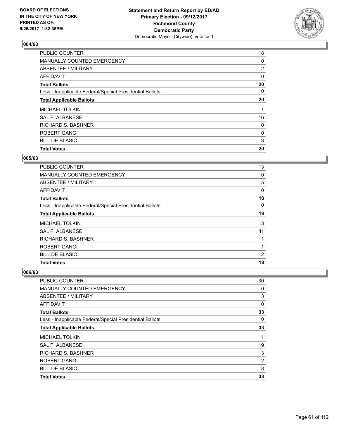

| <b>PUBLIC COUNTER</b>                                    | 18             |
|----------------------------------------------------------|----------------|
| MANUALLY COUNTED EMERGENCY                               | 0              |
| ABSENTEE / MILITARY                                      | $\overline{2}$ |
| AFFIDAVIT                                                | 0              |
| <b>Total Ballots</b>                                     | 20             |
| Less - Inapplicable Federal/Special Presidential Ballots | 0              |
| <b>Total Applicable Ballots</b>                          | 20             |
| <b>MICHAEL TOLKIN</b>                                    |                |
| SAL F. ALBANESE                                          | 16             |
| RICHARD S. BASHNER                                       | 0              |
| <b>ROBERT GANGI</b>                                      | 0              |
| <b>BILL DE BLASIO</b>                                    | 3              |
| <b>Total Votes</b>                                       | 20             |

#### **005/63**

| <b>PUBLIC COUNTER</b>                                    | 13             |
|----------------------------------------------------------|----------------|
| <b>MANUALLY COUNTED EMERGENCY</b>                        | 0              |
| ABSENTEE / MILITARY                                      | 5              |
| AFFIDAVIT                                                | 0              |
| <b>Total Ballots</b>                                     | 18             |
| Less - Inapplicable Federal/Special Presidential Ballots | 0              |
| <b>Total Applicable Ballots</b>                          | 18             |
| <b>MICHAEL TOLKIN</b>                                    | 3              |
| SAL F. ALBANESE                                          | 11             |
| <b>RICHARD S. BASHNER</b>                                |                |
| <b>ROBERT GANGI</b>                                      |                |
| <b>BILL DE BLASIO</b>                                    | $\overline{2}$ |
| <b>Total Votes</b>                                       | 18             |

| PUBLIC COUNTER                                           | 30 |
|----------------------------------------------------------|----|
| <b>MANUALLY COUNTED EMERGENCY</b>                        | 0  |
| ABSENTEE / MILITARY                                      | 3  |
| <b>AFFIDAVIT</b>                                         | 0  |
| <b>Total Ballots</b>                                     | 33 |
| Less - Inapplicable Federal/Special Presidential Ballots | 0  |
| <b>Total Applicable Ballots</b>                          | 33 |
| <b>MICHAEL TOLKIN</b>                                    |    |
| <b>SAL F. ALBANESE</b>                                   | 19 |
| <b>RICHARD S. BASHNER</b>                                | 3  |
| <b>ROBERT GANGI</b>                                      | 2  |
| <b>BILL DE BLASIO</b>                                    | 8  |
| <b>Total Votes</b>                                       | 33 |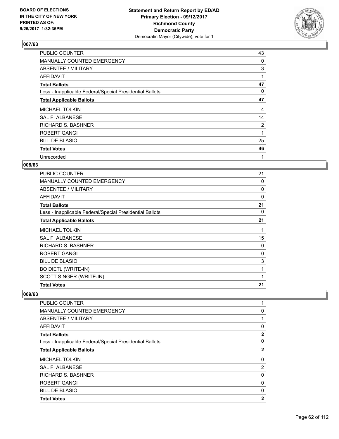

| <b>PUBLIC COUNTER</b>                                    | 43             |
|----------------------------------------------------------|----------------|
| MANUALLY COUNTED EMERGENCY                               | 0              |
| ABSENTEE / MILITARY                                      | 3              |
| AFFIDAVIT                                                |                |
| <b>Total Ballots</b>                                     | 47             |
| Less - Inapplicable Federal/Special Presidential Ballots | 0              |
| <b>Total Applicable Ballots</b>                          | 47             |
| <b>MICHAEL TOLKIN</b>                                    | 4              |
| SAL F. ALBANESE                                          | 14             |
| <b>RICHARD S. BASHNER</b>                                | $\overline{2}$ |
| ROBERT GANGI                                             | 1              |
| <b>BILL DE BLASIO</b>                                    | 25             |
| <b>Total Votes</b>                                       | 46             |
| Unrecorded                                               | 1              |

## **008/63**

| <b>PUBLIC COUNTER</b>                                    | 21 |
|----------------------------------------------------------|----|
| MANUALLY COUNTED EMERGENCY                               | 0  |
| ABSENTEE / MILITARY                                      | 0  |
| AFFIDAVIT                                                | 0  |
| <b>Total Ballots</b>                                     | 21 |
| Less - Inapplicable Federal/Special Presidential Ballots | 0  |
| <b>Total Applicable Ballots</b>                          | 21 |
| <b>MICHAEL TOLKIN</b>                                    | 1  |
| SAL F. ALBANESE                                          | 15 |
| <b>RICHARD S. BASHNER</b>                                | 0  |
| <b>ROBERT GANGI</b>                                      | 0  |
| <b>BILL DE BLASIO</b>                                    | 3  |
| <b>BO DIETL (WRITE-IN)</b>                               | 1  |
| SCOTT SINGER (WRITE-IN)                                  | 1  |
| <b>Total Votes</b>                                       | 21 |

| <b>PUBLIC COUNTER</b>                                    |                |
|----------------------------------------------------------|----------------|
| <b>MANUALLY COUNTED EMERGENCY</b>                        | 0              |
| ABSENTEE / MILITARY                                      |                |
| AFFIDAVIT                                                | 0              |
| <b>Total Ballots</b>                                     | $\mathbf{2}$   |
| Less - Inapplicable Federal/Special Presidential Ballots | 0              |
| <b>Total Applicable Ballots</b>                          | 2              |
| <b>MICHAEL TOLKIN</b>                                    | 0              |
| SAL F. ALBANESE                                          | $\overline{2}$ |
| <b>RICHARD S. BASHNER</b>                                | 0              |
| <b>ROBERT GANGI</b>                                      | 0              |
| <b>BILL DE BLASIO</b>                                    | 0              |
| <b>Total Votes</b>                                       | $\mathbf{2}$   |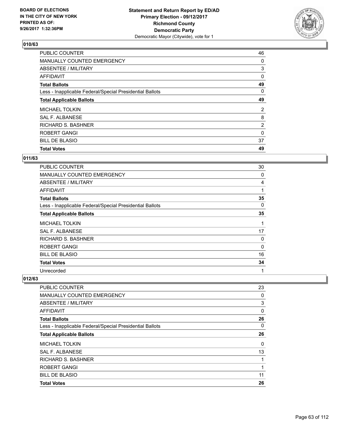

| <b>PUBLIC COUNTER</b>                                    | 46             |
|----------------------------------------------------------|----------------|
| MANUALLY COUNTED EMERGENCY                               | 0              |
| ABSENTEE / MILITARY                                      | 3              |
| AFFIDAVIT                                                | 0              |
| <b>Total Ballots</b>                                     | 49             |
| Less - Inapplicable Federal/Special Presidential Ballots | 0              |
| <b>Total Applicable Ballots</b>                          | 49             |
| <b>MICHAEL TOLKIN</b>                                    | 2              |
| SAL F. ALBANESE                                          | 8              |
| RICHARD S. BASHNER                                       | $\overline{2}$ |
| <b>ROBERT GANGI</b>                                      | 0              |
| <b>BILL DE BLASIO</b>                                    | 37             |
| <b>Total Votes</b>                                       | 49             |

## **011/63**

| PUBLIC COUNTER                                           | 30 |
|----------------------------------------------------------|----|
| <b>MANUALLY COUNTED EMERGENCY</b>                        | 0  |
| ABSENTEE / MILITARY                                      | 4  |
| <b>AFFIDAVIT</b>                                         | 1  |
| <b>Total Ballots</b>                                     | 35 |
| Less - Inapplicable Federal/Special Presidential Ballots | 0  |
| <b>Total Applicable Ballots</b>                          | 35 |
| <b>MICHAEL TOLKIN</b>                                    | 1  |
| SAL F. ALBANESE                                          | 17 |
| RICHARD S. BASHNER                                       | 0  |
| ROBERT GANGI                                             | 0  |
| <b>BILL DE BLASIO</b>                                    | 16 |
| <b>Total Votes</b>                                       | 34 |
| Unrecorded                                               | 1  |

| <b>Total Votes</b>                                       | 26 |
|----------------------------------------------------------|----|
|                                                          |    |
| <b>BILL DE BLASIO</b>                                    | 11 |
| ROBERT GANGI                                             | 1  |
| <b>RICHARD S. BASHNER</b>                                | 1  |
| SAL F. ALBANESE                                          | 13 |
| <b>MICHAEL TOLKIN</b>                                    | 0  |
| <b>Total Applicable Ballots</b>                          | 26 |
| Less - Inapplicable Federal/Special Presidential Ballots | 0  |
| <b>Total Ballots</b>                                     | 26 |
| AFFIDAVIT                                                | 0  |
| ABSENTEE / MILITARY                                      | 3  |
| <b>MANUALLY COUNTED EMERGENCY</b>                        | 0  |
| <b>PUBLIC COUNTER</b>                                    | 23 |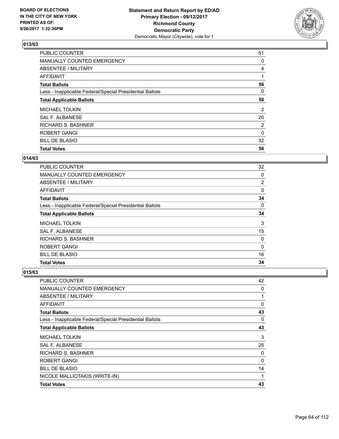

| <b>PUBLIC COUNTER</b>                                    | 51             |
|----------------------------------------------------------|----------------|
| MANUALLY COUNTED EMERGENCY                               | 0              |
| ABSENTEE / MILITARY                                      | 4              |
| AFFIDAVIT                                                |                |
| <b>Total Ballots</b>                                     | 56             |
| Less - Inapplicable Federal/Special Presidential Ballots | 0              |
| <b>Total Applicable Ballots</b>                          | 56             |
| <b>MICHAEL TOLKIN</b>                                    | $\overline{2}$ |
| SAL F. ALBANESE                                          | 20             |
| <b>RICHARD S. BASHNER</b>                                | 2              |
| <b>ROBERT GANGI</b>                                      | $\mathbf{0}$   |
| <b>BILL DE BLASIO</b>                                    | 32             |
| <b>Total Votes</b>                                       | 56             |

# **014/63**

| <b>PUBLIC COUNTER</b>                                    | 32             |
|----------------------------------------------------------|----------------|
| <b>MANUALLY COUNTED EMERGENCY</b>                        | 0              |
| ABSENTEE / MILITARY                                      | $\overline{2}$ |
| AFFIDAVIT                                                | 0              |
| <b>Total Ballots</b>                                     | 34             |
| Less - Inapplicable Federal/Special Presidential Ballots | 0              |
| <b>Total Applicable Ballots</b>                          | 34             |
| <b>MICHAEL TOLKIN</b>                                    | 3              |
| SAL F. ALBANESE                                          | 15             |
| <b>RICHARD S. BASHNER</b>                                | 0              |
| <b>ROBERT GANGI</b>                                      | 0              |
| <b>BILL DE BLASIO</b>                                    | 16             |
| <b>Total Votes</b>                                       | 34             |

| <b>PUBLIC COUNTER</b>                                    | 42 |
|----------------------------------------------------------|----|
| MANUALLY COUNTED EMERGENCY                               | 0  |
| <b>ABSENTEE / MILITARY</b>                               |    |
| <b>AFFIDAVIT</b>                                         | 0  |
| <b>Total Ballots</b>                                     | 43 |
| Less - Inapplicable Federal/Special Presidential Ballots | 0  |
| <b>Total Applicable Ballots</b>                          | 43 |
| <b>MICHAEL TOLKIN</b>                                    | 3  |
| SAL F. ALBANESE                                          | 25 |
| <b>RICHARD S. BASHNER</b>                                | 0  |
| ROBERT GANGI                                             | 0  |
| <b>BILL DE BLASIO</b>                                    | 14 |
| NICOLE MALLIOTAKIS (WRITE-IN)                            | 1  |
| <b>Total Votes</b>                                       | 43 |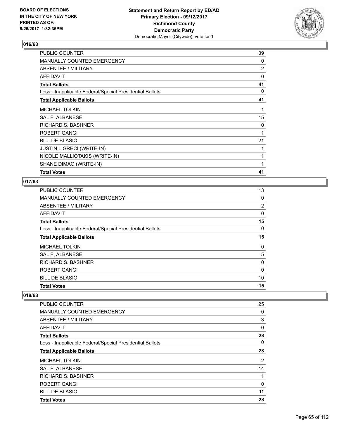

| <b>PUBLIC COUNTER</b>                                    | 39 |
|----------------------------------------------------------|----|
| MANUALLY COUNTED EMERGENCY                               | 0  |
| ABSENTEE / MILITARY                                      | 2  |
| AFFIDAVIT                                                | 0  |
| <b>Total Ballots</b>                                     | 41 |
| Less - Inapplicable Federal/Special Presidential Ballots | 0  |
| <b>Total Applicable Ballots</b>                          | 41 |
| <b>MICHAEL TOLKIN</b>                                    | 1  |
| SAL F. ALBANESE                                          | 15 |
| RICHARD S. BASHNER                                       | 0  |
| ROBERT GANGI                                             | 1  |
| <b>BILL DE BLASIO</b>                                    | 21 |
| <b>JUSTIN LIGRECI (WRITE-IN)</b>                         |    |
| NICOLE MALLIOTAKIS (WRITE-IN)                            | 1  |
| SHANE DIMAO (WRITE-IN)                                   | 1  |
| <b>Total Votes</b>                                       | 41 |

## **017/63**

| <b>PUBLIC COUNTER</b>                                    | 13             |
|----------------------------------------------------------|----------------|
| MANUALLY COUNTED EMERGENCY                               | 0              |
| <b>ABSENTEE / MILITARY</b>                               | $\overline{2}$ |
| <b>AFFIDAVIT</b>                                         | 0              |
| <b>Total Ballots</b>                                     | 15             |
| Less - Inapplicable Federal/Special Presidential Ballots | 0              |
| <b>Total Applicable Ballots</b>                          | 15             |
| <b>MICHAEL TOLKIN</b>                                    | 0              |
| <b>SAL F. ALBANESE</b>                                   | 5              |
| <b>RICHARD S. BASHNER</b>                                | 0              |
| ROBERT GANGI                                             | 0              |
| <b>BILL DE BLASIO</b>                                    | 10             |
| <b>Total Votes</b>                                       | 15             |

| PUBLIC COUNTER                                           | 25             |
|----------------------------------------------------------|----------------|
| MANUALLY COUNTED EMERGENCY                               | 0              |
| ABSENTEE / MILITARY                                      | 3              |
| AFFIDAVIT                                                | 0              |
| <b>Total Ballots</b>                                     | 28             |
| Less - Inapplicable Federal/Special Presidential Ballots | 0              |
| <b>Total Applicable Ballots</b>                          | 28             |
| <b>MICHAEL TOLKIN</b>                                    | $\overline{2}$ |
| <b>SAL F. ALBANESE</b>                                   | 14             |
| <b>RICHARD S. BASHNER</b>                                | 1              |
| ROBERT GANGI                                             | 0              |
| <b>BILL DE BLASIO</b>                                    | 11             |
| <b>Total Votes</b>                                       | 28             |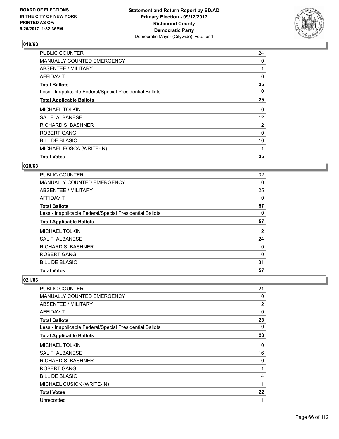

| <b>PUBLIC COUNTER</b>                                    | 24             |
|----------------------------------------------------------|----------------|
| MANUALLY COUNTED EMERGENCY                               | 0              |
| ABSENTEE / MILITARY                                      |                |
| AFFIDAVIT                                                | 0              |
| <b>Total Ballots</b>                                     | 25             |
| Less - Inapplicable Federal/Special Presidential Ballots | 0              |
| <b>Total Applicable Ballots</b>                          | 25             |
| <b>MICHAEL TOLKIN</b>                                    | 0              |
| <b>SAL F. ALBANESE</b>                                   | 12             |
| RICHARD S. BASHNER                                       | $\overline{2}$ |
| <b>ROBERT GANGI</b>                                      | $\Omega$       |
| <b>BILL DE BLASIO</b>                                    | 10             |
| MICHAEL FOSCA (WRITE-IN)                                 | 1              |
| <b>Total Votes</b>                                       | 25             |

## **020/63**

| <b>PUBLIC COUNTER</b>                                    | 32       |
|----------------------------------------------------------|----------|
| <b>MANUALLY COUNTED EMERGENCY</b>                        | 0        |
| ABSENTEE / MILITARY                                      | 25       |
| AFFIDAVIT                                                | 0        |
| <b>Total Ballots</b>                                     | 57       |
| Less - Inapplicable Federal/Special Presidential Ballots | 0        |
| <b>Total Applicable Ballots</b>                          | 57       |
| <b>MICHAEL TOLKIN</b>                                    | 2        |
| <b>SAL F. ALBANESE</b>                                   | 24       |
| <b>RICHARD S. BASHNER</b>                                | 0        |
| ROBERT GANGI                                             | $\Omega$ |
| <b>BILL DE BLASIO</b>                                    | 31       |
| <b>Total Votes</b>                                       | 57       |

| <b>PUBLIC COUNTER</b>                                    | 21 |
|----------------------------------------------------------|----|
| <b>MANUALLY COUNTED EMERGENCY</b>                        | 0  |
| ABSENTEE / MILITARY                                      | 2  |
| AFFIDAVIT                                                | 0  |
| <b>Total Ballots</b>                                     | 23 |
| Less - Inapplicable Federal/Special Presidential Ballots | 0  |
| <b>Total Applicable Ballots</b>                          | 23 |
| <b>MICHAEL TOLKIN</b>                                    | 0  |
| <b>SAL F. ALBANESE</b>                                   | 16 |
| <b>RICHARD S. BASHNER</b>                                | 0  |
| ROBERT GANGI                                             | 1  |
| <b>BILL DE BLASIO</b>                                    | 4  |
| MICHAEL CUSICK (WRITE-IN)                                | 1  |
| <b>Total Votes</b>                                       | 22 |
| Unrecorded                                               | 1  |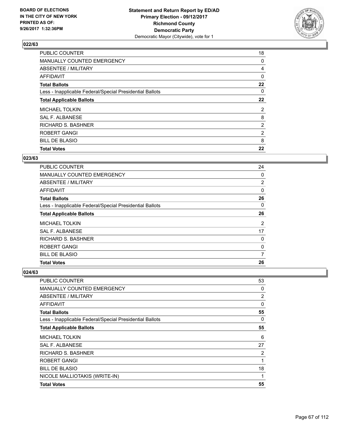

| PUBLIC COUNTER                                           | 18             |
|----------------------------------------------------------|----------------|
| MANUALLY COUNTED EMERGENCY                               | 0              |
| ABSENTEE / MILITARY                                      | 4              |
| AFFIDAVIT                                                | 0              |
| <b>Total Ballots</b>                                     | 22             |
| Less - Inapplicable Federal/Special Presidential Ballots | 0              |
| <b>Total Applicable Ballots</b>                          | 22             |
| <b>MICHAEL TOLKIN</b>                                    | $\overline{2}$ |
| SAL F. ALBANESE                                          | 8              |
| <b>RICHARD S. BASHNER</b>                                | $\overline{2}$ |
| ROBERT GANGI                                             | $\overline{2}$ |
| <b>BILL DE BLASIO</b>                                    | 8              |
| <b>Total Votes</b>                                       | 22             |

## **023/63**

| <b>PUBLIC COUNTER</b>                                    | 24             |
|----------------------------------------------------------|----------------|
| <b>MANUALLY COUNTED EMERGENCY</b>                        | 0              |
| ABSENTEE / MILITARY                                      | $\overline{2}$ |
| AFFIDAVIT                                                | 0              |
| <b>Total Ballots</b>                                     | 26             |
| Less - Inapplicable Federal/Special Presidential Ballots | 0              |
| <b>Total Applicable Ballots</b>                          | 26             |
| <b>MICHAEL TOLKIN</b>                                    | 2              |
| SAL F. ALBANESE                                          | 17             |
| <b>RICHARD S. BASHNER</b>                                | 0              |
| <b>ROBERT GANGI</b>                                      | 0              |
| <b>BILL DE BLASIO</b>                                    | 7              |
| <b>Total Votes</b>                                       | 26             |

| <b>PUBLIC COUNTER</b>                                    | 53 |
|----------------------------------------------------------|----|
| MANUALLY COUNTED EMERGENCY                               | 0  |
| ABSENTEE / MILITARY                                      | 2  |
| <b>AFFIDAVIT</b>                                         | 0  |
| <b>Total Ballots</b>                                     | 55 |
| Less - Inapplicable Federal/Special Presidential Ballots | 0  |
| <b>Total Applicable Ballots</b>                          | 55 |
| <b>MICHAEL TOLKIN</b>                                    | 6  |
| <b>SAL F. ALBANESE</b>                                   | 27 |
| <b>RICHARD S. BASHNER</b>                                | 2  |
| ROBERT GANGI                                             | 1  |
| <b>BILL DE BLASIO</b>                                    | 18 |
| NICOLE MALLIOTAKIS (WRITE-IN)                            | 1  |
| <b>Total Votes</b>                                       | 55 |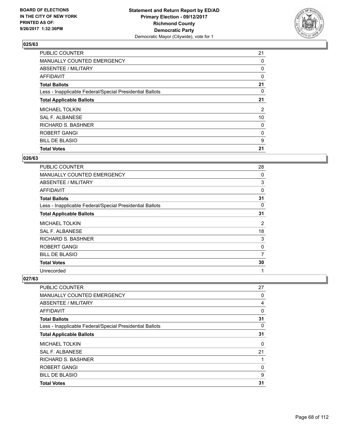

| <b>PUBLIC COUNTER</b>                                    | 21             |
|----------------------------------------------------------|----------------|
| MANUALLY COUNTED EMERGENCY                               | 0              |
| ABSENTEE / MILITARY                                      | 0              |
| AFFIDAVIT                                                | 0              |
| <b>Total Ballots</b>                                     | 21             |
| Less - Inapplicable Federal/Special Presidential Ballots | 0              |
| <b>Total Applicable Ballots</b>                          | 21             |
| <b>MICHAEL TOLKIN</b>                                    | $\overline{2}$ |
| SAL F. ALBANESE                                          | 10             |
| <b>RICHARD S. BASHNER</b>                                | 0              |
| ROBERT GANGI                                             | 0              |
| <b>BILL DE BLASIO</b>                                    | 9              |
| <b>Total Votes</b>                                       | 21             |

#### **026/63**

| PUBLIC COUNTER                                           | 28 |
|----------------------------------------------------------|----|
| <b>MANUALLY COUNTED EMERGENCY</b>                        | 0  |
| ABSENTEE / MILITARY                                      | 3  |
| <b>AFFIDAVIT</b>                                         | 0  |
| <b>Total Ballots</b>                                     | 31 |
| Less - Inapplicable Federal/Special Presidential Ballots | 0  |
| <b>Total Applicable Ballots</b>                          | 31 |
| <b>MICHAEL TOLKIN</b>                                    | 2  |
| SAL F. ALBANESE                                          | 18 |
| RICHARD S. BASHNER                                       | 3  |
| ROBERT GANGI                                             | 0  |
| <b>BILL DE BLASIO</b>                                    | 7  |
| <b>Total Votes</b>                                       | 30 |
| Unrecorded                                               | 1  |

| <b>Total Votes</b>                                       | 31 |
|----------------------------------------------------------|----|
| <b>BILL DE BLASIO</b>                                    | 9  |
| ROBERT GANGI                                             | 0  |
| <b>RICHARD S. BASHNER</b>                                |    |
| SAL F. ALBANESE                                          | 21 |
| <b>MICHAEL TOLKIN</b>                                    | 0  |
| <b>Total Applicable Ballots</b>                          | 31 |
| Less - Inapplicable Federal/Special Presidential Ballots | 0  |
| <b>Total Ballots</b>                                     | 31 |
| AFFIDAVIT                                                | 0  |
| ABSENTEE / MILITARY                                      | 4  |
| MANUALLY COUNTED EMERGENCY                               | 0  |
| PUBLIC COUNTER                                           | 27 |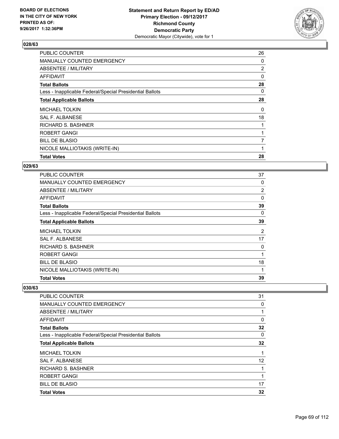

| <b>PUBLIC COUNTER</b>                                    | 26 |
|----------------------------------------------------------|----|
| <b>MANUALLY COUNTED EMERGENCY</b>                        | 0  |
| ABSENTEE / MILITARY                                      | 2  |
| AFFIDAVIT                                                | 0  |
| <b>Total Ballots</b>                                     | 28 |
| Less - Inapplicable Federal/Special Presidential Ballots | 0  |
| <b>Total Applicable Ballots</b>                          | 28 |
| <b>MICHAEL TOLKIN</b>                                    | 0  |
| <b>SAL F. ALBANESE</b>                                   | 18 |
| RICHARD S. BASHNER                                       |    |
| ROBERT GANGI                                             |    |
| <b>BILL DE BLASIO</b>                                    | 7  |
| NICOLE MALLIOTAKIS (WRITE-IN)                            |    |
| <b>Total Votes</b>                                       | 28 |

#### **029/63**

| <b>PUBLIC COUNTER</b>                                    | 37             |
|----------------------------------------------------------|----------------|
| <b>MANUALLY COUNTED EMERGENCY</b>                        | 0              |
| ABSENTEE / MILITARY                                      | 2              |
| AFFIDAVIT                                                | 0              |
| <b>Total Ballots</b>                                     | 39             |
| Less - Inapplicable Federal/Special Presidential Ballots | 0              |
| <b>Total Applicable Ballots</b>                          | 39             |
| <b>MICHAEL TOLKIN</b>                                    | $\overline{2}$ |
| SAL F. ALBANESE                                          | 17             |
| RICHARD S. BASHNER                                       | 0              |
| <b>ROBERT GANGI</b>                                      | 1              |
| <b>BILL DE BLASIO</b>                                    | 18             |
| NICOLE MALLIOTAKIS (WRITE-IN)                            | 1              |
| <b>Total Votes</b>                                       | 39             |

| <b>PUBLIC COUNTER</b>                                    | 31 |
|----------------------------------------------------------|----|
| <b>MANUALLY COUNTED EMERGENCY</b>                        | 0  |
| ABSENTEE / MILITARY                                      | 1  |
| AFFIDAVIT                                                | 0  |
| <b>Total Ballots</b>                                     | 32 |
| Less - Inapplicable Federal/Special Presidential Ballots | 0  |
| <b>Total Applicable Ballots</b>                          | 32 |
| <b>MICHAEL TOLKIN</b>                                    | 1  |
| <b>SAL F. ALBANESE</b>                                   | 12 |
| <b>RICHARD S. BASHNER</b>                                |    |
| <b>ROBERT GANGI</b>                                      | 1  |
| <b>BILL DE BLASIO</b>                                    | 17 |
| <b>Total Votes</b>                                       | 32 |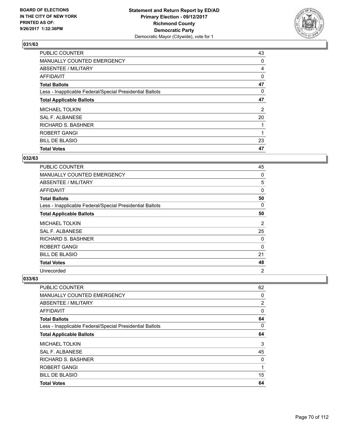

| <b>PUBLIC COUNTER</b>                                    | 43 |
|----------------------------------------------------------|----|
| MANUALLY COUNTED EMERGENCY                               | 0  |
| ABSENTEE / MILITARY                                      | 4  |
| AFFIDAVIT                                                | 0  |
| <b>Total Ballots</b>                                     | 47 |
| Less - Inapplicable Federal/Special Presidential Ballots | 0  |
| <b>Total Applicable Ballots</b>                          | 47 |
| <b>MICHAEL TOLKIN</b>                                    | 2  |
| SAL F. ALBANESE                                          | 20 |
| RICHARD S. BASHNER                                       |    |
| <b>ROBERT GANGI</b>                                      | 1  |
| <b>BILL DE BLASIO</b>                                    | 23 |
| <b>Total Votes</b>                                       | 47 |

# **032/63**

| PUBLIC COUNTER                                           | 45             |
|----------------------------------------------------------|----------------|
| <b>MANUALLY COUNTED EMERGENCY</b>                        | 0              |
| ABSENTEE / MILITARY                                      | 5              |
| AFFIDAVIT                                                | $\Omega$       |
| <b>Total Ballots</b>                                     | 50             |
| Less - Inapplicable Federal/Special Presidential Ballots | 0              |
| <b>Total Applicable Ballots</b>                          | 50             |
| MICHAEL TOLKIN                                           | $\overline{2}$ |
| <b>SAL F. ALBANESE</b>                                   | 25             |
| RICHARD S. BASHNER                                       | 0              |
| <b>ROBERT GANGI</b>                                      | 0              |
| <b>BILL DE BLASIO</b>                                    | 21             |
| <b>Total Votes</b>                                       | 48             |
| Unrecorded                                               | $\overline{2}$ |

| <b>Total Votes</b>                                       | 64             |
|----------------------------------------------------------|----------------|
| <b>BILL DE BLASIO</b>                                    | 15             |
| ROBERT GANGI                                             | 1              |
| <b>RICHARD S. BASHNER</b>                                | 0              |
| SAL F. ALBANESE                                          | 45             |
| <b>MICHAEL TOLKIN</b>                                    | 3              |
| <b>Total Applicable Ballots</b>                          | 64             |
| Less - Inapplicable Federal/Special Presidential Ballots | 0              |
| <b>Total Ballots</b>                                     | 64             |
| AFFIDAVIT                                                | 0              |
| ABSENTEE / MILITARY                                      | $\overline{2}$ |
| MANUALLY COUNTED EMERGENCY                               | 0              |
| PUBLIC COUNTER                                           | 62             |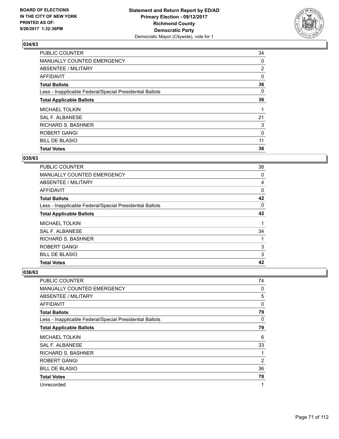

| PUBLIC COUNTER                                           | 34             |
|----------------------------------------------------------|----------------|
| MANUALLY COUNTED EMERGENCY                               | 0              |
| ABSENTEE / MILITARY                                      | $\overline{2}$ |
| AFFIDAVIT                                                | 0              |
| <b>Total Ballots</b>                                     | 36             |
| Less - Inapplicable Federal/Special Presidential Ballots | 0              |
| <b>Total Applicable Ballots</b>                          | 36             |
| <b>MICHAEL TOLKIN</b>                                    |                |
| SAL F. ALBANESE                                          | 21             |
| <b>RICHARD S. BASHNER</b>                                | 3              |
| ROBERT GANGI                                             | 0              |
| <b>BILL DE BLASIO</b>                                    | 11             |
| <b>Total Votes</b>                                       | 36             |

## **035/63**

| <b>PUBLIC COUNTER</b>                                    | 38 |
|----------------------------------------------------------|----|
| <b>MANUALLY COUNTED EMERGENCY</b>                        | 0  |
| ABSENTEE / MILITARY                                      | 4  |
| <b>AFFIDAVIT</b>                                         | 0  |
| <b>Total Ballots</b>                                     | 42 |
| Less - Inapplicable Federal/Special Presidential Ballots | 0  |
| <b>Total Applicable Ballots</b>                          | 42 |
| <b>MICHAEL TOLKIN</b>                                    |    |
| <b>SAL F. ALBANESE</b>                                   | 34 |
| <b>RICHARD S. BASHNER</b>                                |    |
| <b>ROBERT GANGI</b>                                      | 3  |
| <b>BILL DE BLASIO</b>                                    | 3  |
| <b>Total Votes</b>                                       | 42 |

| <b>PUBLIC COUNTER</b>                                    | 74             |
|----------------------------------------------------------|----------------|
| <b>MANUALLY COUNTED EMERGENCY</b>                        | 0              |
| ABSENTEE / MILITARY                                      | 5              |
| AFFIDAVIT                                                | 0              |
| <b>Total Ballots</b>                                     | 79             |
| Less - Inapplicable Federal/Special Presidential Ballots | 0              |
| <b>Total Applicable Ballots</b>                          | 79             |
| <b>MICHAEL TOLKIN</b>                                    | 6              |
| <b>SAL F. ALBANESE</b>                                   | 33             |
| RICHARD S. BASHNER                                       |                |
| ROBERT GANGI                                             | $\overline{2}$ |
| <b>BILL DE BLASIO</b>                                    | 36             |
| <b>Total Votes</b>                                       | 78             |
| Unrecorded                                               | 1              |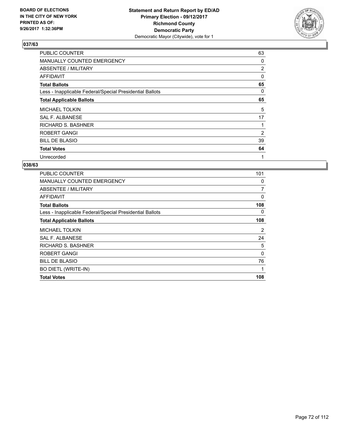

| <b>PUBLIC COUNTER</b>                                    | 63             |
|----------------------------------------------------------|----------------|
| MANUALLY COUNTED EMERGENCY                               | 0              |
| ABSENTEE / MILITARY                                      | $\overline{2}$ |
| AFFIDAVIT                                                | 0              |
| <b>Total Ballots</b>                                     | 65             |
| Less - Inapplicable Federal/Special Presidential Ballots | 0              |
| <b>Total Applicable Ballots</b>                          | 65             |
| <b>MICHAEL TOLKIN</b>                                    | 5              |
| SAL F. ALBANESE                                          | 17             |
| <b>RICHARD S. BASHNER</b>                                | 1              |
| <b>ROBERT GANGI</b>                                      | 2              |
| <b>BILL DE BLASIO</b>                                    | 39             |
| <b>Total Votes</b>                                       | 64             |
| Unrecorded                                               | 1              |

| <b>PUBLIC COUNTER</b>                                    | 101 |
|----------------------------------------------------------|-----|
| <b>MANUALLY COUNTED EMERGENCY</b>                        | 0   |
| ABSENTEE / MILITARY                                      | 7   |
| <b>AFFIDAVIT</b>                                         | 0   |
| <b>Total Ballots</b>                                     | 108 |
| Less - Inapplicable Federal/Special Presidential Ballots | 0   |
| <b>Total Applicable Ballots</b>                          | 108 |
| <b>MICHAEL TOLKIN</b>                                    | 2   |
| <b>SAL F. ALBANESE</b>                                   | 24  |
| <b>RICHARD S. BASHNER</b>                                | 5   |
| <b>ROBERT GANGI</b>                                      | 0   |
| <b>BILL DE BLASIO</b>                                    | 76  |
| <b>BO DIETL (WRITE-IN)</b>                               | 1   |
| <b>Total Votes</b>                                       | 108 |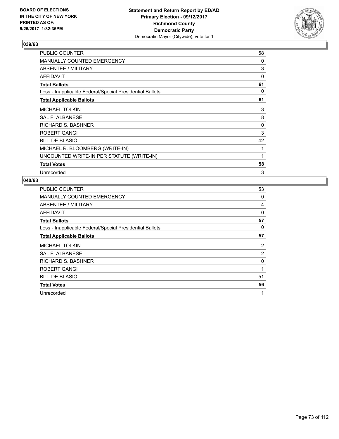

| <b>PUBLIC COUNTER</b>                                    | 58 |
|----------------------------------------------------------|----|
| <b>MANUALLY COUNTED EMERGENCY</b>                        | 0  |
| ABSENTEE / MILITARY                                      | 3  |
| <b>AFFIDAVIT</b>                                         | 0  |
| <b>Total Ballots</b>                                     | 61 |
| Less - Inapplicable Federal/Special Presidential Ballots | 0  |
| <b>Total Applicable Ballots</b>                          | 61 |
| <b>MICHAEL TOLKIN</b>                                    | 3  |
| <b>SAL F. ALBANESE</b>                                   | 8  |
| <b>RICHARD S. BASHNER</b>                                | 0  |
| <b>ROBERT GANGI</b>                                      | 3  |
| <b>BILL DE BLASIO</b>                                    | 42 |
| MICHAEL R. BLOOMBERG (WRITE-IN)                          | 1  |
| UNCOUNTED WRITE-IN PER STATUTE (WRITE-IN)                | 1  |
| <b>Total Votes</b>                                       | 58 |
| Unrecorded                                               | 3  |

| <b>PUBLIC COUNTER</b>                                    | 53             |
|----------------------------------------------------------|----------------|
| MANUALLY COUNTED EMERGENCY                               | 0              |
| ABSENTEE / MILITARY                                      | 4              |
| AFFIDAVIT                                                | 0              |
| <b>Total Ballots</b>                                     | 57             |
| Less - Inapplicable Federal/Special Presidential Ballots | 0              |
| <b>Total Applicable Ballots</b>                          | 57             |
| <b>MICHAEL TOLKIN</b>                                    | 2              |
| <b>SAL F. ALBANESE</b>                                   | $\overline{2}$ |
| <b>RICHARD S. BASHNER</b>                                | 0              |
| <b>ROBERT GANGI</b>                                      | 1              |
| <b>BILL DE BLASIO</b>                                    | 51             |
| <b>Total Votes</b>                                       | 56             |
| Unrecorded                                               | 1              |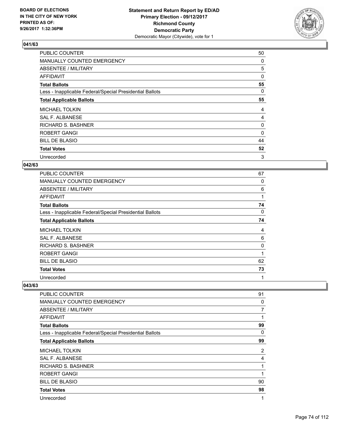

| <b>PUBLIC COUNTER</b>                                    | 50       |
|----------------------------------------------------------|----------|
| MANUALLY COUNTED EMERGENCY                               | 0        |
| ABSENTEE / MILITARY                                      | 5        |
| AFFIDAVIT                                                | 0        |
| <b>Total Ballots</b>                                     | 55       |
| Less - Inapplicable Federal/Special Presidential Ballots | 0        |
| <b>Total Applicable Ballots</b>                          | 55       |
| <b>MICHAEL TOLKIN</b>                                    | 4        |
| <b>SAL F. ALBANESE</b>                                   | 4        |
| RICHARD S. BASHNER                                       | 0        |
| <b>ROBERT GANGI</b>                                      | $\Omega$ |
| <b>BILL DE BLASIO</b>                                    | 44       |
| <b>Total Votes</b>                                       | 52       |
| Unrecorded                                               | 3        |

#### **042/63**

| <b>PUBLIC COUNTER</b>                                    | 67 |
|----------------------------------------------------------|----|
| MANUALLY COUNTED EMERGENCY                               | 0  |
| ABSENTEE / MILITARY                                      | 6  |
| AFFIDAVIT                                                | 1  |
| <b>Total Ballots</b>                                     | 74 |
| Less - Inapplicable Federal/Special Presidential Ballots | 0  |
| <b>Total Applicable Ballots</b>                          | 74 |
| <b>MICHAEL TOLKIN</b>                                    | 4  |
| SAL F. ALBANESE                                          | 6  |
| <b>RICHARD S. BASHNER</b>                                | 0  |
| <b>ROBERT GANGI</b>                                      | 1  |
| <b>BILL DE BLASIO</b>                                    | 62 |
| <b>Total Votes</b>                                       | 73 |
| Unrecorded                                               | 1  |

| PUBLIC COUNTER                                           | 91 |
|----------------------------------------------------------|----|
| MANUALLY COUNTED EMERGENCY                               | 0  |
| ABSENTEE / MILITARY                                      | 7  |
| AFFIDAVIT                                                | 1  |
| <b>Total Ballots</b>                                     | 99 |
| Less - Inapplicable Federal/Special Presidential Ballots | 0  |
| <b>Total Applicable Ballots</b>                          | 99 |
| <b>MICHAEL TOLKIN</b>                                    | 2  |
| <b>SAL F. ALBANESE</b>                                   | 4  |
| RICHARD S. BASHNER                                       | 1  |
| <b>ROBERT GANGI</b>                                      | 1  |
| <b>BILL DE BLASIO</b>                                    | 90 |
| <b>Total Votes</b>                                       | 98 |
| Unrecorded                                               | 1  |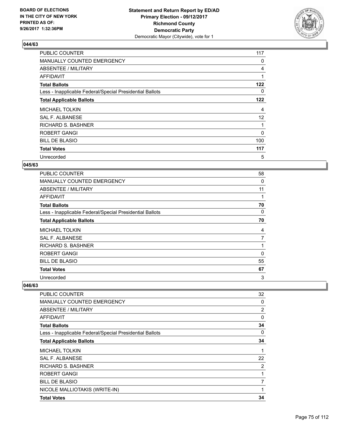

| <b>PUBLIC COUNTER</b>                                    | 117      |
|----------------------------------------------------------|----------|
| MANUALLY COUNTED EMERGENCY                               | 0        |
| ABSENTEE / MILITARY                                      | 4        |
| AFFIDAVIT                                                | 1        |
| <b>Total Ballots</b>                                     | 122      |
| Less - Inapplicable Federal/Special Presidential Ballots | 0        |
| <b>Total Applicable Ballots</b>                          | 122      |
| <b>MICHAEL TOLKIN</b>                                    | 4        |
| <b>SAL F. ALBANESE</b>                                   | 12       |
| <b>RICHARD S. BASHNER</b>                                |          |
| <b>ROBERT GANGI</b>                                      | $\Omega$ |
| <b>BILL DE BLASIO</b>                                    | 100      |
| <b>Total Votes</b>                                       | 117      |
| Unrecorded                                               | 5        |

#### **045/63**

| <b>PUBLIC COUNTER</b>                                    | 58 |
|----------------------------------------------------------|----|
| <b>MANUALLY COUNTED EMERGENCY</b>                        | 0  |
| ABSENTEE / MILITARY                                      | 11 |
| AFFIDAVIT                                                | 1  |
| <b>Total Ballots</b>                                     | 70 |
| Less - Inapplicable Federal/Special Presidential Ballots | 0  |
| <b>Total Applicable Ballots</b>                          | 70 |
| <b>MICHAEL TOLKIN</b>                                    | 4  |
| <b>SAL F. ALBANESE</b>                                   | 7  |
| <b>RICHARD S. BASHNER</b>                                |    |
| <b>ROBERT GANGI</b>                                      | 0  |
| <b>BILL DE BLASIO</b>                                    | 55 |
| <b>Total Votes</b>                                       | 67 |
| Unrecorded                                               | 3  |

| <b>PUBLIC COUNTER</b>                                    | 32 |
|----------------------------------------------------------|----|
| <b>MANUALLY COUNTED EMERGENCY</b>                        | 0  |
| ABSENTEE / MILITARY                                      | 2  |
| AFFIDAVIT                                                | 0  |
| <b>Total Ballots</b>                                     | 34 |
| Less - Inapplicable Federal/Special Presidential Ballots | 0  |
| <b>Total Applicable Ballots</b>                          | 34 |
| <b>MICHAEL TOLKIN</b>                                    | 1  |
| <b>SAL F. ALBANESE</b>                                   | 22 |
| RICHARD S. BASHNER                                       | 2  |
| <b>ROBERT GANGI</b>                                      | 1  |
| <b>BILL DE BLASIO</b>                                    | 7  |
| NICOLE MALLIOTAKIS (WRITE-IN)                            | 1  |
| <b>Total Votes</b>                                       | 34 |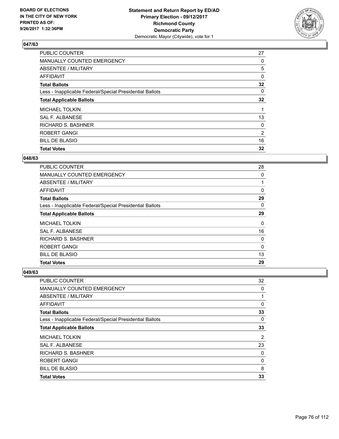

| <b>PUBLIC COUNTER</b>                                    | 27 |
|----------------------------------------------------------|----|
| MANUALLY COUNTED EMERGENCY                               | 0  |
| ABSENTEE / MILITARY                                      | 5  |
| AFFIDAVIT                                                | 0  |
| <b>Total Ballots</b>                                     | 32 |
| Less - Inapplicable Federal/Special Presidential Ballots | 0  |
| <b>Total Applicable Ballots</b>                          | 32 |
| <b>MICHAEL TOLKIN</b>                                    |    |
| SAL F. ALBANESE                                          | 13 |
| <b>RICHARD S. BASHNER</b>                                | 0  |
| <b>ROBERT GANGI</b>                                      | 2  |
| <b>BILL DE BLASIO</b>                                    | 16 |
| <b>Total Votes</b>                                       | 32 |

#### **048/63**

| <b>PUBLIC COUNTER</b>                                    | 28 |
|----------------------------------------------------------|----|
| MANUALLY COUNTED EMERGENCY                               | 0  |
| ABSENTEE / MILITARY                                      |    |
| <b>AFFIDAVIT</b>                                         | 0  |
| <b>Total Ballots</b>                                     | 29 |
| Less - Inapplicable Federal/Special Presidential Ballots | 0  |
| <b>Total Applicable Ballots</b>                          | 29 |
| <b>MICHAEL TOLKIN</b>                                    | 0  |
| <b>SAL F. ALBANESE</b>                                   | 16 |
| <b>RICHARD S. BASHNER</b>                                | 0  |
| <b>ROBERT GANGI</b>                                      | 0  |
| <b>BILL DE BLASIO</b>                                    | 13 |
| <b>Total Votes</b>                                       | 29 |

| <b>PUBLIC COUNTER</b>                                    | 32 |
|----------------------------------------------------------|----|
| MANUALLY COUNTED EMERGENCY                               | 0  |
| ABSENTEE / MILITARY                                      |    |
| AFFIDAVIT                                                | 0  |
| <b>Total Ballots</b>                                     | 33 |
| Less - Inapplicable Federal/Special Presidential Ballots | 0  |
| <b>Total Applicable Ballots</b>                          | 33 |
| <b>MICHAEL TOLKIN</b>                                    | 2  |
| SAL F. ALBANESE                                          | 23 |
| <b>RICHARD S. BASHNER</b>                                | 0  |
| <b>ROBERT GANGI</b>                                      | 0  |
| <b>BILL DE BLASIO</b>                                    | 8  |
| <b>Total Votes</b>                                       | 33 |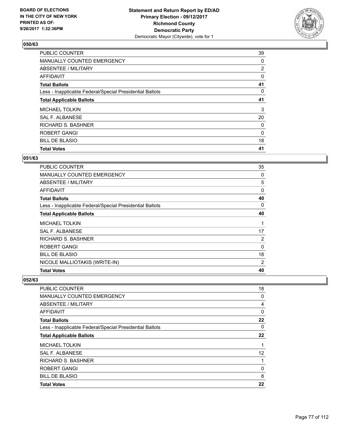

| <b>PUBLIC COUNTER</b>                                    | 39             |
|----------------------------------------------------------|----------------|
| MANUALLY COUNTED EMERGENCY                               | 0              |
| ABSENTEE / MILITARY                                      | $\overline{2}$ |
| AFFIDAVIT                                                | 0              |
| <b>Total Ballots</b>                                     | 41             |
| Less - Inapplicable Federal/Special Presidential Ballots | 0              |
| <b>Total Applicable Ballots</b>                          | 41             |
| <b>MICHAEL TOLKIN</b>                                    | 3              |
| SAL F. ALBANESE                                          | 20             |
| <b>RICHARD S. BASHNER</b>                                | 0              |
| <b>ROBERT GANGI</b>                                      | 0              |
| <b>BILL DE BLASIO</b>                                    | 18             |
| <b>Total Votes</b>                                       | 41             |

### **051/63**

| <b>PUBLIC COUNTER</b>                                    | 35       |
|----------------------------------------------------------|----------|
| <b>MANUALLY COUNTED EMERGENCY</b>                        | 0        |
| <b>ABSENTEE / MILITARY</b>                               | 5        |
| AFFIDAVIT                                                | 0        |
| <b>Total Ballots</b>                                     | 40       |
| Less - Inapplicable Federal/Special Presidential Ballots | 0        |
| <b>Total Applicable Ballots</b>                          | 40       |
| <b>MICHAEL TOLKIN</b>                                    | 1        |
| <b>SAL F. ALBANESE</b>                                   | 17       |
| RICHARD S. BASHNER                                       | 2        |
| ROBERT GANGI                                             | $\Omega$ |
| <b>BILL DE BLASIO</b>                                    | 18       |
| NICOLE MALLIOTAKIS (WRITE-IN)                            | 2        |
| <b>Total Votes</b>                                       | 40       |

| PUBLIC COUNTER                                           | 18 |
|----------------------------------------------------------|----|
| MANUALLY COUNTED EMERGENCY                               | 0  |
| ABSENTEE / MILITARY                                      | 4  |
| AFFIDAVIT                                                | 0  |
| <b>Total Ballots</b>                                     | 22 |
| Less - Inapplicable Federal/Special Presidential Ballots | 0  |
| <b>Total Applicable Ballots</b>                          | 22 |
| <b>MICHAEL TOLKIN</b>                                    |    |
| <b>SAL F. ALBANESE</b>                                   | 12 |
| <b>RICHARD S. BASHNER</b>                                |    |
| <b>ROBERT GANGI</b>                                      | 0  |
| <b>BILL DE BLASIO</b>                                    | 8  |
| <b>Total Votes</b>                                       | 22 |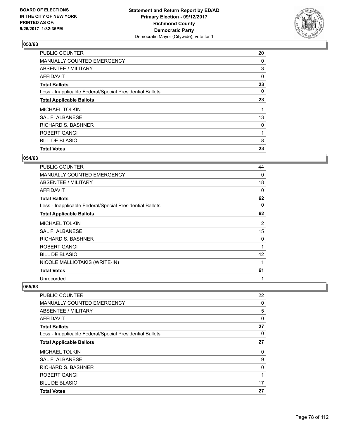

| <b>PUBLIC COUNTER</b>                                    | 20 |
|----------------------------------------------------------|----|
| MANUALLY COUNTED EMERGENCY                               | 0  |
| ABSENTEE / MILITARY                                      | 3  |
| AFFIDAVIT                                                | 0  |
| <b>Total Ballots</b>                                     | 23 |
| Less - Inapplicable Federal/Special Presidential Ballots | 0  |
| <b>Total Applicable Ballots</b>                          | 23 |
| <b>MICHAEL TOLKIN</b>                                    |    |
| SAL F. ALBANESE                                          | 13 |
| RICHARD S. BASHNER                                       | 0  |
| <b>ROBERT GANGI</b>                                      | 1  |
| <b>BILL DE BLASIO</b>                                    | 8  |
| <b>Total Votes</b>                                       | 23 |

#### **054/63**

| PUBLIC COUNTER                                           | 44 |
|----------------------------------------------------------|----|
| <b>MANUALLY COUNTED EMERGENCY</b>                        | 0  |
| <b>ABSENTEE / MILITARY</b>                               | 18 |
| <b>AFFIDAVIT</b>                                         | 0  |
| <b>Total Ballots</b>                                     | 62 |
| Less - Inapplicable Federal/Special Presidential Ballots | 0  |
| <b>Total Applicable Ballots</b>                          | 62 |
| <b>MICHAEL TOLKIN</b>                                    | 2  |
| SAL F. ALBANESE                                          | 15 |
| RICHARD S. BASHNER                                       | 0  |
| ROBERT GANGI                                             | 1  |
| <b>BILL DE BLASIO</b>                                    | 42 |
| NICOLE MALLIOTAKIS (WRITE-IN)                            | 1  |
| <b>Total Votes</b>                                       | 61 |
| Unrecorded                                               | 1  |

| PUBLIC COUNTER                                           | 22 |
|----------------------------------------------------------|----|
| MANUALLY COUNTED EMERGENCY                               | 0  |
| ABSENTEE / MILITARY                                      | 5  |
| AFFIDAVIT                                                | 0  |
| <b>Total Ballots</b>                                     | 27 |
| Less - Inapplicable Federal/Special Presidential Ballots | 0  |
| <b>Total Applicable Ballots</b>                          | 27 |
| <b>MICHAEL TOLKIN</b>                                    | 0  |
| <b>SAL F. ALBANESE</b>                                   | 9  |
| <b>RICHARD S. BASHNER</b>                                | 0  |
| <b>ROBERT GANGI</b>                                      | 1  |
| <b>BILL DE BLASIO</b>                                    | 17 |
| <b>Total Votes</b>                                       | 27 |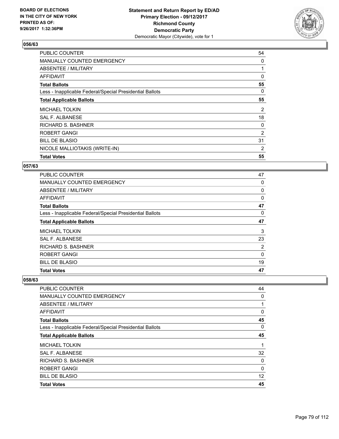

| <b>PUBLIC COUNTER</b>                                    | 54 |
|----------------------------------------------------------|----|
| <b>MANUALLY COUNTED EMERGENCY</b>                        | 0  |
| ABSENTEE / MILITARY                                      |    |
| AFFIDAVIT                                                | 0  |
| <b>Total Ballots</b>                                     | 55 |
| Less - Inapplicable Federal/Special Presidential Ballots | 0  |
| <b>Total Applicable Ballots</b>                          | 55 |
| <b>MICHAEL TOLKIN</b>                                    | 2  |
| <b>SAL F. ALBANESE</b>                                   | 18 |
| RICHARD S. BASHNER                                       | 0  |
| <b>ROBERT GANGI</b>                                      | 2  |
| <b>BILL DE BLASIO</b>                                    | 31 |
| NICOLE MALLIOTAKIS (WRITE-IN)                            | 2  |
| <b>Total Votes</b>                                       | 55 |

### **057/63**

| <b>PUBLIC COUNTER</b>                                    | 47       |
|----------------------------------------------------------|----------|
| MANUALLY COUNTED EMERGENCY                               | 0        |
| ABSENTEE / MILITARY                                      | 0        |
| <b>AFFIDAVIT</b>                                         | 0        |
| <b>Total Ballots</b>                                     | 47       |
| Less - Inapplicable Federal/Special Presidential Ballots | 0        |
| <b>Total Applicable Ballots</b>                          | 47       |
| <b>MICHAEL TOLKIN</b>                                    | 3        |
| <b>SAL F. ALBANESE</b>                                   | 23       |
| RICHARD S. BASHNER                                       | 2        |
| <b>ROBERT GANGI</b>                                      | $\Omega$ |
| <b>BILL DE BLASIO</b>                                    | 19       |
| <b>Total Votes</b>                                       | 47       |

| PUBLIC COUNTER                                           | 44           |
|----------------------------------------------------------|--------------|
| MANUALLY COUNTED EMERGENCY                               | 0            |
| ABSENTEE / MILITARY                                      |              |
| AFFIDAVIT                                                | 0            |
| <b>Total Ballots</b>                                     | 45           |
| Less - Inapplicable Federal/Special Presidential Ballots | 0            |
| <b>Total Applicable Ballots</b>                          | 45           |
| <b>MICHAEL TOLKIN</b>                                    |              |
| <b>SAL F. ALBANESE</b>                                   | 32           |
| <b>RICHARD S. BASHNER</b>                                | 0            |
| <b>ROBERT GANGI</b>                                      | $\mathbf{0}$ |
| <b>BILL DE BLASIO</b>                                    | 12           |
| <b>Total Votes</b>                                       | 45           |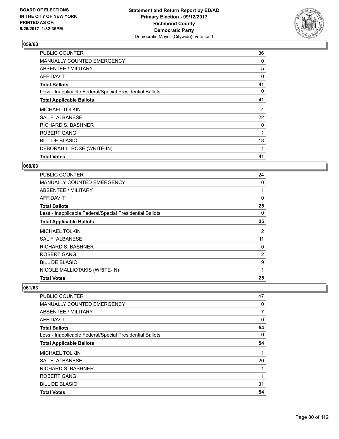

| <b>PUBLIC COUNTER</b>                                    | 36 |
|----------------------------------------------------------|----|
| MANUALLY COUNTED EMERGENCY                               | 0  |
| ABSENTEE / MILITARY                                      | 5  |
| AFFIDAVIT                                                | 0  |
| <b>Total Ballots</b>                                     | 41 |
| Less - Inapplicable Federal/Special Presidential Ballots | 0  |
| <b>Total Applicable Ballots</b>                          | 41 |
| <b>MICHAEL TOLKIN</b>                                    | 4  |
| SAL F. ALBANESE                                          | 22 |
| RICHARD S. BASHNER                                       | 0  |
| <b>ROBERT GANGI</b>                                      |    |
| <b>BILL DE BLASIO</b>                                    | 13 |
| DEBORAH L. ROSE (WRITE-IN)                               | 1  |
| <b>Total Votes</b>                                       | 41 |

#### **060/63**

| <b>PUBLIC COUNTER</b>                                    | 24       |
|----------------------------------------------------------|----------|
| <b>MANUALLY COUNTED EMERGENCY</b>                        | 0        |
| <b>ABSENTEE / MILITARY</b>                               |          |
| <b>AFFIDAVIT</b>                                         | $\Omega$ |
| <b>Total Ballots</b>                                     | 25       |
| Less - Inapplicable Federal/Special Presidential Ballots | 0        |
| <b>Total Applicable Ballots</b>                          | 25       |
| <b>MICHAEL TOLKIN</b>                                    | 2        |
| <b>SAL F. ALBANESE</b>                                   | 11       |
| RICHARD S. BASHNER                                       | 0        |
| ROBERT GANGI                                             | 2        |
| <b>BILL DE BLASIO</b>                                    | 9        |
| NICOLE MALLIOTAKIS (WRITE-IN)                            | 1        |
| <b>Total Votes</b>                                       | 25       |

| <b>PUBLIC COUNTER</b>                                    | 47 |
|----------------------------------------------------------|----|
| MANUALLY COUNTED EMERGENCY                               | 0  |
| ABSENTEE / MILITARY                                      | 7  |
| <b>AFFIDAVIT</b>                                         | 0  |
| <b>Total Ballots</b>                                     | 54 |
| Less - Inapplicable Federal/Special Presidential Ballots | 0  |
| <b>Total Applicable Ballots</b>                          | 54 |
| <b>MICHAEL TOLKIN</b>                                    | 1  |
| <b>SAL F. ALBANESE</b>                                   | 20 |
| <b>RICHARD S. BASHNER</b>                                | 1  |
| <b>ROBERT GANGI</b>                                      | 1  |
| <b>BILL DE BLASIO</b>                                    | 31 |
| <b>Total Votes</b>                                       | 54 |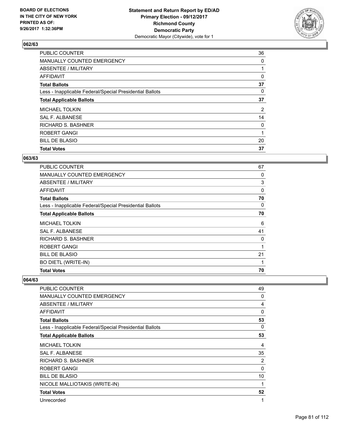

| <b>PUBLIC COUNTER</b>                                    | 36             |
|----------------------------------------------------------|----------------|
| MANUALLY COUNTED EMERGENCY                               | 0              |
| ABSENTEE / MILITARY                                      |                |
| AFFIDAVIT                                                | 0              |
| <b>Total Ballots</b>                                     | 37             |
| Less - Inapplicable Federal/Special Presidential Ballots | 0              |
| <b>Total Applicable Ballots</b>                          | 37             |
| <b>MICHAEL TOLKIN</b>                                    | $\overline{2}$ |
| SAL F. ALBANESE                                          | 14             |
| RICHARD S. BASHNER                                       | 0              |
| <b>ROBERT GANGI</b>                                      | 1              |
| <b>BILL DE BLASIO</b>                                    | 20             |
| <b>Total Votes</b>                                       | 37             |

#### **063/63**

| <b>PUBLIC COUNTER</b>                                    | 67       |
|----------------------------------------------------------|----------|
| <b>MANUALLY COUNTED EMERGENCY</b>                        | 0        |
| ABSENTEE / MILITARY                                      | 3        |
| <b>AFFIDAVIT</b>                                         | $\Omega$ |
| <b>Total Ballots</b>                                     | 70       |
| Less - Inapplicable Federal/Special Presidential Ballots | 0        |
| <b>Total Applicable Ballots</b>                          | 70       |
| <b>MICHAEL TOLKIN</b>                                    | 6        |
| SAL F. ALBANESE                                          | 41       |
| <b>RICHARD S. BASHNER</b>                                | 0        |
| ROBERT GANGI                                             | 1        |
| <b>BILL DE BLASIO</b>                                    | 21       |
| <b>BO DIETL (WRITE-IN)</b>                               | 1        |
| <b>Total Votes</b>                                       | 70       |

| <b>PUBLIC COUNTER</b>                                    | 49       |
|----------------------------------------------------------|----------|
| <b>MANUALLY COUNTED EMERGENCY</b>                        | 0        |
| ABSENTEE / MILITARY                                      | 4        |
| <b>AFFIDAVIT</b>                                         | 0        |
| <b>Total Ballots</b>                                     | 53       |
| Less - Inapplicable Federal/Special Presidential Ballots | 0        |
| <b>Total Applicable Ballots</b>                          | 53       |
| <b>MICHAEL TOLKIN</b>                                    | 4        |
| SAL F. ALBANESE                                          | 35       |
| <b>RICHARD S. BASHNER</b>                                | 2        |
| <b>ROBERT GANGI</b>                                      | $\Omega$ |
| <b>BILL DE BLASIO</b>                                    | 10       |
| NICOLE MALLIOTAKIS (WRITE-IN)                            | 1        |
| <b>Total Votes</b>                                       | 52       |
| Unrecorded                                               | 1        |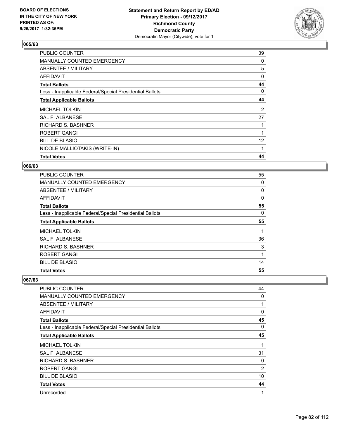

| PUBLIC COUNTER                                           | 39 |
|----------------------------------------------------------|----|
| MANUALLY COUNTED EMERGENCY                               | 0  |
| ABSENTEE / MILITARY                                      | 5  |
| <b>AFFIDAVIT</b>                                         | 0  |
| <b>Total Ballots</b>                                     | 44 |
| Less - Inapplicable Federal/Special Presidential Ballots | 0  |
| <b>Total Applicable Ballots</b>                          | 44 |
| <b>MICHAEL TOLKIN</b>                                    | 2  |
| SAL F. ALBANESE                                          | 27 |
| RICHARD S. BASHNER                                       |    |
| <b>ROBERT GANGI</b>                                      |    |
| <b>BILL DE BLASIO</b>                                    | 12 |
| NICOLE MALLIOTAKIS (WRITE-IN)                            | 1  |
| <b>Total Votes</b>                                       | 44 |

#### **066/63**

| <b>PUBLIC COUNTER</b>                                    | 55       |
|----------------------------------------------------------|----------|
| MANUALLY COUNTED EMERGENCY                               | 0        |
| ABSENTEE / MILITARY                                      | 0        |
| <b>AFFIDAVIT</b>                                         | $\Omega$ |
| <b>Total Ballots</b>                                     | 55       |
| Less - Inapplicable Federal/Special Presidential Ballots | 0        |
| <b>Total Applicable Ballots</b>                          | 55       |
| <b>MICHAEL TOLKIN</b>                                    |          |
| SAL F. ALBANESE                                          | 36       |
| <b>RICHARD S. BASHNER</b>                                | 3        |
| ROBERT GANGI                                             | 1        |
| <b>BILL DE BLASIO</b>                                    | 14       |
| <b>Total Votes</b>                                       | 55       |

| <b>PUBLIC COUNTER</b>                                    | 44 |
|----------------------------------------------------------|----|
| <b>MANUALLY COUNTED EMERGENCY</b>                        | 0  |
| ABSENTEE / MILITARY                                      | 1  |
| <b>AFFIDAVIT</b>                                         | 0  |
| <b>Total Ballots</b>                                     | 45 |
| Less - Inapplicable Federal/Special Presidential Ballots | 0  |
| <b>Total Applicable Ballots</b>                          | 45 |
| <b>MICHAEL TOLKIN</b>                                    | 1  |
| <b>SAL F. ALBANESE</b>                                   | 31 |
| <b>RICHARD S. BASHNER</b>                                | 0  |
| <b>ROBERT GANGI</b>                                      | 2  |
| <b>BILL DE BLASIO</b>                                    | 10 |
| <b>Total Votes</b>                                       | 44 |
| Unrecorded                                               | 1  |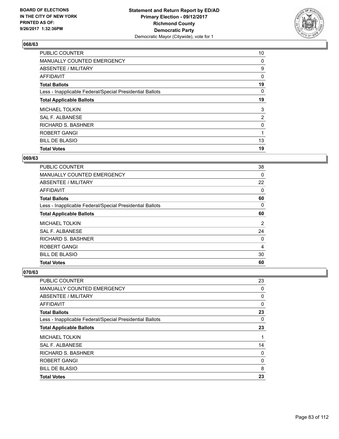

| <b>PUBLIC COUNTER</b>                                    | 10             |
|----------------------------------------------------------|----------------|
| MANUALLY COUNTED EMERGENCY                               | 0              |
| ABSENTEE / MILITARY                                      | 9              |
| AFFIDAVIT                                                | 0              |
| <b>Total Ballots</b>                                     | 19             |
| Less - Inapplicable Federal/Special Presidential Ballots | 0              |
| <b>Total Applicable Ballots</b>                          | 19             |
| <b>MICHAEL TOLKIN</b>                                    | 3              |
| SAL F. ALBANESE                                          | $\overline{2}$ |
| <b>RICHARD S. BASHNER</b>                                | 0              |
| <b>ROBERT GANGI</b>                                      | 1              |
| <b>BILL DE BLASIO</b>                                    | 13             |
| <b>Total Votes</b>                                       | 19             |

#### **069/63**

| <b>PUBLIC COUNTER</b>                                    | 38             |
|----------------------------------------------------------|----------------|
| <b>MANUALLY COUNTED EMERGENCY</b>                        | 0              |
| ABSENTEE / MILITARY                                      | 22             |
| <b>AFFIDAVIT</b>                                         | 0              |
| <b>Total Ballots</b>                                     | 60             |
| Less - Inapplicable Federal/Special Presidential Ballots | 0              |
| <b>Total Applicable Ballots</b>                          | 60             |
| <b>MICHAEL TOLKIN</b>                                    | $\overline{2}$ |
| SAL F. ALBANESE                                          | 24             |
| <b>RICHARD S. BASHNER</b>                                | 0              |
| ROBERT GANGI                                             | $\overline{4}$ |
| <b>BILL DE BLASIO</b>                                    | 30             |
| <b>Total Votes</b>                                       | 60             |

| PUBLIC COUNTER                                           | 23 |
|----------------------------------------------------------|----|
| MANUALLY COUNTED EMERGENCY                               | 0  |
| ABSENTEE / MILITARY                                      | 0  |
| AFFIDAVIT                                                | 0  |
| <b>Total Ballots</b>                                     | 23 |
| Less - Inapplicable Federal/Special Presidential Ballots | 0  |
| <b>Total Applicable Ballots</b>                          | 23 |
| MICHAEL TOLKIN                                           |    |
| SAL F. ALBANESE                                          | 14 |
| <b>RICHARD S. BASHNER</b>                                | 0  |
| <b>ROBERT GANGI</b>                                      | 0  |
| <b>BILL DE BLASIO</b>                                    | 8  |
| <b>Total Votes</b>                                       | 23 |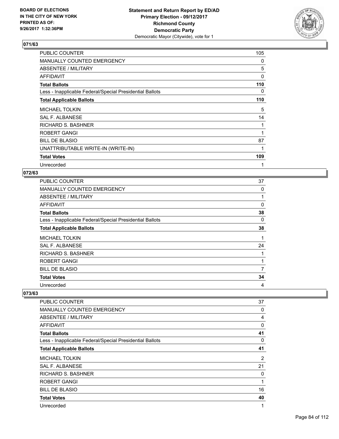

| PUBLIC COUNTER                                           | 105      |
|----------------------------------------------------------|----------|
| <b>MANUALLY COUNTED EMERGENCY</b>                        | 0        |
| ABSENTEE / MILITARY                                      | 5        |
| AFFIDAVIT                                                | $\Omega$ |
| <b>Total Ballots</b>                                     | 110      |
| Less - Inapplicable Federal/Special Presidential Ballots | 0        |
| <b>Total Applicable Ballots</b>                          | 110      |
| <b>MICHAEL TOLKIN</b>                                    | 5        |
| <b>SAL F. ALBANESE</b>                                   | 14       |
| <b>RICHARD S. BASHNER</b>                                | 1        |
| <b>ROBERT GANGI</b>                                      |          |
| <b>BILL DE BLASIO</b>                                    | 87       |
| UNATTRIBUTABLE WRITE-IN (WRITE-IN)                       |          |
| <b>Total Votes</b>                                       | 109      |
| Unrecorded                                               |          |

#### **072/63**

| <b>PUBLIC COUNTER</b>                                    | 37 |
|----------------------------------------------------------|----|
| MANUALLY COUNTED EMERGENCY                               | 0  |
| ABSENTEE / MILITARY                                      | 1  |
| AFFIDAVIT                                                | 0  |
| <b>Total Ballots</b>                                     | 38 |
| Less - Inapplicable Federal/Special Presidential Ballots | 0  |
| <b>Total Applicable Ballots</b>                          | 38 |
| <b>MICHAEL TOLKIN</b>                                    | 1  |
| SAL F. ALBANESE                                          | 24 |
| <b>RICHARD S. BASHNER</b>                                |    |
| <b>ROBERT GANGI</b>                                      | 1  |
| <b>BILL DE BLASIO</b>                                    | 7  |
| <b>Total Votes</b>                                       | 34 |
| Unrecorded                                               | 4  |

| PUBLIC COUNTER                                           | 37             |
|----------------------------------------------------------|----------------|
| MANUALLY COUNTED EMERGENCY                               | 0              |
| ABSENTEE / MILITARY                                      | 4              |
| <b>AFFIDAVIT</b>                                         | $\mathbf 0$    |
| <b>Total Ballots</b>                                     | 41             |
| Less - Inapplicable Federal/Special Presidential Ballots | 0              |
| <b>Total Applicable Ballots</b>                          | 41             |
| <b>MICHAEL TOLKIN</b>                                    | $\overline{2}$ |
| <b>SAL F. ALBANESE</b>                                   | 21             |
| <b>RICHARD S. BASHNER</b>                                | 0              |
| <b>ROBERT GANGI</b>                                      | 1              |
| <b>BILL DE BLASIO</b>                                    | 16             |
| <b>Total Votes</b>                                       | 40             |
| Unrecorded                                               | 1              |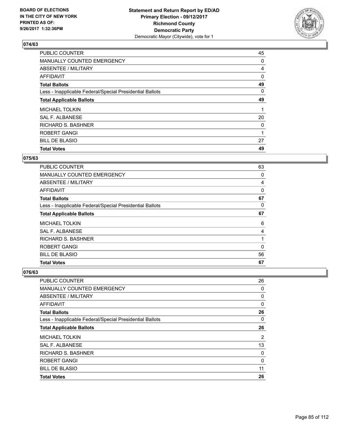

| <b>PUBLIC COUNTER</b>                                    | 45 |
|----------------------------------------------------------|----|
| MANUALLY COUNTED EMERGENCY                               | 0  |
| ABSENTEE / MILITARY                                      | 4  |
| AFFIDAVIT                                                | 0  |
| <b>Total Ballots</b>                                     | 49 |
| Less - Inapplicable Federal/Special Presidential Ballots | 0  |
| <b>Total Applicable Ballots</b>                          | 49 |
| <b>MICHAEL TOLKIN</b>                                    |    |
| SAL F. ALBANESE                                          | 20 |
| <b>RICHARD S. BASHNER</b>                                | 0  |
| <b>ROBERT GANGI</b>                                      | 1  |
| <b>BILL DE BLASIO</b>                                    | 27 |
| <b>Total Votes</b>                                       | 49 |

# **075/63**

| PUBLIC COUNTER                                           | 63       |
|----------------------------------------------------------|----------|
| <b>MANUALLY COUNTED EMERGENCY</b>                        | 0        |
| ABSENTEE / MILITARY                                      | 4        |
| <b>AFFIDAVIT</b>                                         | 0        |
| <b>Total Ballots</b>                                     | 67       |
| Less - Inapplicable Federal/Special Presidential Ballots | 0        |
| <b>Total Applicable Ballots</b>                          | 67       |
| <b>MICHAEL TOLKIN</b>                                    | 6        |
| SAL F. ALBANESE                                          | 4        |
| <b>RICHARD S. BASHNER</b>                                |          |
| ROBERT GANGI                                             | $\Omega$ |
| <b>BILL DE BLASIO</b>                                    | 56       |
| <b>Total Votes</b>                                       | 67       |

| PUBLIC COUNTER                                           | 26 |
|----------------------------------------------------------|----|
| MANUALLY COUNTED EMERGENCY                               | 0  |
| ABSENTEE / MILITARY                                      | 0  |
| AFFIDAVIT                                                | 0  |
| <b>Total Ballots</b>                                     | 26 |
| Less - Inapplicable Federal/Special Presidential Ballots | 0  |
| <b>Total Applicable Ballots</b>                          | 26 |
| <b>MICHAEL TOLKIN</b>                                    | 2  |
| SAL F. ALBANESE                                          | 13 |
| <b>RICHARD S. BASHNER</b>                                | 0  |
| ROBERT GANGI                                             | 0  |
| <b>BILL DE BLASIO</b>                                    | 11 |
| <b>Total Votes</b>                                       | 26 |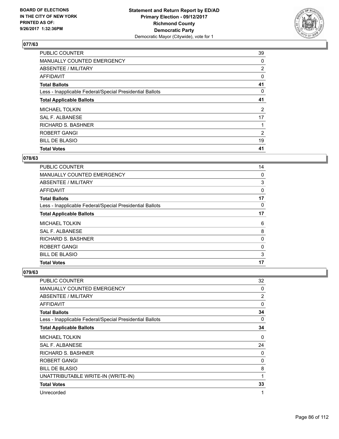

| <b>PUBLIC COUNTER</b>                                    | 39             |
|----------------------------------------------------------|----------------|
| MANUALLY COUNTED EMERGENCY                               | 0              |
| ABSENTEE / MILITARY                                      | $\overline{2}$ |
| AFFIDAVIT                                                | 0              |
| <b>Total Ballots</b>                                     | 41             |
| Less - Inapplicable Federal/Special Presidential Ballots | 0              |
| <b>Total Applicable Ballots</b>                          | 41             |
| <b>MICHAEL TOLKIN</b>                                    | $\overline{2}$ |
| SAL F. ALBANESE                                          | 17             |
| RICHARD S. BASHNER                                       |                |
| <b>ROBERT GANGI</b>                                      | 2              |
| <b>BILL DE BLASIO</b>                                    | 19             |
| <b>Total Votes</b>                                       | 41             |

# **078/63**

| <b>PUBLIC COUNTER</b>                                    | 14 |
|----------------------------------------------------------|----|
| <b>MANUALLY COUNTED EMERGENCY</b>                        | 0  |
| ABSENTEE / MILITARY                                      | 3  |
| AFFIDAVIT                                                | 0  |
| <b>Total Ballots</b>                                     | 17 |
| Less - Inapplicable Federal/Special Presidential Ballots | 0  |
| <b>Total Applicable Ballots</b>                          | 17 |
| <b>MICHAEL TOLKIN</b>                                    | 6  |
| SAL F. ALBANESE                                          | 8  |
| <b>RICHARD S. BASHNER</b>                                | 0  |
| <b>ROBERT GANGI</b>                                      | 0  |
| <b>BILL DE BLASIO</b>                                    | 3  |
| <b>Total Votes</b>                                       | 17 |

| PUBLIC COUNTER                                           | 32             |
|----------------------------------------------------------|----------------|
| <b>MANUALLY COUNTED EMERGENCY</b>                        | 0              |
| ABSENTEE / MILITARY                                      | $\overline{2}$ |
| AFFIDAVIT                                                | 0              |
| <b>Total Ballots</b>                                     | 34             |
| Less - Inapplicable Federal/Special Presidential Ballots | 0              |
| <b>Total Applicable Ballots</b>                          | 34             |
| <b>MICHAEL TOLKIN</b>                                    | 0              |
| <b>SAL F. ALBANESE</b>                                   | 24             |
| RICHARD S. BASHNER                                       | 0              |
| ROBERT GANGI                                             | 0              |
| <b>BILL DE BLASIO</b>                                    | 8              |
| UNATTRIBUTABLE WRITE-IN (WRITE-IN)                       | 1              |
| <b>Total Votes</b>                                       | 33             |
| Unrecorded                                               | 1              |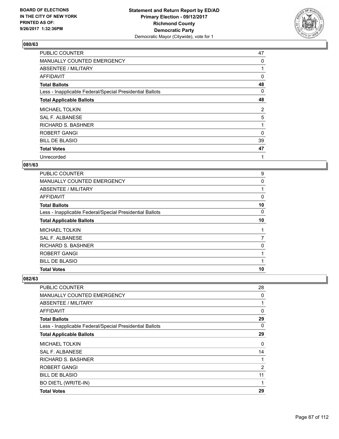

| <b>PUBLIC COUNTER</b>                                    | 47       |
|----------------------------------------------------------|----------|
| MANUALLY COUNTED EMERGENCY                               | 0        |
| ABSENTEE / MILITARY                                      |          |
| AFFIDAVIT                                                | 0        |
| <b>Total Ballots</b>                                     | 48       |
| Less - Inapplicable Federal/Special Presidential Ballots | 0        |
| <b>Total Applicable Ballots</b>                          | 48       |
| <b>MICHAEL TOLKIN</b>                                    | 2        |
| SAL F. ALBANESE                                          | 5        |
| <b>RICHARD S. BASHNER</b>                                |          |
| <b>ROBERT GANGI</b>                                      | $\Omega$ |
| <b>BILL DE BLASIO</b>                                    | 39       |
| <b>Total Votes</b>                                       | 47       |
| Unrecorded                                               | 1        |

#### **081/63**

| <b>PUBLIC COUNTER</b>                                    | 9  |
|----------------------------------------------------------|----|
| <b>MANUALLY COUNTED EMERGENCY</b>                        | 0  |
| ABSENTEE / MILITARY                                      | 1  |
| AFFIDAVIT                                                | 0  |
| <b>Total Ballots</b>                                     | 10 |
| Less - Inapplicable Federal/Special Presidential Ballots | 0  |
| <b>Total Applicable Ballots</b>                          | 10 |
| <b>MICHAEL TOLKIN</b>                                    | 1  |
| SAL F. ALBANESE                                          | 7  |
| RICHARD S. BASHNER                                       | 0  |
| <b>ROBERT GANGI</b>                                      | 1  |
| <b>BILL DE BLASIO</b>                                    | 1  |
| <b>Total Votes</b>                                       | 10 |

| <b>PUBLIC COUNTER</b>                                    | 28 |
|----------------------------------------------------------|----|
| MANUALLY COUNTED EMERGENCY                               | 0  |
| ABSENTEE / MILITARY                                      | 1  |
| AFFIDAVIT                                                | 0  |
| <b>Total Ballots</b>                                     | 29 |
| Less - Inapplicable Federal/Special Presidential Ballots | 0  |
| <b>Total Applicable Ballots</b>                          | 29 |
| <b>MICHAEL TOLKIN</b>                                    | 0  |
| SAL F. ALBANESE                                          | 14 |
| RICHARD S. BASHNER                                       | 1  |
| <b>ROBERT GANGI</b>                                      | 2  |
| <b>BILL DE BLASIO</b>                                    | 11 |
| <b>BO DIETL (WRITE-IN)</b>                               | 1  |
| <b>Total Votes</b>                                       | 29 |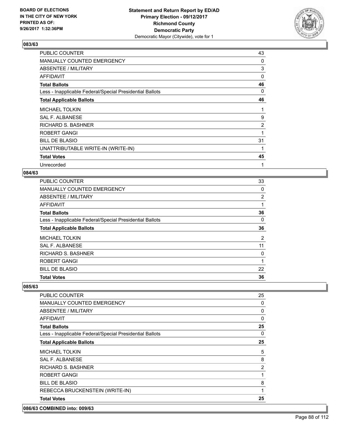

| PUBLIC COUNTER                                           | 43 |
|----------------------------------------------------------|----|
| <b>MANUALLY COUNTED EMERGENCY</b>                        | 0  |
| ABSENTEE / MILITARY                                      | 3  |
| <b>AFFIDAVIT</b>                                         | 0  |
| <b>Total Ballots</b>                                     | 46 |
| Less - Inapplicable Federal/Special Presidential Ballots | 0  |
| <b>Total Applicable Ballots</b>                          | 46 |
| <b>MICHAEL TOLKIN</b>                                    | 1  |
| <b>SAL F. ALBANESE</b>                                   | 9  |
| <b>RICHARD S. BASHNER</b>                                | 2  |
| <b>ROBERT GANGI</b>                                      |    |
| <b>BILL DE BLASIO</b>                                    | 31 |
| UNATTRIBUTABLE WRITE-IN (WRITE-IN)                       |    |
| <b>Total Votes</b>                                       | 45 |
| Unrecorded                                               | 1  |

#### **084/63**

| PUBLIC COUNTER                                           | 33             |
|----------------------------------------------------------|----------------|
| MANUALLY COUNTED EMERGENCY                               | 0              |
| ABSENTEE / MILITARY                                      | 2              |
| <b>AFFIDAVIT</b>                                         | 1              |
| <b>Total Ballots</b>                                     | 36             |
| Less - Inapplicable Federal/Special Presidential Ballots | 0              |
| <b>Total Applicable Ballots</b>                          | 36             |
| <b>MICHAEL TOLKIN</b>                                    | $\overline{2}$ |
| SAL F. ALBANESE                                          | 11             |
| <b>RICHARD S. BASHNER</b>                                | 0              |
| <b>ROBERT GANGI</b>                                      | 1              |
| <b>BILL DE BLASIO</b>                                    | 22             |
| <b>Total Votes</b>                                       | 36             |
|                                                          |                |

#### **085/63**

| <b>PUBLIC COUNTER</b>                                    | 25          |
|----------------------------------------------------------|-------------|
| <b>MANUALLY COUNTED EMERGENCY</b>                        | 0           |
| ABSENTEE / MILITARY                                      | 0           |
| AFFIDAVIT                                                | $\mathbf 0$ |
| <b>Total Ballots</b>                                     | 25          |
| Less - Inapplicable Federal/Special Presidential Ballots | 0           |
| <b>Total Applicable Ballots</b>                          | 25          |
| <b>MICHAEL TOLKIN</b>                                    | 5           |
| <b>SAL F. ALBANESE</b>                                   | 8           |
| <b>RICHARD S. BASHNER</b>                                | 2           |
| <b>ROBERT GANGI</b>                                      | 1           |
| <b>BILL DE BLASIO</b>                                    | 8           |
| REBECCA BRUCKENSTEIN (WRITE-IN)                          | 1           |
| <b>Total Votes</b>                                       | 25          |

#### **086/63 COMBINED into: 009/63**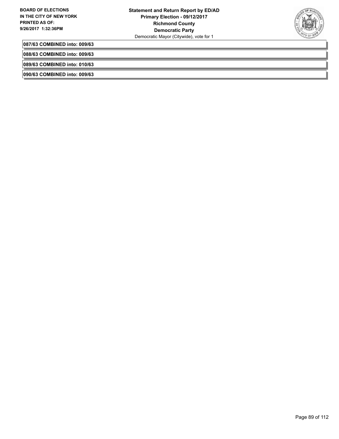

**087/63 COMBINED into: 009/63**

**088/63 COMBINED into: 009/63**

**089/63 COMBINED into: 010/63**

**090/63 COMBINED into: 009/63**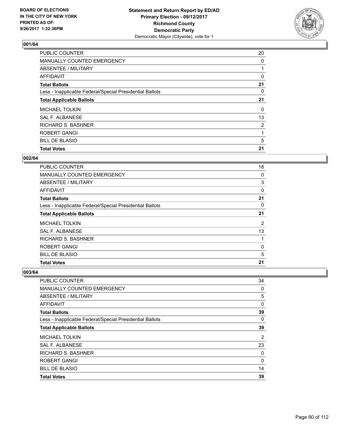

| <b>PUBLIC COUNTER</b>                                    | 20             |
|----------------------------------------------------------|----------------|
| MANUALLY COUNTED EMERGENCY                               | 0              |
| ABSENTEE / MILITARY                                      |                |
| AFFIDAVIT                                                | 0              |
| <b>Total Ballots</b>                                     | 21             |
| Less - Inapplicable Federal/Special Presidential Ballots | 0              |
| <b>Total Applicable Ballots</b>                          | 21             |
| <b>MICHAEL TOLKIN</b>                                    | 0              |
| SAL F. ALBANESE                                          | 13             |
| <b>RICHARD S. BASHNER</b>                                | $\overline{2}$ |
| <b>ROBERT GANGI</b>                                      | 1              |
| <b>BILL DE BLASIO</b>                                    | 5              |
| <b>Total Votes</b>                                       | 21             |

#### **002/64**

| PUBLIC COUNTER                                           | 18             |
|----------------------------------------------------------|----------------|
| <b>MANUALLY COUNTED EMERGENCY</b>                        | 0              |
| ABSENTEE / MILITARY                                      | 3              |
| <b>AFFIDAVIT</b>                                         | 0              |
| <b>Total Ballots</b>                                     | 21             |
| Less - Inapplicable Federal/Special Presidential Ballots | 0              |
| <b>Total Applicable Ballots</b>                          | 21             |
| <b>MICHAEL TOLKIN</b>                                    | $\overline{2}$ |
| SAL F. ALBANESE                                          | 13             |
| <b>RICHARD S. BASHNER</b>                                |                |
| ROBERT GANGI                                             | 0              |
| <b>BILL DE BLASIO</b>                                    | 5              |
| <b>Total Votes</b>                                       | 21             |

| PUBLIC COUNTER                                           | 34       |
|----------------------------------------------------------|----------|
| MANUALLY COUNTED EMERGENCY                               | 0        |
| ABSENTEE / MILITARY                                      | 5        |
| <b>AFFIDAVIT</b>                                         | 0        |
| <b>Total Ballots</b>                                     | 39       |
| Less - Inapplicable Federal/Special Presidential Ballots | $\Omega$ |
| <b>Total Applicable Ballots</b>                          | 39       |
| <b>MICHAEL TOLKIN</b>                                    | 2        |
| SAL F. ALBANESE                                          | 23       |
| <b>RICHARD S. BASHNER</b>                                | 0        |
| <b>ROBERT GANGI</b>                                      | 0        |
| <b>BILL DE BLASIO</b>                                    | 14       |
| <b>Total Votes</b>                                       | 39       |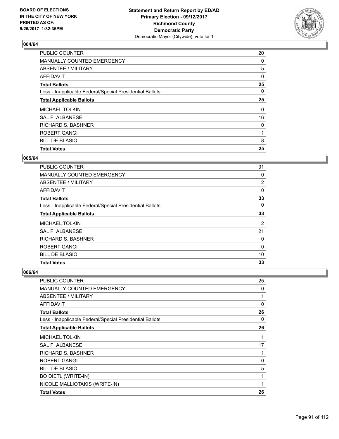

| <b>PUBLIC COUNTER</b>                                    | 20 |
|----------------------------------------------------------|----|
| MANUALLY COUNTED EMERGENCY                               | 0  |
| ABSENTEE / MILITARY                                      | 5  |
| AFFIDAVIT                                                | 0  |
| <b>Total Ballots</b>                                     | 25 |
| Less - Inapplicable Federal/Special Presidential Ballots | 0  |
| <b>Total Applicable Ballots</b>                          | 25 |
| <b>MICHAEL TOLKIN</b>                                    | 0  |
| SAL F. ALBANESE                                          | 16 |
| <b>RICHARD S. BASHNER</b>                                | 0  |
| ROBERT GANGI                                             | 1  |
| <b>BILL DE BLASIO</b>                                    | 8  |
| <b>Total Votes</b>                                       | 25 |

#### **005/64**

| <b>PUBLIC COUNTER</b>                                    | 31             |
|----------------------------------------------------------|----------------|
| <b>MANUALLY COUNTED EMERGENCY</b>                        | 0              |
| ABSENTEE / MILITARY                                      | 2              |
| <b>AFFIDAVIT</b>                                         | 0              |
| <b>Total Ballots</b>                                     | 33             |
| Less - Inapplicable Federal/Special Presidential Ballots | 0              |
| <b>Total Applicable Ballots</b>                          | 33             |
| <b>MICHAEL TOLKIN</b>                                    | $\overline{2}$ |
| SAL F. ALBANESE                                          | 21             |
| <b>RICHARD S. BASHNER</b>                                | 0              |
| ROBERT GANGI                                             | $\Omega$       |
| <b>BILL DE BLASIO</b>                                    | 10             |
| <b>Total Votes</b>                                       | 33             |

| PUBLIC COUNTER                                           | 25       |
|----------------------------------------------------------|----------|
| <b>MANUALLY COUNTED EMERGENCY</b>                        | 0        |
| ABSENTEE / MILITARY                                      | 1        |
| AFFIDAVIT                                                | 0        |
| <b>Total Ballots</b>                                     | 26       |
| Less - Inapplicable Federal/Special Presidential Ballots | 0        |
| <b>Total Applicable Ballots</b>                          | 26       |
| <b>MICHAEL TOLKIN</b>                                    |          |
| <b>SAL F. ALBANESE</b>                                   | 17       |
| <b>RICHARD S. BASHNER</b>                                | 1        |
| ROBERT GANGI                                             | $\Omega$ |
| <b>BILL DE BLASIO</b>                                    | 5        |
| <b>BO DIETL (WRITE-IN)</b>                               | 1        |
| NICOLE MALLIOTAKIS (WRITE-IN)                            | 1        |
| <b>Total Votes</b>                                       | 26       |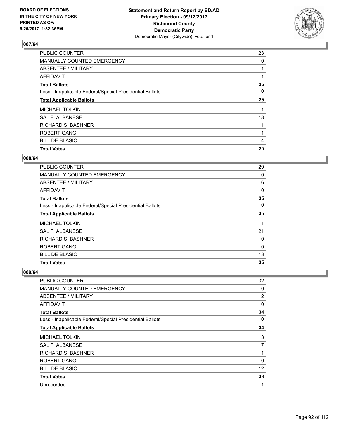

| <b>PUBLIC COUNTER</b>                                    | 23 |
|----------------------------------------------------------|----|
| MANUALLY COUNTED EMERGENCY                               | 0  |
| ABSENTEE / MILITARY                                      |    |
| AFFIDAVIT                                                |    |
| <b>Total Ballots</b>                                     | 25 |
| Less - Inapplicable Federal/Special Presidential Ballots | 0  |
| <b>Total Applicable Ballots</b>                          | 25 |
| <b>MICHAEL TOLKIN</b>                                    |    |
| SAL F. ALBANESE                                          | 18 |
| <b>RICHARD S. BASHNER</b>                                |    |
| <b>ROBERT GANGI</b>                                      |    |
| <b>BILL DE BLASIO</b>                                    | 4  |
| <b>Total Votes</b>                                       | 25 |

#### **008/64**

| PUBLIC COUNTER                                           | 29       |
|----------------------------------------------------------|----------|
| <b>MANUALLY COUNTED EMERGENCY</b>                        | 0        |
| ABSENTEE / MILITARY                                      | 6        |
| <b>AFFIDAVIT</b>                                         | 0        |
| <b>Total Ballots</b>                                     | 35       |
| Less - Inapplicable Federal/Special Presidential Ballots | 0        |
| <b>Total Applicable Ballots</b>                          | 35       |
| <b>MICHAEL TOLKIN</b>                                    |          |
| SAL F. ALBANESE                                          | 21       |
| <b>RICHARD S. BASHNER</b>                                | 0        |
| ROBERT GANGI                                             | $\Omega$ |
| <b>BILL DE BLASIO</b>                                    | 13       |
| <b>Total Votes</b>                                       | 35       |

| <b>PUBLIC COUNTER</b>                                    | 32             |
|----------------------------------------------------------|----------------|
| MANUALLY COUNTED EMERGENCY                               | 0              |
| ABSENTEE / MILITARY                                      | $\overline{2}$ |
| AFFIDAVIT                                                | 0              |
| <b>Total Ballots</b>                                     | 34             |
| Less - Inapplicable Federal/Special Presidential Ballots | 0              |
| <b>Total Applicable Ballots</b>                          | 34             |
| <b>MICHAEL TOLKIN</b>                                    | 3              |
| SAL F. ALBANESE                                          | 17             |
| <b>RICHARD S. BASHNER</b>                                |                |
| <b>ROBERT GANGI</b>                                      | 0              |
| <b>BILL DE BLASIO</b>                                    | 12             |
| <b>Total Votes</b>                                       | 33             |
| Unrecorded                                               | 1              |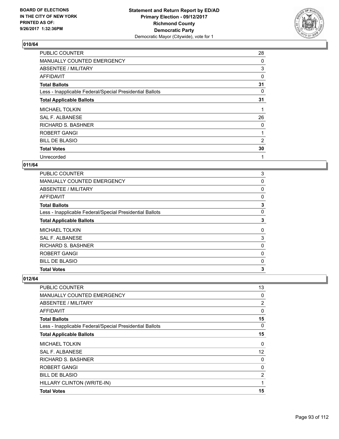

| PUBLIC COUNTER                                           | 28 |
|----------------------------------------------------------|----|
| <b>MANUALLY COUNTED EMERGENCY</b>                        | 0  |
| ABSENTEE / MILITARY                                      | 3  |
| AFFIDAVIT                                                | 0  |
| <b>Total Ballots</b>                                     | 31 |
| Less - Inapplicable Federal/Special Presidential Ballots | 0  |
| <b>Total Applicable Ballots</b>                          | 31 |
| <b>MICHAEL TOLKIN</b>                                    | 1  |
| SAL F. ALBANESE                                          | 26 |
| <b>RICHARD S. BASHNER</b>                                | 0  |
| <b>ROBERT GANGI</b>                                      |    |
| <b>BILL DE BLASIO</b>                                    | 2  |
| <b>Total Votes</b>                                       | 30 |
| Unrecorded                                               | 1  |

#### **011/64**

| PUBLIC COUNTER                                           | 3        |
|----------------------------------------------------------|----------|
| MANUALLY COUNTED EMERGENCY                               | 0        |
| ABSENTEE / MILITARY                                      | 0        |
| AFFIDAVIT                                                | 0        |
| <b>Total Ballots</b>                                     | 3        |
| Less - Inapplicable Federal/Special Presidential Ballots | 0        |
| <b>Total Applicable Ballots</b>                          | 3        |
| <b>MICHAEL TOLKIN</b>                                    | $\Omega$ |
| <b>SAL F. ALBANESE</b>                                   | 3        |
| <b>RICHARD S. BASHNER</b>                                | 0        |
| <b>ROBERT GANGI</b>                                      | 0        |
| <b>BILL DE BLASIO</b>                                    | 0        |
| <b>Total Votes</b>                                       | 3        |

| PUBLIC COUNTER                                           | 13 |
|----------------------------------------------------------|----|
| MANUALLY COUNTED EMERGENCY                               | 0  |
| ABSENTEE / MILITARY                                      | 2  |
| AFFIDAVIT                                                | 0  |
| <b>Total Ballots</b>                                     | 15 |
| Less - Inapplicable Federal/Special Presidential Ballots | 0  |
| <b>Total Applicable Ballots</b>                          | 15 |
| <b>MICHAEL TOLKIN</b>                                    | 0  |
| <b>SAL F. ALBANESE</b>                                   | 12 |
| <b>RICHARD S. BASHNER</b>                                | 0  |
| <b>ROBERT GANGI</b>                                      | 0  |
| <b>BILL DE BLASIO</b>                                    | 2  |
| HILLARY CLINTON (WRITE-IN)                               | 1  |
| <b>Total Votes</b>                                       | 15 |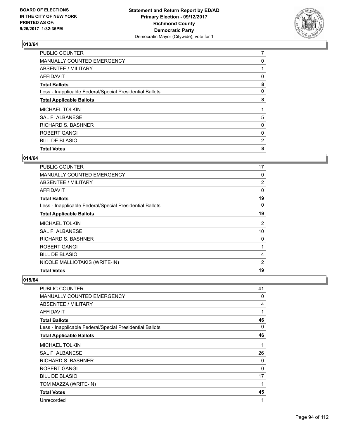

| <b>PUBLIC COUNTER</b>                                    | 7 |
|----------------------------------------------------------|---|
| MANUALLY COUNTED EMERGENCY                               | 0 |
| ABSENTEE / MILITARY                                      |   |
| AFFIDAVIT                                                | 0 |
| <b>Total Ballots</b>                                     | 8 |
| Less - Inapplicable Federal/Special Presidential Ballots | 0 |
| <b>Total Applicable Ballots</b>                          | 8 |
| <b>MICHAEL TOLKIN</b>                                    |   |
| SAL F. ALBANESE                                          | 5 |
| <b>RICHARD S. BASHNER</b>                                | 0 |
| <b>ROBERT GANGI</b>                                      | 0 |
| <b>BILL DE BLASIO</b>                                    | 2 |
| <b>Total Votes</b>                                       | 8 |
|                                                          |   |

### **014/64**

| PUBLIC COUNTER                                           | 17             |
|----------------------------------------------------------|----------------|
| <b>MANUALLY COUNTED EMERGENCY</b>                        | 0              |
| ABSENTEE / MILITARY                                      | 2              |
| AFFIDAVIT                                                | 0              |
| <b>Total Ballots</b>                                     | 19             |
| Less - Inapplicable Federal/Special Presidential Ballots | 0              |
| <b>Total Applicable Ballots</b>                          | 19             |
| <b>MICHAEL TOLKIN</b>                                    | $\overline{2}$ |
| <b>SAL F. ALBANESE</b>                                   | 10             |
| <b>RICHARD S. BASHNER</b>                                | 0              |
| <b>ROBERT GANGI</b>                                      | 1              |
| <b>BILL DE BLASIO</b>                                    | 4              |
| NICOLE MALLIOTAKIS (WRITE-IN)                            | 2              |
| <b>Total Votes</b>                                       | 19             |

| <b>PUBLIC COUNTER</b>                                    | 41       |
|----------------------------------------------------------|----------|
| MANUALLY COUNTED EMERGENCY                               | 0        |
| ABSENTEE / MILITARY                                      | 4        |
| AFFIDAVIT                                                | 1        |
| <b>Total Ballots</b>                                     | 46       |
| Less - Inapplicable Federal/Special Presidential Ballots | $\Omega$ |
| <b>Total Applicable Ballots</b>                          | 46       |
| <b>MICHAEL TOLKIN</b>                                    | 1        |
| SAL F. ALBANESE                                          | 26       |
| RICHARD S. BASHNER                                       | 0        |
| ROBERT GANGI                                             | 0        |
| <b>BILL DE BLASIO</b>                                    | 17       |
| TOM MAZZA (WRITE-IN)                                     | 1        |
| <b>Total Votes</b>                                       | 45       |
| Unrecorded                                               | 1        |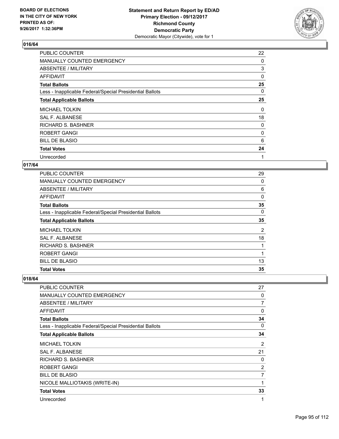

| <b>PUBLIC COUNTER</b>                                    | 22 |
|----------------------------------------------------------|----|
| <b>MANUALLY COUNTED EMERGENCY</b>                        | 0  |
| ABSENTEE / MILITARY                                      | 3  |
| AFFIDAVIT                                                | 0  |
| <b>Total Ballots</b>                                     | 25 |
| Less - Inapplicable Federal/Special Presidential Ballots | 0  |
| <b>Total Applicable Ballots</b>                          | 25 |
| <b>MICHAEL TOLKIN</b>                                    | 0  |
| SAL F. ALBANESE                                          | 18 |
| <b>RICHARD S. BASHNER</b>                                | 0  |
| <b>ROBERT GANGI</b>                                      | 0  |
| <b>BILL DE BLASIO</b>                                    | 6  |
| <b>Total Votes</b>                                       | 24 |
| Unrecorded                                               | 1  |

#### **017/64**

| <b>Total Votes</b>                                       | 35 |
|----------------------------------------------------------|----|
| <b>BILL DE BLASIO</b>                                    | 13 |
| ROBERT GANGI                                             | 1  |
| <b>RICHARD S. BASHNER</b>                                |    |
| SAL F. ALBANESE                                          | 18 |
| <b>MICHAEL TOLKIN</b>                                    | 2  |
| <b>Total Applicable Ballots</b>                          | 35 |
| Less - Inapplicable Federal/Special Presidential Ballots | 0  |
| <b>Total Ballots</b>                                     | 35 |
| AFFIDAVIT                                                | 0  |
| ABSENTEE / MILITARY                                      | 6  |
| MANUALLY COUNTED EMERGENCY                               | 0  |
| <b>PUBLIC COUNTER</b>                                    | 29 |

| <b>PUBLIC COUNTER</b>                                    | 27             |
|----------------------------------------------------------|----------------|
| <b>MANUALLY COUNTED EMERGENCY</b>                        | 0              |
| ABSENTEE / MILITARY                                      | 7              |
| <b>AFFIDAVIT</b>                                         | 0              |
| <b>Total Ballots</b>                                     | 34             |
| Less - Inapplicable Federal/Special Presidential Ballots | 0              |
| <b>Total Applicable Ballots</b>                          | 34             |
| <b>MICHAEL TOLKIN</b>                                    | 2              |
| <b>SAL F. ALBANESE</b>                                   | 21             |
| RICHARD S. BASHNER                                       | 0              |
| ROBERT GANGI                                             | $\overline{2}$ |
| <b>BILL DE BLASIO</b>                                    | 7              |
| NICOLE MALLIOTAKIS (WRITE-IN)                            | 1              |
| <b>Total Votes</b>                                       | 33             |
| Unrecorded                                               | 1              |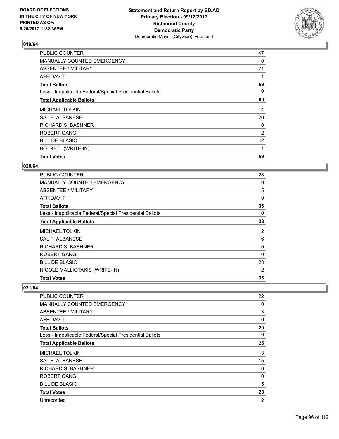

| <b>PUBLIC COUNTER</b>                                    | 47             |
|----------------------------------------------------------|----------------|
| MANUALLY COUNTED EMERGENCY                               | 0              |
| ABSENTEE / MILITARY                                      | 21             |
| AFFIDAVIT                                                |                |
| <b>Total Ballots</b>                                     | 69             |
| Less - Inapplicable Federal/Special Presidential Ballots | 0              |
| <b>Total Applicable Ballots</b>                          | 69             |
| <b>MICHAEL TOLKIN</b>                                    | 4              |
| SAL F. ALBANESE                                          | 20             |
| <b>RICHARD S. BASHNER</b>                                | 0              |
| <b>ROBERT GANGI</b>                                      | $\overline{2}$ |
| <b>BILL DE BLASIO</b>                                    | 42             |
| <b>BO DIETL (WRITE-IN)</b>                               | 1              |
| <b>Total Votes</b>                                       | 69             |

#### **020/64**

| <b>PUBLIC COUNTER</b>                                    | 28             |
|----------------------------------------------------------|----------------|
| <b>MANUALLY COUNTED EMERGENCY</b>                        | 0              |
| ABSENTEE / MILITARY                                      | 5              |
| AFFIDAVIT                                                | 0              |
| <b>Total Ballots</b>                                     | 33             |
| Less - Inapplicable Federal/Special Presidential Ballots | 0              |
| <b>Total Applicable Ballots</b>                          | 33             |
| <b>MICHAEL TOLKIN</b>                                    | 2              |
| <b>SAL F. ALBANESE</b>                                   | 6              |
| <b>RICHARD S. BASHNER</b>                                | 0              |
| <b>ROBERT GANGI</b>                                      | $\Omega$       |
| <b>BILL DE BLASIO</b>                                    | 23             |
| NICOLE MALLIOTAKIS (WRITE-IN)                            | $\overline{2}$ |
| <b>Total Votes</b>                                       | 33             |

| PUBLIC COUNTER                                           | 22             |
|----------------------------------------------------------|----------------|
| <b>MANUALLY COUNTED EMERGENCY</b>                        | 0              |
| <b>ABSENTEE / MILITARY</b>                               | 3              |
| AFFIDAVIT                                                | 0              |
| <b>Total Ballots</b>                                     | 25             |
| Less - Inapplicable Federal/Special Presidential Ballots | 0              |
| <b>Total Applicable Ballots</b>                          | 25             |
| <b>MICHAEL TOLKIN</b>                                    | 3              |
| <b>SAL F. ALBANESE</b>                                   | 15             |
| <b>RICHARD S. BASHNER</b>                                | 0              |
| ROBERT GANGI                                             | 0              |
| <b>BILL DE BLASIO</b>                                    | 5              |
| <b>Total Votes</b>                                       | 23             |
| Unrecorded                                               | $\overline{2}$ |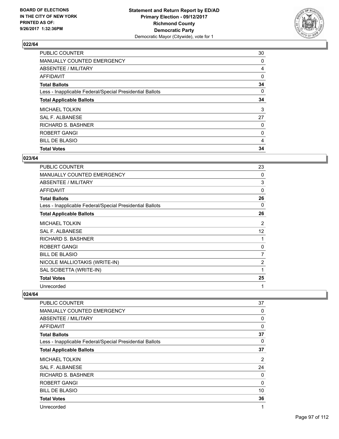

| <b>PUBLIC COUNTER</b>                                    | 30 |
|----------------------------------------------------------|----|
| MANUALLY COUNTED EMERGENCY                               | 0  |
| ABSENTEE / MILITARY                                      | 4  |
| AFFIDAVIT                                                | 0  |
| <b>Total Ballots</b>                                     | 34 |
| Less - Inapplicable Federal/Special Presidential Ballots | 0  |
| <b>Total Applicable Ballots</b>                          | 34 |
| <b>MICHAEL TOLKIN</b>                                    | 3  |
| SAL F. ALBANESE                                          | 27 |
| <b>RICHARD S. BASHNER</b>                                | 0  |
| ROBERT GANGI                                             | 0  |
| <b>BILL DE BLASIO</b>                                    | 4  |
| <b>Total Votes</b>                                       | 34 |

### **023/64**

| <b>PUBLIC COUNTER</b>                                    | 23             |
|----------------------------------------------------------|----------------|
| <b>MANUALLY COUNTED EMERGENCY</b>                        | 0              |
| <b>ABSENTEE / MILITARY</b>                               | 3              |
| <b>AFFIDAVIT</b>                                         | 0              |
| <b>Total Ballots</b>                                     | 26             |
| Less - Inapplicable Federal/Special Presidential Ballots | 0              |
| <b>Total Applicable Ballots</b>                          | 26             |
| <b>MICHAEL TOLKIN</b>                                    | 2              |
| <b>SAL F. ALBANESE</b>                                   | 12             |
| <b>RICHARD S. BASHNER</b>                                | 1              |
| ROBERT GANGI                                             | 0              |
| <b>BILL DE BLASIO</b>                                    | 7              |
| NICOLE MALLIOTAKIS (WRITE-IN)                            | $\overline{2}$ |
| SAL SCIBETTA (WRITE-IN)                                  | 1              |
| <b>Total Votes</b>                                       | 25             |
| Unrecorded                                               | 1              |

| PUBLIC COUNTER                                           | 37             |
|----------------------------------------------------------|----------------|
| <b>MANUALLY COUNTED EMERGENCY</b>                        | 0              |
| ABSENTEE / MILITARY                                      | 0              |
| <b>AFFIDAVIT</b>                                         | 0              |
| <b>Total Ballots</b>                                     | 37             |
| Less - Inapplicable Federal/Special Presidential Ballots | 0              |
| <b>Total Applicable Ballots</b>                          | 37             |
| <b>MICHAEL TOLKIN</b>                                    | $\overline{2}$ |
| SAL F. ALBANESE                                          | 24             |
| <b>RICHARD S. BASHNER</b>                                | 0              |
| ROBERT GANGI                                             | 0              |
| <b>BILL DE BLASIO</b>                                    | 10             |
| <b>Total Votes</b>                                       | 36             |
| Unrecorded                                               | 1              |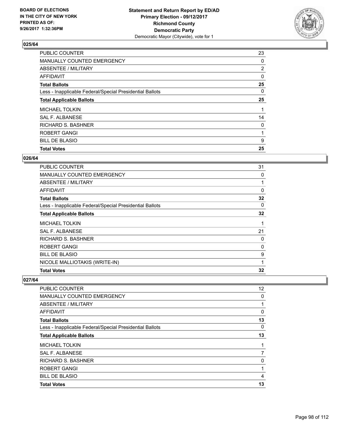

| <b>PUBLIC COUNTER</b>                                    | 23             |
|----------------------------------------------------------|----------------|
| MANUALLY COUNTED EMERGENCY                               | 0              |
| ABSENTEE / MILITARY                                      | $\overline{2}$ |
| AFFIDAVIT                                                | 0              |
| <b>Total Ballots</b>                                     | 25             |
| Less - Inapplicable Federal/Special Presidential Ballots | 0              |
| <b>Total Applicable Ballots</b>                          | 25             |
| <b>MICHAEL TOLKIN</b>                                    |                |
| SAL F. ALBANESE                                          | 14             |
| <b>RICHARD S. BASHNER</b>                                | 0              |
| ROBERT GANGI                                             | 1              |
| <b>BILL DE BLASIO</b>                                    | 9              |
| <b>Total Votes</b>                                       | 25             |

#### **026/64**

| <b>PUBLIC COUNTER</b>                                    | 31       |
|----------------------------------------------------------|----------|
| <b>MANUALLY COUNTED EMERGENCY</b>                        | 0        |
| ABSENTEE / MILITARY                                      | 1        |
| AFFIDAVIT                                                | $\Omega$ |
| <b>Total Ballots</b>                                     | 32       |
| Less - Inapplicable Federal/Special Presidential Ballots | 0        |
| <b>Total Applicable Ballots</b>                          | 32       |
| <b>MICHAEL TOLKIN</b>                                    | 1        |
| SAL F. ALBANESE                                          | 21       |
| <b>RICHARD S. BASHNER</b>                                | 0        |
| ROBERT GANGI                                             | 0        |
| <b>BILL DE BLASIO</b>                                    | 9        |
| NICOLE MALLIOTAKIS (WRITE-IN)                            | 1        |
| <b>Total Votes</b>                                       | 32       |

| PUBLIC COUNTER                                           | 12 <sup>°</sup> |
|----------------------------------------------------------|-----------------|
| <b>MANUALLY COUNTED EMERGENCY</b>                        | 0               |
| ABSENTEE / MILITARY                                      |                 |
| AFFIDAVIT                                                | 0               |
| <b>Total Ballots</b>                                     | 13              |
| Less - Inapplicable Federal/Special Presidential Ballots | 0               |
| <b>Total Applicable Ballots</b>                          | 13              |
| <b>MICHAEL TOLKIN</b>                                    |                 |
| SAL F. ALBANESE                                          | 7               |
| <b>RICHARD S. BASHNER</b>                                | 0               |
| <b>ROBERT GANGI</b>                                      |                 |
| <b>BILL DE BLASIO</b>                                    | 4               |
| <b>Total Votes</b>                                       | 13              |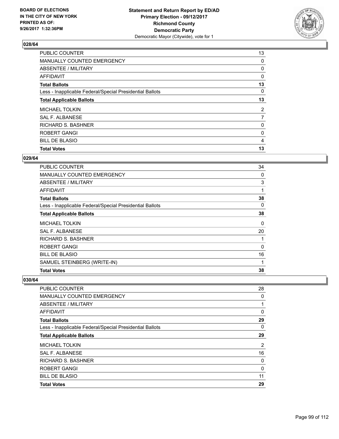

| <b>PUBLIC COUNTER</b>                                    | 13             |
|----------------------------------------------------------|----------------|
| MANUALLY COUNTED EMERGENCY                               | 0              |
| ABSENTEE / MILITARY                                      | 0              |
| AFFIDAVIT                                                | 0              |
| <b>Total Ballots</b>                                     | 13             |
| Less - Inapplicable Federal/Special Presidential Ballots | 0              |
| <b>Total Applicable Ballots</b>                          | 13             |
| <b>MICHAEL TOLKIN</b>                                    | $\overline{2}$ |
| SAL F. ALBANESE                                          | $\overline{7}$ |
| <b>RICHARD S. BASHNER</b>                                | 0              |
| ROBERT GANGI                                             | 0              |
| <b>BILL DE BLASIO</b>                                    | 4              |
| <b>Total Votes</b>                                       | 13             |

#### **029/64**

| PUBLIC COUNTER                                           | 34 |
|----------------------------------------------------------|----|
| <b>MANUALLY COUNTED EMERGENCY</b>                        | 0  |
| <b>ABSENTEE / MILITARY</b>                               | 3  |
| AFFIDAVIT                                                | 1  |
| <b>Total Ballots</b>                                     | 38 |
| Less - Inapplicable Federal/Special Presidential Ballots | 0  |
| <b>Total Applicable Ballots</b>                          | 38 |
| <b>MICHAEL TOLKIN</b>                                    | 0  |
| <b>SAL F. ALBANESE</b>                                   | 20 |
| RICHARD S. BASHNER                                       | 1  |
| ROBERT GANGI                                             | 0  |
| <b>BILL DE BLASIO</b>                                    | 16 |
| SAMUEL STEINBERG (WRITE-IN)                              | 1  |
| <b>Total Votes</b>                                       | 38 |

| PUBLIC COUNTER                                           | 28 |
|----------------------------------------------------------|----|
| <b>MANUALLY COUNTED EMERGENCY</b>                        | 0  |
| ABSENTEE / MILITARY                                      |    |
| AFFIDAVIT                                                | 0  |
| <b>Total Ballots</b>                                     | 29 |
| Less - Inapplicable Federal/Special Presidential Ballots | 0  |
| <b>Total Applicable Ballots</b>                          | 29 |
| <b>MICHAEL TOLKIN</b>                                    | 2  |
| SAL F. ALBANESE                                          | 16 |
| <b>RICHARD S. BASHNER</b>                                | 0  |
| <b>ROBERT GANGI</b>                                      | 0  |
| <b>BILL DE BLASIO</b>                                    | 11 |
| <b>Total Votes</b>                                       | 29 |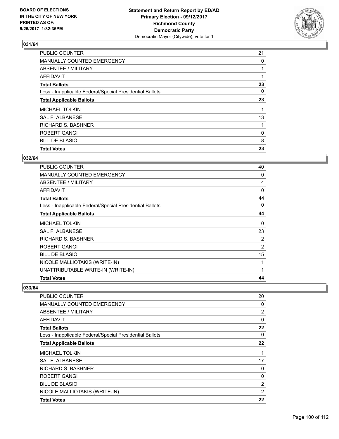

| <b>PUBLIC COUNTER</b>                                    | 21 |
|----------------------------------------------------------|----|
| MANUALLY COUNTED EMERGENCY                               | 0  |
| ABSENTEE / MILITARY                                      |    |
| AFFIDAVIT                                                |    |
| <b>Total Ballots</b>                                     | 23 |
| Less - Inapplicable Federal/Special Presidential Ballots | 0  |
| <b>Total Applicable Ballots</b>                          | 23 |
| <b>MICHAEL TOLKIN</b>                                    |    |
| SAL F. ALBANESE                                          | 13 |
| <b>RICHARD S. BASHNER</b>                                |    |
| ROBERT GANGI                                             | 0  |
| <b>BILL DE BLASIO</b>                                    | 8  |
| <b>Total Votes</b>                                       | 23 |

### **032/64**

| <b>PUBLIC COUNTER</b>                                    | 40 |
|----------------------------------------------------------|----|
| <b>MANUALLY COUNTED EMERGENCY</b>                        | 0  |
| <b>ABSENTEE / MILITARY</b>                               | 4  |
| AFFIDAVIT                                                | 0  |
| <b>Total Ballots</b>                                     | 44 |
| Less - Inapplicable Federal/Special Presidential Ballots | 0  |
| <b>Total Applicable Ballots</b>                          | 44 |
| <b>MICHAEL TOLKIN</b>                                    | 0  |
| SAL F. ALBANESE                                          | 23 |
| RICHARD S. BASHNER                                       | 2  |
| ROBERT GANGI                                             | 2  |
| <b>BILL DE BLASIO</b>                                    | 15 |
| NICOLE MALLIOTAKIS (WRITE-IN)                            | 1  |
| UNATTRIBUTABLE WRITE-IN (WRITE-IN)                       | 1  |
| <b>Total Votes</b>                                       | 44 |

| <b>PUBLIC COUNTER</b>                                    | 20             |
|----------------------------------------------------------|----------------|
| <b>MANUALLY COUNTED EMERGENCY</b>                        | 0              |
| <b>ABSENTEE / MILITARY</b>                               | $\overline{2}$ |
| AFFIDAVIT                                                | $\Omega$       |
| <b>Total Ballots</b>                                     | 22             |
| Less - Inapplicable Federal/Special Presidential Ballots | 0              |
| <b>Total Applicable Ballots</b>                          | 22             |
| <b>MICHAEL TOLKIN</b>                                    | 1              |
| SAL F. ALBANESE                                          | 17             |
| RICHARD S. BASHNER                                       | 0              |
| ROBERT GANGI                                             | 0              |
| <b>BILL DE BLASIO</b>                                    | $\overline{2}$ |
| NICOLE MALLIOTAKIS (WRITE-IN)                            | $\overline{2}$ |
| <b>Total Votes</b>                                       | 22             |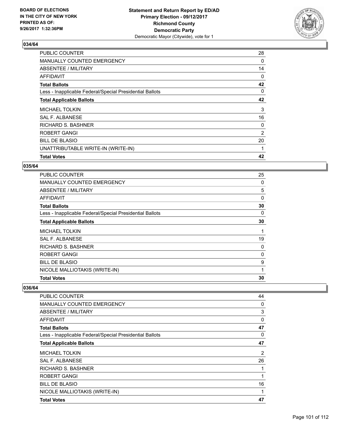

| PUBLIC COUNTER                                           | 28 |
|----------------------------------------------------------|----|
| MANUALLY COUNTED EMERGENCY                               | 0  |
| ABSENTEE / MILITARY                                      | 14 |
| AFFIDAVIT                                                | 0  |
| <b>Total Ballots</b>                                     | 42 |
| Less - Inapplicable Federal/Special Presidential Ballots | 0  |
| <b>Total Applicable Ballots</b>                          | 42 |
| <b>MICHAEL TOLKIN</b>                                    | 3  |
| SAL F. ALBANESE                                          | 16 |
| <b>RICHARD S. BASHNER</b>                                | 0  |
| ROBERT GANGI                                             | 2  |
| <b>BILL DE BLASIO</b>                                    | 20 |
| UNATTRIBUTABLE WRITE-IN (WRITE-IN)                       |    |
| <b>Total Votes</b>                                       | 42 |

### **035/64**

| <b>PUBLIC COUNTER</b>                                    | 25       |
|----------------------------------------------------------|----------|
| <b>MANUALLY COUNTED EMERGENCY</b>                        | 0        |
| ABSENTEE / MILITARY                                      | 5        |
| AFFIDAVIT                                                | $\Omega$ |
| <b>Total Ballots</b>                                     | 30       |
| Less - Inapplicable Federal/Special Presidential Ballots | 0        |
| <b>Total Applicable Ballots</b>                          | 30       |
| <b>MICHAEL TOLKIN</b>                                    | 1        |
| SAL F. ALBANESE                                          | 19       |
| RICHARD S. BASHNER                                       | 0        |
| ROBERT GANGI                                             | 0        |
| <b>BILL DE BLASIO</b>                                    | 9        |
| NICOLE MALLIOTAKIS (WRITE-IN)                            | 1        |
| <b>Total Votes</b>                                       | 30       |

| <b>PUBLIC COUNTER</b>                                    | 44             |
|----------------------------------------------------------|----------------|
| <b>MANUALLY COUNTED EMERGENCY</b>                        | 0              |
| <b>ABSENTEE / MILITARY</b>                               | 3              |
| AFFIDAVIT                                                | 0              |
| <b>Total Ballots</b>                                     | 47             |
| Less - Inapplicable Federal/Special Presidential Ballots | 0              |
| <b>Total Applicable Ballots</b>                          | 47             |
| <b>MICHAEL TOLKIN</b>                                    | $\overline{2}$ |
| <b>SAL F. ALBANESE</b>                                   | 26             |
| RICHARD S. BASHNER                                       | 1              |
| ROBERT GANGI                                             | 1              |
| <b>BILL DE BLASIO</b>                                    | 16             |
| NICOLE MALLIOTAKIS (WRITE-IN)                            | 1              |
| <b>Total Votes</b>                                       | 47             |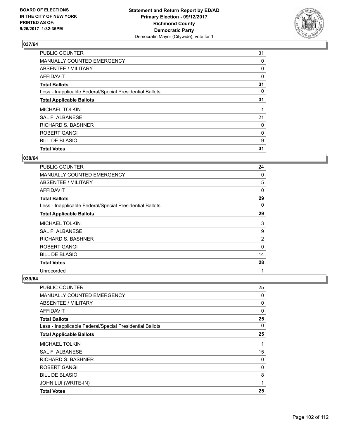

| <b>PUBLIC COUNTER</b>                                    | 31 |
|----------------------------------------------------------|----|
| MANUALLY COUNTED EMERGENCY                               | 0  |
| ABSENTEE / MILITARY                                      | 0  |
| AFFIDAVIT                                                | 0  |
| <b>Total Ballots</b>                                     | 31 |
| Less - Inapplicable Federal/Special Presidential Ballots | 0  |
| <b>Total Applicable Ballots</b>                          | 31 |
| <b>MICHAEL TOLKIN</b>                                    |    |
| SAL F. ALBANESE                                          | 21 |
| <b>RICHARD S. BASHNER</b>                                | 0  |
| ROBERT GANGI                                             | 0  |
| <b>BILL DE BLASIO</b>                                    | 9  |
| <b>Total Votes</b>                                       | 31 |

#### **038/64**

| <b>PUBLIC COUNTER</b>                                    | 24       |
|----------------------------------------------------------|----------|
| <b>MANUALLY COUNTED EMERGENCY</b>                        | 0        |
| ABSENTEE / MILITARY                                      | 5        |
| <b>AFFIDAVIT</b>                                         | $\Omega$ |
| <b>Total Ballots</b>                                     | 29       |
| Less - Inapplicable Federal/Special Presidential Ballots | 0        |
| <b>Total Applicable Ballots</b>                          | 29       |
| <b>MICHAEL TOLKIN</b>                                    | 3        |
| SAL F. ALBANESE                                          | 9        |
| <b>RICHARD S. BASHNER</b>                                | 2        |
| ROBERT GANGI                                             | $\Omega$ |
| <b>BILL DE BLASIO</b>                                    | 14       |
| <b>Total Votes</b>                                       | 28       |
| Unrecorded                                               | 1        |

| PUBLIC COUNTER                                           | 25 |
|----------------------------------------------------------|----|
| <b>MANUALLY COUNTED EMERGENCY</b>                        | 0  |
| ABSENTEE / MILITARY                                      | 0  |
| <b>AFFIDAVIT</b>                                         | 0  |
| <b>Total Ballots</b>                                     | 25 |
| Less - Inapplicable Federal/Special Presidential Ballots | 0  |
| <b>Total Applicable Ballots</b>                          | 25 |
| <b>MICHAEL TOLKIN</b>                                    | 1  |
| <b>SAL F. ALBANESE</b>                                   | 15 |
| <b>RICHARD S. BASHNER</b>                                | 0  |
| <b>ROBERT GANGI</b>                                      | 0  |
| <b>BILL DE BLASIO</b>                                    | 8  |
| JOHN LUI (WRITE-IN)                                      | 1  |
| <b>Total Votes</b>                                       | 25 |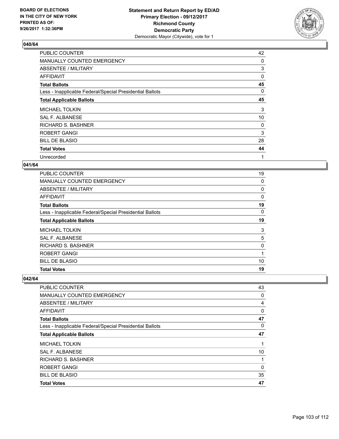

| <b>PUBLIC COUNTER</b>                                    | 42 |
|----------------------------------------------------------|----|
| <b>MANUALLY COUNTED EMERGENCY</b>                        | 0  |
| ABSENTEE / MILITARY                                      | 3  |
| AFFIDAVIT                                                | 0  |
| <b>Total Ballots</b>                                     | 45 |
| Less - Inapplicable Federal/Special Presidential Ballots | 0  |
| <b>Total Applicable Ballots</b>                          | 45 |
| <b>MICHAEL TOLKIN</b>                                    | 3  |
| SAL F. ALBANESE                                          | 10 |
| <b>RICHARD S. BASHNER</b>                                | 0  |
| <b>ROBERT GANGI</b>                                      | 3  |
| <b>BILL DE BLASIO</b>                                    | 28 |
| <b>Total Votes</b>                                       | 44 |
| Unrecorded                                               | 1  |

#### **041/64**

| <b>PUBLIC COUNTER</b>                                    | 19 |
|----------------------------------------------------------|----|
| MANUALLY COUNTED EMERGENCY                               | 0  |
| ABSENTEE / MILITARY                                      | 0  |
| AFFIDAVIT                                                | 0  |
| <b>Total Ballots</b>                                     | 19 |
| Less - Inapplicable Federal/Special Presidential Ballots | 0  |
| <b>Total Applicable Ballots</b>                          | 19 |
| MICHAEL TOLKIN                                           | 3  |
| SAL F. ALBANESE                                          | 5  |
| RICHARD S. BASHNER                                       | 0  |
| <b>ROBERT GANGI</b>                                      | 1  |
| <b>BILL DE BLASIO</b>                                    | 10 |
| <b>Total Votes</b>                                       | 19 |

| <b>Total Votes</b>                                       | 47       |
|----------------------------------------------------------|----------|
| <b>BILL DE BLASIO</b>                                    | 35       |
| ROBERT GANGI                                             | $\Omega$ |
| <b>RICHARD S. BASHNER</b>                                | 1        |
| SAL F. ALBANESE                                          | 10       |
| <b>MICHAEL TOLKIN</b>                                    |          |
| <b>Total Applicable Ballots</b>                          | 47       |
| Less - Inapplicable Federal/Special Presidential Ballots | 0        |
| <b>Total Ballots</b>                                     | 47       |
| AFFIDAVIT                                                | 0        |
| ABSENTEE / MILITARY                                      | 4        |
| MANUALLY COUNTED EMERGENCY                               | 0        |
| PUBLIC COUNTER                                           | 43       |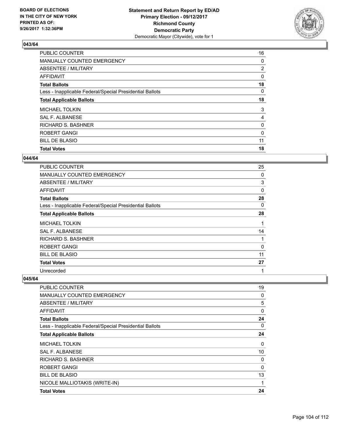

| <b>PUBLIC COUNTER</b>                                    | 16             |
|----------------------------------------------------------|----------------|
| MANUALLY COUNTED EMERGENCY                               | 0              |
| ABSENTEE / MILITARY                                      | $\overline{2}$ |
| AFFIDAVIT                                                | 0              |
| <b>Total Ballots</b>                                     | 18             |
| Less - Inapplicable Federal/Special Presidential Ballots | 0              |
| <b>Total Applicable Ballots</b>                          | 18             |
| <b>MICHAEL TOLKIN</b>                                    | 3              |
| SAL F. ALBANESE                                          | 4              |
| <b>RICHARD S. BASHNER</b>                                | 0              |
| ROBERT GANGI                                             | 0              |
| <b>BILL DE BLASIO</b>                                    | 11             |
| <b>Total Votes</b>                                       | 18             |

#### **044/64**

| PUBLIC COUNTER                                           | 25 |
|----------------------------------------------------------|----|
| <b>MANUALLY COUNTED EMERGENCY</b>                        | 0  |
| <b>ABSENTEE / MILITARY</b>                               | 3  |
| <b>AFFIDAVIT</b>                                         | 0  |
| <b>Total Ballots</b>                                     | 28 |
| Less - Inapplicable Federal/Special Presidential Ballots | 0  |
| <b>Total Applicable Ballots</b>                          | 28 |
| <b>MICHAEL TOLKIN</b>                                    | 1  |
| SAL F. ALBANESE                                          | 14 |
| <b>RICHARD S. BASHNER</b>                                | 1  |
| ROBERT GANGI                                             | 0  |
| <b>BILL DE BLASIO</b>                                    | 11 |
| <b>Total Votes</b>                                       | 27 |
| Unrecorded                                               | 1  |

| <b>PUBLIC COUNTER</b>                                    | 19 |
|----------------------------------------------------------|----|
| <b>MANUALLY COUNTED EMERGENCY</b>                        | 0  |
| ABSENTEE / MILITARY                                      | 5  |
| AFFIDAVIT                                                | 0  |
| <b>Total Ballots</b>                                     | 24 |
| Less - Inapplicable Federal/Special Presidential Ballots | 0  |
| <b>Total Applicable Ballots</b>                          | 24 |
| <b>MICHAEL TOLKIN</b>                                    | 0  |
| SAL F. ALBANESE                                          | 10 |
| <b>RICHARD S. BASHNER</b>                                | 0  |
| <b>ROBERT GANGI</b>                                      | 0  |
| <b>BILL DE BLASIO</b>                                    | 13 |
| NICOLE MALLIOTAKIS (WRITE-IN)                            | 1  |
| <b>Total Votes</b>                                       | 24 |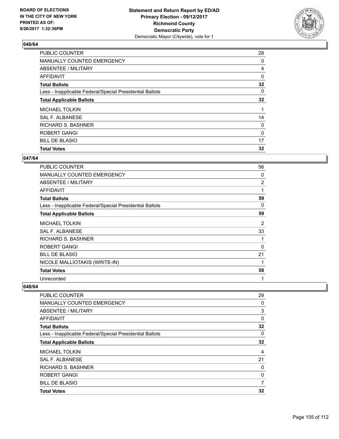

| <b>PUBLIC COUNTER</b>                                    | 28 |
|----------------------------------------------------------|----|
| MANUALLY COUNTED EMERGENCY                               | 0  |
| ABSENTEE / MILITARY                                      | 4  |
| AFFIDAVIT                                                | 0  |
| <b>Total Ballots</b>                                     | 32 |
| Less - Inapplicable Federal/Special Presidential Ballots | 0  |
| <b>Total Applicable Ballots</b>                          | 32 |
| <b>MICHAEL TOLKIN</b>                                    |    |
| SAL F. ALBANESE                                          | 14 |
| <b>RICHARD S. BASHNER</b>                                | 0  |
| ROBERT GANGI                                             | 0  |
| <b>BILL DE BLASIO</b>                                    | 17 |
| <b>Total Votes</b>                                       | 32 |

### **047/64**

| PUBLIC COUNTER                                           | 56             |
|----------------------------------------------------------|----------------|
| <b>MANUALLY COUNTED EMERGENCY</b>                        | 0              |
| <b>ABSENTEE / MILITARY</b>                               | $\overline{2}$ |
| <b>AFFIDAVIT</b>                                         | 1              |
| <b>Total Ballots</b>                                     | 59             |
| Less - Inapplicable Federal/Special Presidential Ballots | 0              |
| <b>Total Applicable Ballots</b>                          | 59             |
| <b>MICHAEL TOLKIN</b>                                    | $\overline{2}$ |
| <b>SAL F. ALBANESE</b>                                   | 33             |
| RICHARD S. BASHNER                                       | 1              |
| <b>ROBERT GANGI</b>                                      | 0              |
| <b>BILL DE BLASIO</b>                                    | 21             |
| NICOLE MALLIOTAKIS (WRITE-IN)                            | 1              |
| <b>Total Votes</b>                                       | 58             |
| Unrecorded                                               | 1              |

| PUBLIC COUNTER                                           | 29 |
|----------------------------------------------------------|----|
| <b>MANUALLY COUNTED EMERGENCY</b>                        | 0  |
| ABSENTEE / MILITARY                                      | 3  |
| AFFIDAVIT                                                | 0  |
| <b>Total Ballots</b>                                     | 32 |
| Less - Inapplicable Federal/Special Presidential Ballots | 0  |
| <b>Total Applicable Ballots</b>                          | 32 |
| <b>MICHAEL TOLKIN</b>                                    | 4  |
| SAL F. ALBANESE                                          | 21 |
| <b>RICHARD S. BASHNER</b>                                | 0  |
| <b>ROBERT GANGI</b>                                      | 0  |
| <b>BILL DE BLASIO</b>                                    | 7  |
| <b>Total Votes</b>                                       | 32 |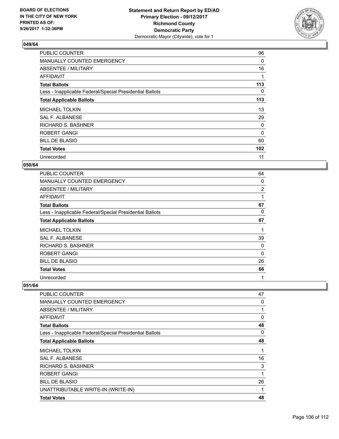

| <b>PUBLIC COUNTER</b>                                    | 96       |
|----------------------------------------------------------|----------|
| MANUALLY COUNTED EMERGENCY                               | 0        |
| ABSENTEE / MILITARY                                      | 16       |
| AFFIDAVIT                                                |          |
| <b>Total Ballots</b>                                     | 113      |
| Less - Inapplicable Federal/Special Presidential Ballots | 0        |
| <b>Total Applicable Ballots</b>                          | 113      |
| <b>MICHAEL TOLKIN</b>                                    | 13       |
| <b>SAL F. ALBANESE</b>                                   | 29       |
| <b>RICHARD S. BASHNER</b>                                | 0        |
| ROBERT GANGI                                             | $\Omega$ |
| <b>BILL DE BLASIO</b>                                    | 60       |
| <b>Total Votes</b>                                       | 102      |
| Unrecorded                                               | 11       |

#### **050/64**

| <b>PUBLIC COUNTER</b>                                    | 64 |
|----------------------------------------------------------|----|
| <b>MANUALLY COUNTED EMERGENCY</b>                        | 0  |
| ABSENTEE / MILITARY                                      | 2  |
| AFFIDAVIT                                                | 1  |
| <b>Total Ballots</b>                                     | 67 |
| Less - Inapplicable Federal/Special Presidential Ballots | 0  |
| <b>Total Applicable Ballots</b>                          | 67 |
| <b>MICHAEL TOLKIN</b>                                    | 1  |
| SAL F. ALBANESE                                          | 39 |
| RICHARD S. BASHNER                                       | 0  |
| <b>ROBERT GANGI</b>                                      | 0  |
| <b>BILL DE BLASIO</b>                                    | 26 |
| <b>Total Votes</b>                                       | 66 |
| Unrecorded                                               | 1  |

| <b>PUBLIC COUNTER</b>                                    | 47 |
|----------------------------------------------------------|----|
| MANUALLY COUNTED EMERGENCY                               | 0  |
| <b>ABSENTEE / MILITARY</b>                               | 1  |
| AFFIDAVIT                                                | 0  |
| <b>Total Ballots</b>                                     | 48 |
| Less - Inapplicable Federal/Special Presidential Ballots | 0  |
| <b>Total Applicable Ballots</b>                          | 48 |
| <b>MICHAEL TOLKIN</b>                                    | 1  |
| <b>SAL F. ALBANESE</b>                                   | 16 |
| <b>RICHARD S. BASHNER</b>                                | 3  |
| <b>ROBERT GANGI</b>                                      | 1  |
| <b>BILL DE BLASIO</b>                                    | 26 |
| UNATTRIBUTABLE WRITE-IN (WRITE-IN)                       | 1  |
| <b>Total Votes</b>                                       | 48 |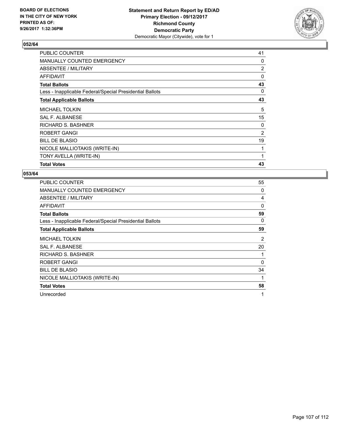

| PUBLIC COUNTER                                           | 41             |
|----------------------------------------------------------|----------------|
| <b>MANUALLY COUNTED EMERGENCY</b>                        | 0              |
| ABSENTEE / MILITARY                                      | $\overline{2}$ |
| AFFIDAVIT                                                | 0              |
| <b>Total Ballots</b>                                     | 43             |
| Less - Inapplicable Federal/Special Presidential Ballots | 0              |
| <b>Total Applicable Ballots</b>                          | 43             |
| <b>MICHAEL TOLKIN</b>                                    | 5              |
| SAL F. ALBANESE                                          | 15             |
| <b>RICHARD S. BASHNER</b>                                | 0              |
| ROBERT GANGI                                             | 2              |
| <b>BILL DE BLASIO</b>                                    | 19             |
| NICOLE MALLIOTAKIS (WRITE-IN)                            |                |
| TONY AVELLA (WRITE-IN)                                   |                |
| <b>Total Votes</b>                                       | 43             |

| <b>PUBLIC COUNTER</b>                                    | 55       |
|----------------------------------------------------------|----------|
| <b>MANUALLY COUNTED EMERGENCY</b>                        | 0        |
| ABSENTEE / MILITARY                                      | 4        |
| AFFIDAVIT                                                | 0        |
| <b>Total Ballots</b>                                     | 59       |
| Less - Inapplicable Federal/Special Presidential Ballots | 0        |
| <b>Total Applicable Ballots</b>                          | 59       |
| <b>MICHAEL TOLKIN</b>                                    | 2        |
| SAL F. ALBANESE                                          | 20       |
| <b>RICHARD S. BASHNER</b>                                |          |
| ROBERT GANGI                                             | $\Omega$ |
| <b>BILL DE BLASIO</b>                                    | 34       |
| NICOLE MALLIOTAKIS (WRITE-IN)                            | 1        |
| <b>Total Votes</b>                                       | 58       |
| Unrecorded                                               | 1        |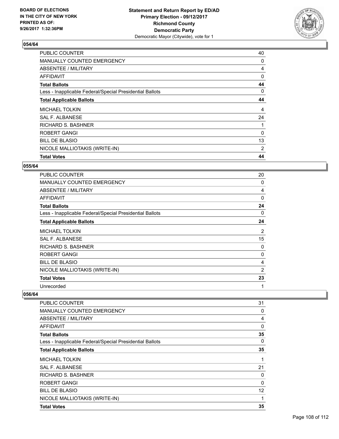

| <b>PUBLIC COUNTER</b>                                    | 40 |
|----------------------------------------------------------|----|
| <b>MANUALLY COUNTED EMERGENCY</b>                        | 0  |
| ABSENTEE / MILITARY                                      | 4  |
| AFFIDAVIT                                                | 0  |
| <b>Total Ballots</b>                                     | 44 |
| Less - Inapplicable Federal/Special Presidential Ballots | 0  |
| <b>Total Applicable Ballots</b>                          | 44 |
| <b>MICHAEL TOLKIN</b>                                    | 4  |
| <b>SAL F. ALBANESE</b>                                   | 24 |
| <b>RICHARD S. BASHNER</b>                                |    |
| ROBERT GANGI                                             | 0  |
| <b>BILL DE BLASIO</b>                                    | 13 |
| NICOLE MALLIOTAKIS (WRITE-IN)                            | 2  |
| <b>Total Votes</b>                                       | 44 |

#### **055/64**

| <b>PUBLIC COUNTER</b>                                    | 20       |
|----------------------------------------------------------|----------|
| <b>MANUALLY COUNTED EMERGENCY</b>                        | 0        |
| ABSENTEE / MILITARY                                      | 4        |
| <b>AFFIDAVIT</b>                                         | $\Omega$ |
| <b>Total Ballots</b>                                     | 24       |
| Less - Inapplicable Federal/Special Presidential Ballots | 0        |
| <b>Total Applicable Ballots</b>                          | 24       |
| <b>MICHAEL TOLKIN</b>                                    | 2        |
| SAL F. ALBANESE                                          | 15       |
| <b>RICHARD S. BASHNER</b>                                | 0        |
| <b>ROBERT GANGI</b>                                      | 0        |
| <b>BILL DE BLASIO</b>                                    | 4        |
| NICOLE MALLIOTAKIS (WRITE-IN)                            | 2        |
| <b>Total Votes</b>                                       | 23       |
| Unrecorded                                               | 1        |

| PUBLIC COUNTER                                           | 31                |
|----------------------------------------------------------|-------------------|
| <b>MANUALLY COUNTED EMERGENCY</b>                        | $\mathbf 0$       |
| ABSENTEE / MILITARY                                      | 4                 |
| AFFIDAVIT                                                | $\mathbf 0$       |
| <b>Total Ballots</b>                                     | 35                |
| Less - Inapplicable Federal/Special Presidential Ballots | 0                 |
| <b>Total Applicable Ballots</b>                          | 35                |
| <b>MICHAEL TOLKIN</b>                                    | 1                 |
| <b>SAL F. ALBANESE</b>                                   | 21                |
| <b>RICHARD S. BASHNER</b>                                | 0                 |
| ROBERT GANGI                                             | 0                 |
| <b>BILL DE BLASIO</b>                                    | $12 \overline{ }$ |
| NICOLE MALLIOTAKIS (WRITE-IN)                            | 1                 |
| <b>Total Votes</b>                                       | 35                |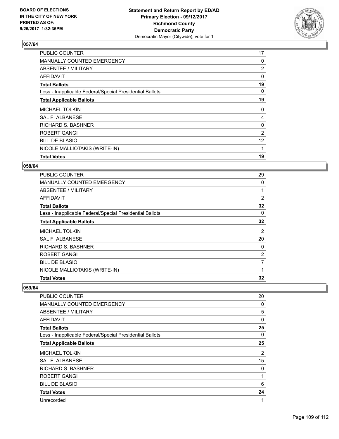

## **057/64**

| <b>PUBLIC COUNTER</b>                                    | 17                |
|----------------------------------------------------------|-------------------|
| <b>MANUALLY COUNTED EMERGENCY</b>                        | 0                 |
| ABSENTEE / MILITARY                                      | $\overline{2}$    |
| AFFIDAVIT                                                | 0                 |
| <b>Total Ballots</b>                                     | 19                |
| Less - Inapplicable Federal/Special Presidential Ballots | 0                 |
| <b>Total Applicable Ballots</b>                          | 19                |
| <b>MICHAEL TOLKIN</b>                                    | 0                 |
| <b>SAL F. ALBANESE</b>                                   | 4                 |
| RICHARD S. BASHNER                                       | 0                 |
| <b>ROBERT GANGI</b>                                      | 2                 |
| <b>BILL DE BLASIO</b>                                    | $12 \overline{ }$ |
| NICOLE MALLIOTAKIS (WRITE-IN)                            | 1                 |
| <b>Total Votes</b>                                       | 19                |

#### **058/64**

| <b>PUBLIC COUNTER</b>                                    | 29             |
|----------------------------------------------------------|----------------|
| <b>MANUALLY COUNTED EMERGENCY</b>                        | 0              |
| ABSENTEE / MILITARY                                      |                |
| AFFIDAVIT                                                | 2              |
| <b>Total Ballots</b>                                     | 32             |
| Less - Inapplicable Federal/Special Presidential Ballots | 0              |
| <b>Total Applicable Ballots</b>                          | 32             |
| <b>MICHAEL TOLKIN</b>                                    | 2              |
| <b>SAL F. ALBANESE</b>                                   | 20             |
| <b>RICHARD S. BASHNER</b>                                | 0              |
| <b>ROBERT GANGI</b>                                      | $\overline{2}$ |
| <b>BILL DE BLASIO</b>                                    | 7              |
| NICOLE MALLIOTAKIS (WRITE-IN)                            | 1              |
| <b>Total Votes</b>                                       | 32             |

#### **059/64**

| PUBLIC COUNTER                                           | 20 |
|----------------------------------------------------------|----|
| <b>MANUALLY COUNTED EMERGENCY</b>                        | 0  |
| <b>ABSENTEE / MILITARY</b>                               | 5  |
| AFFIDAVIT                                                | 0  |
| <b>Total Ballots</b>                                     | 25 |
| Less - Inapplicable Federal/Special Presidential Ballots | 0  |
| <b>Total Applicable Ballots</b>                          | 25 |
| <b>MICHAEL TOLKIN</b>                                    | 2  |
| SAL F. ALBANESE                                          | 15 |
| RICHARD S. BASHNER                                       | 0  |
| <b>ROBERT GANGI</b>                                      | 1  |
| <b>BILL DE BLASIO</b>                                    | 6  |
| <b>Total Votes</b>                                       | 24 |
| Unrecorded                                               | 1  |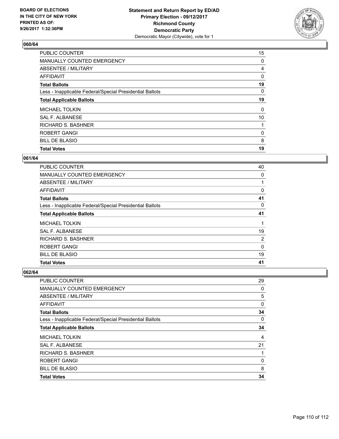

### **060/64**

| <b>PUBLIC COUNTER</b>                                    | 15 |
|----------------------------------------------------------|----|
| MANUALLY COUNTED EMERGENCY                               | 0  |
| ABSENTEE / MILITARY                                      | 4  |
| AFFIDAVIT                                                | 0  |
| <b>Total Ballots</b>                                     | 19 |
| Less - Inapplicable Federal/Special Presidential Ballots | 0  |
| <b>Total Applicable Ballots</b>                          | 19 |
| <b>MICHAEL TOLKIN</b>                                    | 0  |
| SAL F. ALBANESE                                          | 10 |
| <b>RICHARD S. BASHNER</b>                                |    |
| <b>ROBERT GANGI</b>                                      | 0  |
| <b>BILL DE BLASIO</b>                                    | 8  |
| <b>Total Votes</b>                                       | 19 |

### **061/64**

| PUBLIC COUNTER                                           | 40       |
|----------------------------------------------------------|----------|
| <b>MANUALLY COUNTED EMERGENCY</b>                        | 0        |
| ABSENTEE / MILITARY                                      |          |
| <b>AFFIDAVIT</b>                                         | 0        |
| <b>Total Ballots</b>                                     | 41       |
| Less - Inapplicable Federal/Special Presidential Ballots | 0        |
| <b>Total Applicable Ballots</b>                          | 41       |
| <b>MICHAEL TOLKIN</b>                                    |          |
| SAL F. ALBANESE                                          | 19       |
| <b>RICHARD S. BASHNER</b>                                | 2        |
| ROBERT GANGI                                             | $\Omega$ |
| <b>BILL DE BLASIO</b>                                    | 19       |
| <b>Total Votes</b>                                       | 41       |

# **062/64**

| PUBLIC COUNTER                                           | 29             |
|----------------------------------------------------------|----------------|
| <b>MANUALLY COUNTED EMERGENCY</b>                        | 0              |
| ABSENTEE / MILITARY                                      | 5              |
| AFFIDAVIT                                                | 0              |
| <b>Total Ballots</b>                                     | 34             |
| Less - Inapplicable Federal/Special Presidential Ballots | 0              |
| <b>Total Applicable Ballots</b>                          | 34             |
| <b>MICHAEL TOLKIN</b>                                    | $\overline{4}$ |
| SAL F. ALBANESE                                          | 21             |
| <b>RICHARD S. BASHNER</b>                                |                |
| <b>ROBERT GANGI</b>                                      | 0              |
| <b>BILL DE BLASIO</b>                                    | 8              |
| <b>Total Votes</b>                                       | 34             |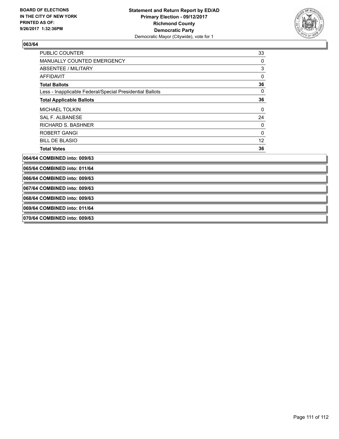

# **063/64**

| PUBLIC COUNTER                                           | 33           |
|----------------------------------------------------------|--------------|
| MANUALLY COUNTED EMERGENCY                               | 0            |
| <b>ABSENTEE / MILITARY</b>                               | 3            |
| <b>AFFIDAVIT</b>                                         | $\mathbf{0}$ |
| <b>Total Ballots</b>                                     | 36           |
| Less - Inapplicable Federal/Special Presidential Ballots | 0            |
| <b>Total Applicable Ballots</b>                          | 36           |
| <b>MICHAEL TOLKIN</b>                                    | 0            |
| <b>SAL F. ALBANESE</b>                                   | 24           |
| <b>RICHARD S. BASHNER</b>                                | 0            |
| <b>ROBERT GANGI</b>                                      | 0            |
| <b>BILL DE BLASIO</b>                                    | 12           |
| <b>Total Votes</b>                                       | 36           |
| 064/64 COMBINED into: 009/63                             |              |
| 065/64 COMBINED into: 011/64                             |              |
| 066/64 COMBINED into: 009/63                             |              |
| 067/64 COMBINED into: 009/63                             |              |
| 068/64 COMBINED into: 009/63                             |              |
| 069/64 COMBINED into: 011/64                             |              |
| 070/64 COMBINED into: 009/63                             |              |